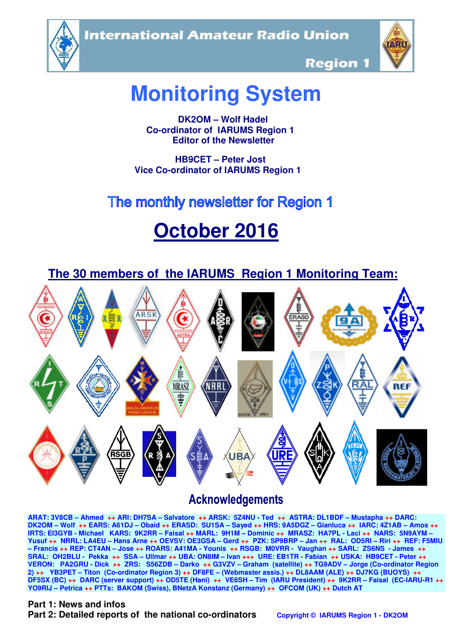**International Amateur Radio Union** 





**Region 1** 

# **Monitoring System**

 **DK2OM – Wolf Hadel Co-ordinator of IARUMS Region 1 Editor of the Newsletter** 

 **HB9CET – Peter Jost Vice Co-ordinator of IARUMS Region 1** 

# The monthly newsletter for Region 1

# **October 2016**



## **Acknowledgements**

**ARAT: 3V8CB – Ahmed ++ ARI: DH7SA – Salvatore ++ ARSK: 5Z4NU - Ted ++ ASTRA: DL1BDF – Mustapha ++ DARC: DK2OM – Wolf ++ EARS: A61DJ – Obaid ++ ERASD: SU1SA – Sayed ++ HRS: 9A5DGZ – Gianluca ++ IARC: 4Z1AB – Amos ++ IRTS: EI3GYB - Michael KARS: 9K2RR – Faisal ++ MARL: 9H1M – Dominic ++ MRASZ: HA7PL - Laci ++ NARS: 5N9AYM – Yusuf ++ NRRL: LA4EU – Hans Arne ++ OEVSV: OE3GSA – Gerd ++ PZK: SP9BRP – Jan ++ RAL: OD5RI – Riri ++ REF: F5MIU – Francis ++ REP: CT4AN – Jose ++ ROARS: A41MA - Younis ++ RSGB: M0VRR - Vaughan ++ SARL: ZS6NS - James ++ SRAL: OH2BLU - Pekka ++ SSA – Ullmar ++ UBA: ON8IM – Ivan +++ URE: EB1TR - Fabian ++ USKA: HB9CET - Peter ++ VERON: PA2GRU - Dick ++ ZRS: S56ZDB – Darko ++ G3VZV – Graham (satellite) ++ TG9ADV – Jorge (Co-ordinator Region 2) ++ YB3PET – Titon (Co-ordinator Region 3) ++ DF8FE – (Webmaster assis.) ++ DL8AAM (ALE) ++ DJ7KG (BUOYS) ++ DF5SX (BC) ++ DARC (server support) ++ OD5TE (Hani) ++ VE6SH – Tim (IARU President) ++ 9K2RR – Faisal (EC-IARU-R1 ++ YO9RIJ – Petrica ++ PTTs: BAKOM (Swiss), BNetzA Konstanz (Germany) ++ OFCOM (UK) ++ Dutch AT**

#### **Part 1: News and infos**

**Part 2: Detailed reports of the national co-ordinators copyright © IARUMS Region 1 - DK2OM**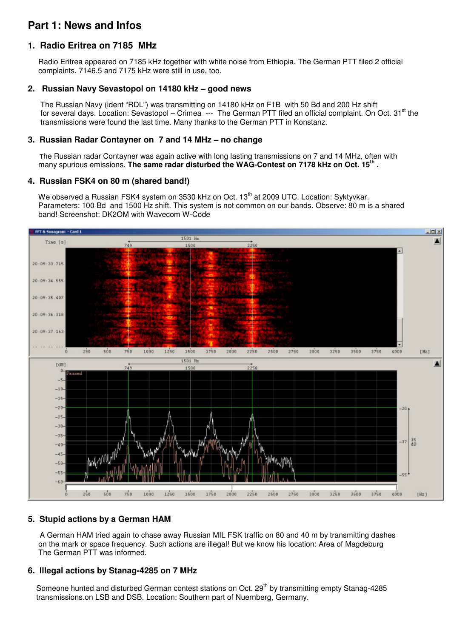## **Part 1: News and Infos**

#### **1. Radio Eritrea on 7185 MHz**

 Radio Eritrea appeared on 7185 kHz together with white noise from Ethiopia. The German PTT filed 2 official complaints. 7146.5 and 7175 kHz were still in use, too.

#### **2. Russian Navy Sevastopol on 14180 kHz – good news**

 The Russian Navy (ident "RDL") was transmitting on 14180 kHz on F1B with 50 Bd and 200 Hz shift for several days. Location: Sevastopol – Crimea  $-$ -- The German PTT filed an official complaint. On Oct. 31<sup>st</sup> the transmissions were found the last time. Many thanks to the German PTT in Konstanz.

#### **3. Russian Radar Contayner on 7 and 14 MHz – no change**

 The Russian radar Contayner was again active with long lasting transmissions on 7 and 14 MHz, often with many spurious emissions. The same radar disturbed the WAG-Contest on 7178 kHz on Oct. 15<sup>th</sup>.

#### **4. Russian FSK4 on 80 m (shared band!)**

We observed a Russian FSK4 system on 3530 kHz on Oct. 13<sup>th</sup> at 2009 UTC. Location: Syktyykar. Parameters: 100 Bd and 1500 Hz shift. This system is not common on our bands. Observe: 80 m is a shared band! Screenshot: DK2OM with Wavecom W-Code



#### **5. Stupid actions by a German HAM**

A German HAM tried again to chase away Russian MIL FSK traffic on 80 and 40 m by transmitting dashes on the mark or space frequency. Such actions are illegal! But we know his location: Area of Magdeburg The German PTT was informed.

#### **6. Illegal actions by Stanag-4285 on 7 MHz**

Someone hunted and disturbed German contest stations on Oct. 29<sup>th</sup> by transmitting empty Stanag-4285 transmissions.on LSB and DSB. Location: Southern part of Nuernberg, Germany.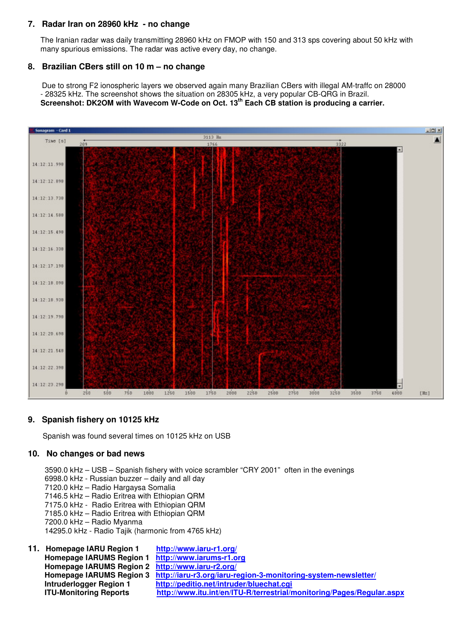#### **7. Radar Iran on 28960 kHz - no change**

 The Iranian radar was daily transmitting 28960 kHz on FMOP with 150 and 313 sps covering about 50 kHz with many spurious emissions. The radar was active every day, no change.

#### **8. Brazilian CBers still on 10 m – no change**

Due to strong F2 ionospheric layers we observed again many Brazilian CBers with illegal AM-traffc on 28000 - 28325 kHz. The screenshot shows the situation on 28305 kHz, a very popular CB-QRG in Brazil.  **Screenshot: DK2OM with Wavecom W-Code on Oct. 13th Each CB station is producing a carrier.** 



#### **9. Spanish fishery on 10125 kHz**

Spanish was found several times on 10125 kHz on USB

#### **10. No changes or bad news**

3590.0 kHz – USB – Spanish fishery with voice scrambler "CRY 2001" often in the evenings

- 6998.0 kHz Russian buzzer daily and all day
- 7120.0 kHz Radio Hargaysa Somalia
- 7146.5 kHz Radio Eritrea with Ethiopian QRM
- 7175.0 kHz Radio Eritrea with Ethiopian QRM
- 7185.0 kHz Radio Eritrea with Ethiopian QRM
- 7200.0 kHz Radio Myanma
- 14295.0 kHz Radio Tajik (harmonic from 4765 kHz)
- **11. Homepage IARU Region 1 http://www.iaru-r1.org/ Homepage IARUMS Region 1 http://www.iarums-r1.org Homepage IARUMS Region 2 http://www.iaru-r2.org/ Homepage IARUMS Region 3 http://iaru-r3.org/iaru-region-3-monitoring-system-newsletter/ Intruderlogger Region 1 http://peditio.net/intruder/bluechat.cgi ITU-Monitoring Reports http://www.itu.int/en/ITU-R/terrestrial/monitoring/Pages/Regular.aspx**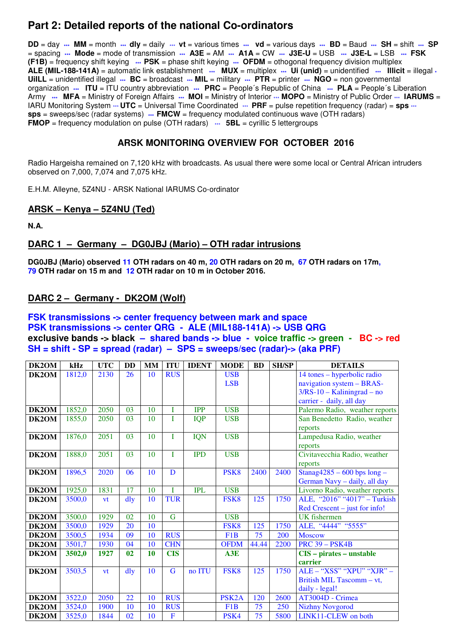## **Part 2: Detailed reports of the national Co-ordinators**

**DD** = day **\*\*\* MM** = month **\*\*\* dly** = daily \*\*\* **vt** = various times **\*\*\* vd** = various days **\*\*\* BD** = Baud **\*\*\* SH** = shift **\*\*\* SP** = spacing **\*\*\* Mode** = mode of transmission **\*\*\* A3E** = AM **\*\*\* A1A** = CW **\*\*\* J3E-U** = USB **\*\*\* J3E-L** = LSB **\*\*\* FSK (F1B)** = frequency shift keying **\*\*\* PSK** = phase shift keying **\*\*\* OFDM** = othogonal frequency division multiplex **ALE (MIL-188-141A)** = automatic link establishment **\*\*\* MUX** = multiplex **\*\*\* Ui (unid)** = unidentified **\*\*\* Illicit** = illegal **\* UiILL** = unidentified illegal **\*\*\* BC** = broadcast **\*\*\* MIL** = military **\*\*\* PTR** = printer **\*\*\* NGO** = non governmental organization **\*\*\*** ITU = ITU country abbreviation **\*\*\*** PRC = People's Republic of China **\*\*\*** PLA = People's Liberation Army **\*\*\*** MFA = Ministry of Foreign Affairs \*\*\* MOI = Ministry of Interior \*\*\* MOPO = Ministry of Public Order \*\*\* IARUMS = IARU Monitoring System  $\cdots$  **UTC** = Universal Time Coordinated  $\cdots$  PRF = pulse repetition frequency (radar) = **sps**  $\cdots$ **sps** = sweeps/sec (radar systems) **\*\*\* FMCW** = frequency modulated continuous wave (OTH radars) **FMOP** = frequency modulation on pulse (OTH radars)  $\cdots$  **5BL** = cyrillic 5 lettergroups

#### **ARSK MONITORING OVERVIEW FOR OCTOBER 2016**

Radio Hargeisha remained on 7,120 kHz with broadcasts. As usual there were some local or Central African intruders observed on 7,000, 7,074 and 7,075 kHz.

E.H.M. Alleyne, 5Z4NU - ARSK National IARUMS Co-ordinator

#### **ARSK – Kenya – 5Z4NU (Ted)**

**N.A.** 

#### **DARC 1 – Germany – DG0JBJ (Mario) – OTH radar intrusions**

**DG0JBJ (Mario) observed 11 OTH radars on 40 m, 20 OTH radars on 20 m, 67 OTH radars on 17m, 79 OTH radar on 15 m and 12 OTH radar on 10 m in October 2016.** 

#### **DARC 2 – Germany - DK2OM (Wolf)**

#### **FSK transmissions -> center frequency between mark and space PSK transmissions -> center QRG - ALE (MIL188-141A) -> USB QRG exclusive bands -> black – shared bands -> blue - voice traffic -> green - BC -> red SH = shift - SP = spread (radar) – SPS = sweeps/sec (radar)-> (aka PRF)**

| DK2OM | kHz    | <b>UTC</b> | <b>DD</b>      | <b>MM</b> | <b>ITU</b>              | <b>IDENT</b> | <b>MODE</b>        | <b>BD</b> | <b>SH/SP</b> | <b>DETAILS</b>                   |
|-------|--------|------------|----------------|-----------|-------------------------|--------------|--------------------|-----------|--------------|----------------------------------|
| DK2OM | 1812,0 | 2130       | 26             | 10        | <b>RUS</b>              |              | <b>USB</b>         |           |              | 14 tones - hyperbolic radio      |
|       |        |            |                |           |                         |              | <b>LSB</b>         |           |              | navigation system - BRAS-        |
|       |        |            |                |           |                         |              |                    |           |              | $3/RS-10 - Kaliningrad - no$     |
|       |        |            |                |           |                         |              |                    |           |              | carrier - daily, all day         |
| DK2OM | 1852,0 | 2050       | 03             | 10        | I                       | <b>IPP</b>   | <b>USB</b>         |           |              | Palermo Radio, weather reports   |
| DK2OM | 1855,0 | 2050       | 03             | 10        | T                       | <b>IQP</b>   | <b>USB</b>         |           |              | San Benedetto Radio, weather     |
|       |        |            |                |           |                         |              |                    |           |              | reports                          |
| DK2OM | 1876,0 | 2051       | 03             | 10        | $\mathbf I$             | <b>IQN</b>   | <b>USB</b>         |           |              | Lampedusa Radio, weather         |
|       |        |            |                |           |                         |              |                    |           |              | reports                          |
| DK2OM | 1888,0 | 2051       | 03             | 10        | Ī                       | <b>IPD</b>   | <b>USB</b>         |           |              | Civitavecchia Radio, weather     |
|       |        |            |                |           |                         |              |                    |           |              | reports                          |
| DK2OM | 1896,5 | 2020       | 06             | 10        | D                       |              | PSK <sub>8</sub>   | 2400      | 2400         | Stanag $4285 - 600$ bps $long -$ |
|       |        |            |                |           |                         |              |                    |           |              | German Navy - daily, all day     |
| DK2OM | 1925,0 | 1831       | 17             | 10        | T                       | <b>IPL</b>   | <b>USB</b>         |           |              | Livorno Radio, weather reports   |
| DK2OM | 3500,0 | vt         | $\frac{d}{dy}$ | 10        | <b>TUR</b>              |              | FSK <sub>8</sub>   | 125       | 1750         | ALE, "2016" "4017" - Turkish     |
|       |        |            |                |           |                         |              |                    |           |              | $Red$ Crescent – just for info!  |
| DK2OM | 3500,0 | 1929       | 02             | 10        | $\overline{G}$          |              | <b>USB</b>         |           |              | <b>UK</b> fishermen              |
| DK2OM | 3500,0 | 1929       | 20             | 10        |                         |              | FSK8               | 125       | 1750         | ALE, "4444" "5555"               |
| DK2OM | 3500,5 | 1934       | 09             | 10        | <b>RUS</b>              |              | F <sub>1</sub> B   | 75        | 200          | <b>Moscow</b>                    |
| DK2OM | 3501,7 | 1930       | 04             | 10        | <b>CHN</b>              |              | <b>OFDM</b>        | 44.44     | 2200         | <b>PRC 39 - PSK4B</b>            |
| DK2OM | 3502,0 | 1927       | 02             | 10        | <b>CIS</b>              |              | A3E                |           |              | CIS - pirates - unstable         |
|       |        |            |                |           |                         |              |                    |           |              | carrier                          |
| DK2OM | 3503,5 | <b>vt</b>  | dly            | 10        | G                       | no ITU       | FSK8               | 125       | 1750         | ALE - "XSS" "XPU" "XJR" -        |
|       |        |            |                |           |                         |              |                    |           |              | British MIL Tascomm - vt,        |
|       |        |            |                |           |                         |              |                    |           |              | daily - legal!                   |
| DK2OM | 3522,0 | 2050       | 22             | 10        | <b>RUS</b>              |              | PSK <sub>2</sub> A | 120       | 2600         | AT3004D - Crimea                 |
| DK2OM | 3524,0 | 1900       | 10             | 10        | <b>RUS</b>              |              | F <sub>1</sub> B   | 75        | 250          | <b>Nizhny Novgorod</b>           |
| DK2OM | 3525,0 | 1844       | 02             | 10        | $\overline{\mathbf{F}}$ |              | PSK4               | 75        | 5800         | LINK11-CLEW on both              |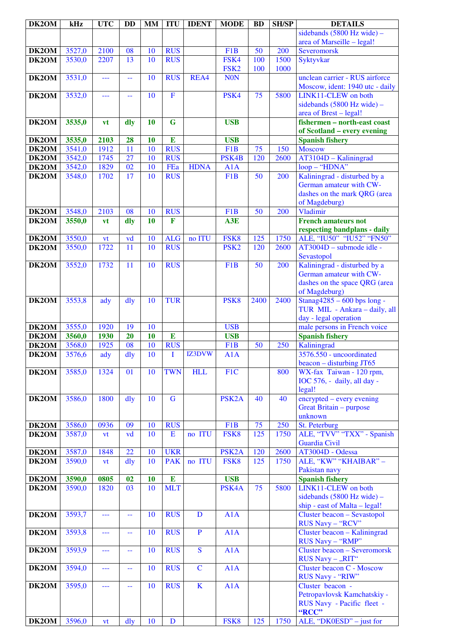| DK2OM              | kHz    | <b>UTC</b> | <b>DD</b>       | <b>MM</b> | <b>ITU</b>     | <b>IDENT</b> | <b>MODE</b>        | <b>BD</b>       | <b>SH/SP</b> | <b>DETAILS</b>                                                    |
|--------------------|--------|------------|-----------------|-----------|----------------|--------------|--------------------|-----------------|--------------|-------------------------------------------------------------------|
|                    |        |            |                 |           |                |              |                    |                 |              | sidebands (5800 Hz wide) -                                        |
|                    |        |            |                 |           |                |              |                    |                 |              | area of Marseille - legal!                                        |
| DK2OM              | 3527,0 | 2100       | 08              | 10        | <b>RUS</b>     |              | F1B                | $\overline{50}$ | 200          | <b>Severomorsk</b>                                                |
| DK2OM              | 3530,0 | 2207       | 13              | 10        | <b>RUS</b>     |              | FSK4               | 100             | 1500         | Syktyvkar                                                         |
|                    |        |            |                 |           |                |              | FSK <sub>2</sub>   | 100             | 1000         |                                                                   |
| DK2OM              | 3531,0 | ---        | --              | 10        | <b>RUS</b>     | REA4         | <b>NON</b>         |                 |              | unclean carrier - RUS airforce<br>Moscow, ident: 1940 utc - daily |
| DK2OM              | 3532,0 | ---        | --              | 10        | $\overline{F}$ |              | PSK4               | $\overline{75}$ | 5800         | LINK11-CLEW on both                                               |
|                    |        |            |                 |           |                |              |                    |                 |              | sidebands (5800 Hz wide) -                                        |
|                    |        |            |                 |           |                |              |                    |                 |              | area of Brest - legal!                                            |
| DK2OM              | 3535,0 | vt         | dly             | 10        | G              |              | <b>USB</b>         |                 |              | fishermen - north-east coast                                      |
|                    |        |            |                 |           |                |              |                    |                 |              | of Scotland – every evening                                       |
| DK2OM              | 3535,0 | 2103       | 28              | 10        | E              |              | <b>USB</b>         |                 |              | <b>Spanish fishery</b>                                            |
| $\overline{DK2OM}$ | 3541,0 | 1912       | 11              | 10        | <b>RUS</b>     |              | F <sub>1</sub> B   | 75              | 150          | <b>Moscow</b>                                                     |
| DK2OM              | 3542,0 | 1745       | 27              | 10        | <b>RUS</b>     |              | PSK4B              | 120             | 2600         | AT3104D - Kaliningrad                                             |
| DK2OM              | 3542,0 | 1829       | 02              | 10        | FEa            | <b>HDNA</b>  | A1A                |                 |              | loop - "HDNA"                                                     |
| DK2OM              | 3548,0 | 1702       | 17              | 10        | <b>RUS</b>     |              | F <sub>1</sub> B   | $\overline{50}$ | 200          | Kaliningrad - disturbed by a                                      |
|                    |        |            |                 |           |                |              |                    |                 |              | German amateur with CW-                                           |
|                    |        |            |                 |           |                |              |                    |                 |              | dashes on the mark QRG (area                                      |
|                    |        |            |                 |           |                |              |                    |                 |              | of Magdeburg)                                                     |
| DK2OM              | 3548,0 | 2103       | 08              | 10        | <b>RUS</b>     |              | F <sub>1</sub> B   | 50              | 200          | Vladimir                                                          |
| DK2OM              | 3550,0 | vt         | dly             | 10        | $\mathbf{F}$   |              | A3E                |                 |              | <b>French amateurs not</b>                                        |
| DK2OM              | 3550,0 | vt         | vd              | 10        | <b>ALG</b>     | no ITU       | FSK8               | 125             | 1750         | respecting bandplans - daily<br>ALE, "IU50" "IU52" "FN50"         |
| DK2OM              | 3550,0 | 1722       | 11              | 10        | <b>RUS</b>     |              | PSK <sub>2</sub>   | 120             | 2600         | $AT3004D$ – submode idle -                                        |
|                    |        |            |                 |           |                |              |                    |                 |              | Sevastopol                                                        |
| DK2OM              | 3552,0 | 1732       | 11              | 10        | <b>RUS</b>     |              | F1B                | 50              | 200          | Kaliningrad - disturbed by a                                      |
|                    |        |            |                 |           |                |              |                    |                 |              | German amateur with CW-                                           |
|                    |        |            |                 |           |                |              |                    |                 |              | dashes on the space QRG (area                                     |
|                    |        |            |                 |           |                |              |                    |                 |              | of Magdeburg)                                                     |
| DK2OM              | 3553,8 | ady        | $\frac{d}{dy}$  | 10        | <b>TUR</b>     |              | PSK <sub>8</sub>   | 2400            | 2400         | Stanag4285 - 600 bps long -                                       |
|                    |        |            |                 |           |                |              |                    |                 |              | TUR MIL - Ankara - daily, all                                     |
|                    |        |            |                 |           |                |              |                    |                 |              | day - legal operation                                             |
| DK2OM              | 3555,0 | 1920       | 19              | 10        |                |              | <b>USB</b>         |                 |              | male persons in French voice                                      |
| DK2OM              | 3560,0 | 1930       | 20              | 10        | E              |              | <b>USB</b>         |                 |              | <b>Spanish fishery</b>                                            |
| DK2OM              | 3568,0 | 1925       | $\overline{08}$ | 10        | <b>RUS</b>     |              | F <sub>1</sub> B   | 50              | 250          | Kaliningrad                                                       |
| DK2OM              | 3576,6 | ady        | dly             | 10        | I              | IZ3DVW       | A1A                |                 |              | 3576.550 - uncoordinated<br>$beacon - disturbing JT65$            |
| DK2OM              | 3585,0 | 1324       | 01              | 10        | <b>TWN</b>     | <b>HLL</b>   | F1C                |                 | 800          | WX-fax Taiwan - 120 rpm,                                          |
|                    |        |            |                 |           |                |              |                    |                 |              | IOC 576, - daily, all day -                                       |
|                    |        |            |                 |           |                |              |                    |                 |              | legal!                                                            |
| DK2OM              | 3586,0 | 1800       | dly             | 10        | G              |              | PSK <sub>2</sub> A | 40              | 40           |                                                                   |
|                    |        |            |                 |           |                |              |                    |                 |              |                                                                   |
|                    |        |            |                 |           |                |              |                    |                 |              | encrypted – every evening<br>Great Britain - purpose              |
| DK2OM              |        |            |                 |           |                |              |                    |                 |              | unknown                                                           |
|                    | 3586,0 | 0936       | 09              | 10        | <b>RUS</b>     |              | F <sub>1</sub> B   | 75              | 250          | St. Peterburg                                                     |
| DK2OM              | 3587,0 | vt         | vd              | 10        | E              | no ITU       | FSK8               | 125             | 1750         | ALE, "TVV" "TXX" - Spanish                                        |
|                    |        |            |                 |           |                |              |                    |                 |              | Guardia Civil                                                     |
| DK2OM              | 3587,0 | 1848       | 22              | 10        | <b>UKR</b>     |              | PSK <sub>2</sub> A | 120             | 2600         | AT3004D - Odessa                                                  |
| DK2OM              | 3590,0 | vt         | dly             | 10        | <b>PAK</b>     | no ITU       | FSK8               | 125             | 1750         | ALE, "KW" "KHAIBAR" -                                             |
|                    |        |            |                 |           |                |              |                    |                 |              | Pakistan navy                                                     |
| DK2OM              | 3590,0 | 0805       | 02              | <b>10</b> | ${\bf E}$      |              | <b>USB</b>         |                 |              | <b>Spanish fishery</b>                                            |
| DK2OM              | 3590,0 | 1820       | 03              | 10        | <b>MLT</b>     |              | PSK4A              | 75              | 5800         | LINK11-CLEW on both                                               |
|                    |        |            |                 |           |                |              |                    |                 |              | sidebands (5800 Hz wide) -                                        |
| DK2OM              | 3593,7 | ---        | --              | 10        | <b>RUS</b>     | D            | A1A                |                 |              | ship - east of Malta - legal!<br>Cluster beacon - Sevastopol      |
|                    |        |            |                 |           |                |              |                    |                 |              | <b>RUS Navy - "RCV"</b>                                           |
| DK2OM              | 3593,8 | ---        | --              | 10        | <b>RUS</b>     | ${\bf P}$    | A1A                |                 |              | Cluster beacon - Kaliningrad                                      |
|                    |        |            |                 |           |                |              |                    |                 |              | RUS Navy - "RMP"                                                  |
| DK2OM              | 3593,9 | ---        | 44              | 10        | <b>RUS</b>     | $\mathbf S$  | A1A                |                 |              | <b>Cluster beacon - Severomorsk</b>                               |
|                    |        |            |                 |           |                |              |                    |                 |              | RUS Navy - "RIT"                                                  |
| DK2OM              | 3594,0 | ---        | 44              | 10        | <b>RUS</b>     | $\mathbf C$  | A1A                |                 |              | <b>Cluster beacon C - Moscow</b>                                  |
|                    |        |            |                 |           |                |              |                    |                 |              | RUS Navy - "RIW"                                                  |
| DK2OM              | 3595,0 | ---        | --              | 10        | <b>RUS</b>     | $\mathbf K$  | A1A                |                 |              | Cluster beacon -                                                  |
|                    |        |            |                 |           |                |              |                    |                 |              | Petropavlovsk Kamchatskiy -                                       |
|                    |        |            |                 |           |                |              |                    |                 |              | RUS Navy - Pacific fleet -<br>"RCC"                               |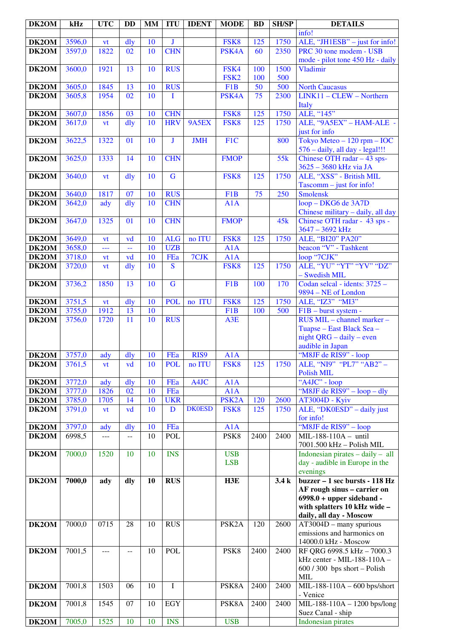| DK2OM          | kHz    | <b>UTC</b> | <b>DD</b>      | <b>MM</b> | <b>ITU</b>       | <b>IDENT</b>  | <b>MODE</b>        | <b>BD</b> | <b>SH/SP</b> | <b>DETAILS</b>                               |
|----------------|--------|------------|----------------|-----------|------------------|---------------|--------------------|-----------|--------------|----------------------------------------------|
|                |        |            |                |           |                  |               |                    |           |              | info!                                        |
| DK2OM          | 3596,0 | vt         | dly            | 10        | J                |               | FSK <sub>8</sub>   | 125       | 1750         | ALE, "JH1ESB" - just for info!               |
| DK2OM          | 3597,0 | 1822       | 02             | 10        | <b>CHN</b>       |               | PSK4A              | 60        | 2350         | PRC 30 tone modem - USB                      |
|                |        |            |                |           |                  |               |                    |           |              | mode - pilot tone 450 Hz - daily             |
| DK2OM          | 3600,0 | 1921       | 13             | 10        | <b>RUS</b>       |               | FSK4               | 100       | 1500         | Vladimir                                     |
|                |        |            |                |           |                  |               | FSK <sub>2</sub>   | 100       | 500          |                                              |
| DK2OM          | 3605,0 | 1845       | 13             | 10        | <b>RUS</b>       |               | F1B                | 50        | 500          | <b>North Caucasus</b>                        |
| DK2OM          | 3605,8 | 1954       | 02             | 10        | I                |               | PSK4A              | 75        | 2300         | $LINK11 - CLEW - Northern$                   |
|                | 3607,0 | 1856       | 03             | 10        | <b>CHN</b>       |               |                    | 125       | 1750         | Italy<br>ALE, "145"                          |
| DK2OM<br>DK2OM | 3617,0 |            | dly            | 10        | <b>HRV</b>       | 9A5EX         | FSK8<br>FSK8       | 125       | 1750         | ALE, "9A5EX" - HAM-ALE -                     |
|                |        | vt         |                |           |                  |               |                    |           |              | just for info                                |
| DK2OM          | 3622,5 | 1322       | 01             | 10        | J                | <b>JMH</b>    | F1C                |           | 800          | Tokyo Meteo - 120 rpm - IOC                  |
|                |        |            |                |           |                  |               |                    |           |              | 576 - daily, all day - legal!!!              |
| DK2OM          | 3625,0 | 1333       | 14             | 10        | <b>CHN</b>       |               | <b>FMOP</b>        |           | 55k          | Chinese OTH radar $-43$ sps-                 |
|                |        |            |                |           |                  |               |                    |           |              | 3625 - 3680 kHz via JA                       |
| DK2OM          | 3640,0 | vt         | dly            | 10        | $\overline{G}$   |               | FSK8               | 125       | 1750         | ALE, "XSS" - British MIL                     |
|                |        |            |                |           |                  |               |                    |           |              | Tascomm - just for info!                     |
| DK2OM          | 3640,0 | 1817       | 07             | 10        | <b>RUS</b>       |               | F <sub>1</sub> B   | 75        | 250          | <b>Smolensk</b>                              |
| DK2OM          | 3642,0 | ady        | $\frac{d}{dy}$ | 10        | <b>CHN</b>       |               | A1A                |           |              | loop - DKG6 de 3A7D                          |
|                |        |            |                |           |                  |               |                    |           |              | Chinese military - daily, all day            |
| DK2OM          | 3647,0 | 1325       | 01             | 10        | <b>CHN</b>       |               | <b>FMOP</b>        |           | 45k          | Chinese OTH radar - 43 sps -                 |
|                |        |            |                |           |                  |               |                    |           |              | 3647 - 3692 kHz                              |
| DK2OM          | 3649,0 | <b>vt</b>  | vd             | 10        | <b>ALG</b>       | no ITU        | FSK8               | 125       | 1750         | ALE, "BI20" PA20"                            |
| DK2OM          | 3658,0 | ---        | μ,             | 10        | <b>UZB</b>       |               | A1A                |           |              | beacon "V" - Tashkent                        |
| DK2OM<br>DK2OM | 3718,0 | yt         | vd             | 10<br>10  | FEa<br>S         | 7CJK          | A1A                | 125       | 1750         | loop "7CJK"<br>ALE, "YU" "YT" "YV" "DZ"      |
|                | 3720,0 | vt         | $\frac{d}{dy}$ |           |                  |               | FSK8               |           |              | - Swedish MIL                                |
| DK2OM          | 3736,2 | 1850       | 13             | 10        | $\mathbf G$      |               | F <sub>1</sub> B   | 100       | 170          | Codan selcal - idents: 3725 -                |
|                |        |            |                |           |                  |               |                    |           |              | 9894 - NE of London                          |
| DK2OM          | 3751,5 | vt         | dly            | 10        | <b>POL</b>       | no ITU        | FSK8               | 125       | 1750         | ALE, "IZ3" "MI3"                             |
| DK2OM          | 3755,0 | 1912       | 13             | 10        |                  |               | F <sub>1</sub> B   | 100       | 500          | F1B - burst system -                         |
| DK2OM          | 3756,0 | 1720       | 11             | 10        | <b>RUS</b>       |               | A3E                |           |              | RUS MIL - channel marker -                   |
|                |        |            |                |           |                  |               |                    |           |              | Tuapse – East Black Sea –                    |
|                |        |            |                |           |                  |               |                    |           |              | night $QRG - daily - even$                   |
|                |        |            |                |           |                  |               |                    |           |              | audible in Japan                             |
| DK2OM          | 3757,0 | ady        | $\frac{d}{dy}$ | 10        | FEa              | RIS9          | A1A                |           |              | "M8JF de RIS9" - loop                        |
| DK2OM          | 3761,5 | vt         | vd             | 10        | <b>POL</b>       | no ITU        | FSK8               | 125       | 1750         | ALE, "NI9" "PL7" "AB2" -<br>Polish MIL       |
| DK2OM          | 3772,0 | ady        | dly            | 10        | FEa              | A4JC          | A1A                |           |              | "A4JC" - loop                                |
| DK2OM          | 3777,0 | 1826       | 02             | 10        | FEa              |               | A1A                |           |              | "M8JF de RIS9" - loop - dly                  |
| DK2OM          | 3785,0 | 1705       | 14             | 10        | <b>UKR</b>       |               | PSK <sub>2</sub> A | 120       | 2600         | <b>AT3004D - Kyiv</b>                        |
| DK2OM          | 3791,0 | <b>vt</b>  | vd             | 10        | D                | <b>DK0ESD</b> | FSK8               | 125       | 1750         | ALE, "DKOESD" - daily just                   |
|                |        |            |                |           |                  |               |                    |           |              | for info!                                    |
| DK2OM          | 3797,0 | ady        | dly            | 10        | FEa              |               | A1A                |           |              | "M8JF de RIS9" - loop                        |
| DK2OM          | 6998,5 | ---        | $- -$          | 10        | <b>POL</b>       |               | PSK8               | 2400      | 2400         | MIL-188-110A - until                         |
|                |        |            |                |           |                  |               |                    |           |              | 7001.500 kHz - Polish MIL                    |
| DK2OM          | 7000,0 | 1520       | 10             | 10        | <b>INS</b>       |               | <b>USB</b>         |           |              | Indonesian pirates $-$ daily $-$ all         |
|                |        |            |                |           |                  |               | <b>LSB</b>         |           |              | day - audible in Europe in the<br>evenings   |
| DK2OM          | 7000,0 | ady        | dly            | 10        | $R\overline{US}$ |               | H3E                |           | 3.4k         | buzzer - 1 sec bursts - 118 Hz               |
|                |        |            |                |           |                  |               |                    |           |              | AF rough sinus - carrier on                  |
|                |        |            |                |           |                  |               |                    |           |              | $6998.0 + upper sideband -$                  |
|                |        |            |                |           |                  |               |                    |           |              | with splatters 10 kHz wide -                 |
|                |        |            |                |           |                  |               |                    |           |              | daily, all day - Moscow                      |
| DK2OM          | 7000,0 | 0715       | 28             | 10        | <b>RUS</b>       |               | PSK <sub>2</sub> A | 120       | 2600         | $AT3004D -$ many spurious                    |
|                |        |            |                |           |                  |               |                    |           |              | emissions and harmonics on                   |
|                |        |            |                |           |                  |               |                    |           |              | 14000.0 kHz - Moscow                         |
| DK2OM          | 7001,5 | ---        | $-$            | 10        | <b>POL</b>       |               | PSK8               | 2400      | 2400         | RF QRG 6998.5 kHz - 7000.3                   |
|                |        |            |                |           |                  |               |                    |           |              | kHz center - MIL-188-110A -                  |
|                |        |            |                |           |                  |               |                    |           |              | $600 / 300$ bps short - Polish<br><b>MIL</b> |
| DK2OM          | 7001,8 | 1503       | 06             | 10        | $\mathbf I$      |               | PSK8A              | 2400      | 2400         | MIL-188-110A - 600 bps/short                 |
|                |        |            |                |           |                  |               |                    |           |              | - Venice                                     |
| DK2OM          | 7001,8 | 1545       | 07             | 10        | <b>EGY</b>       |               | PSK8A              | 2400      | 2400         | MIL-188-110A - 1200 bps/long                 |
|                |        |            |                |           |                  |               |                    |           |              | Suez Canal - ship                            |
| DK2OM          | 7005,0 | 1525       | 10             | 10        | <b>INS</b>       |               | <b>USB</b>         |           |              | Indonesian pirates                           |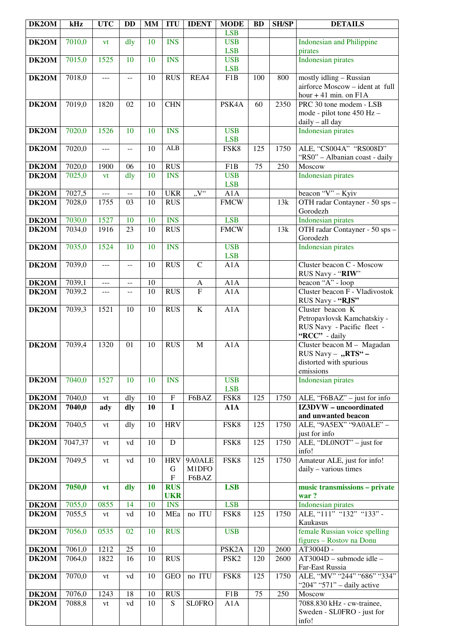| DK2OM | kHz     | <b>UTC</b> | <b>DD</b>      | <b>MM</b> | <b>ITU</b>                   | <b>IDENT</b>             | <b>MODE</b>              | <b>BD</b> | <b>SH/SP</b>     | <b>DETAILS</b>                                                                                 |
|-------|---------|------------|----------------|-----------|------------------------------|--------------------------|--------------------------|-----------|------------------|------------------------------------------------------------------------------------------------|
|       |         |            |                |           |                              |                          | <b>LSB</b>               |           |                  |                                                                                                |
| DK2OM | 7010,0  | vt         | dly            | 10        | <b>INS</b>                   |                          | <b>USB</b><br><b>LSB</b> |           |                  | <b>Indonesian and Philippine</b><br>pirates                                                    |
| DK2OM | 7015,0  | 1525       | 10             | 10        | <b>INS</b>                   |                          | <b>USB</b><br><b>LSB</b> |           |                  | <b>Indonesian pirates</b>                                                                      |
| DK2OM | 7018,0  | ---        | $- -$          | 10        | <b>RUS</b>                   | REA4                     | F1B                      | 100       | 800              | mostly idling - Russian<br>airforce Moscow - ident at full<br>hour $+41$ min. on $F1A$         |
| DK2OM | 7019,0  | 1820       | 02             | 10        | <b>CHN</b>                   |                          | PSK4A                    | 60        | 2350             | PRC 30 tone modem - LSB<br>mode - pilot tone 450 Hz -<br>daily - all day                       |
| DK2OM | 7020,0  | 1526       | 10             | 10        | <b>INS</b>                   |                          | <b>USB</b><br><b>LSB</b> |           |                  | <b>Indonesian pirates</b>                                                                      |
| DK2OM | 7020,0  | $---$      | $-$            | 10        | <b>ALB</b>                   |                          | FSK8                     | 125       | 1750             | ALE, "CS004A" "RS008D"<br>"RS0" - Albanian coast - daily                                       |
| DK2OM | 7020,0  | 1900       | 06             | 10        | <b>RUS</b>                   |                          | F1B                      | 75        | 250              | Moscow                                                                                         |
| DK2OM | 7025,0  | vt         | dly            | 10        | <b>INS</b>                   |                          | <b>USB</b><br><b>LSB</b> |           |                  | <b>Indonesian pirates</b>                                                                      |
| DK2OM | 7027,5  | ---        | $\overline{a}$ | 10        | <b>UKR</b>                   | $\overline{N''}$         | A1A                      |           |                  | beacon "V" - Kyiv                                                                              |
| DK2OM | 7028,0  | 1755       | 03             | 10        | <b>RUS</b>                   |                          | <b>FMCW</b>              |           | 13k              | OTH radar Contayner - 50 sps -<br>Gorodezh                                                     |
| DK2OM | 7030,0  | 1527       | 10             | 10        | <b>INS</b>                   |                          | <b>LSB</b>               |           |                  | Indonesian pirates                                                                             |
| DK2OM | 7034,0  | 1916       | 23             | 10        | <b>RUS</b>                   |                          | <b>FMCW</b>              |           | $\overline{13k}$ | OTH radar Contayner - 50 sps -<br>Gorodezh                                                     |
| DK2OM | 7035,0  | 1524       | 10             | 10        | <b>INS</b>                   |                          | <b>USB</b><br><b>LSB</b> |           |                  | <b>Indonesian pirates</b>                                                                      |
| DK2OM | 7039,0  | ---        | $-$            | 10        | <b>RUS</b>                   | $\overline{C}$           | A1A                      |           |                  | Cluster beacon C - Moscow<br>RUS Navy - "RIW"                                                  |
| DK2OM | 7039,1  | $---$      | $-$            | 10        |                              | A                        | A1A                      |           |                  | beacon "A" - loop                                                                              |
| DK2OM | 7039,2  | ---        | $\overline{a}$ | 10        | <b>RUS</b>                   | $\overline{F}$           | A1A                      |           |                  | Cluster beacon F - Vladivostok<br>RUS Navy - "RJS"                                             |
| DK2OM | 7039,3  | 1521       | 10             | 10        | $R\overline{US}$             | $\overline{\mathbf{K}}$  | A1A                      |           |                  | Cluster beacon K<br>Petropavlovsk Kamchatskiy -<br>RUS Navy - Pacific fleet -<br>"RCC" - daily |
| DK2OM | 7039,4  | 1320       | 01             | 10        | <b>RUS</b>                   | $\mathbf M$              | A1A                      |           |                  | Cluster beacon M - Magadan<br>RUS Navy - "RTS" -<br>distorted with spurious<br>emissions       |
| DK2OM | 7040,0  | 1527       | 10             | 10        | <b>INS</b>                   |                          | <b>USB</b><br><b>LSB</b> |           |                  | Indonesian pirates                                                                             |
| DK2OM | 7040,0  | vt         | dly            | 10        | ${\bf F}$                    | F6BAZ                    | FSK8                     | 125       | 1750             | ALE, "F6BAZ" - just for info                                                                   |
| DK2OM | 7040,0  | ady        | dly            | 10        | $\mathbf I$                  |                          | A1A                      |           |                  | IZ3DVW - uncoordinated<br>and unwanted beacon                                                  |
| DK2OM | 7040,5  | vt         | dly            | 10        | <b>HRV</b>                   |                          | FSK8                     | 125       | 1750             | ALE, "9A5EX" "9A0ALE" -<br>just for info                                                       |
| DK2OM | 7047,37 | vt         | vd             | 10        | $\mathbf D$                  |                          | FSK8                     | 125       | 1750             | ALE, " $\overline{DLONOT}$ " – just for<br>info!                                               |
| DK2OM | 7049,5  | vt         | vd             | 10        | <b>HRV</b><br>G<br>${\bf F}$ | 9A0ALE<br>M1DFO<br>F6BAZ | FSK8                     | 125       | 1750             | Amateur ALE, just for info!<br>daily - various times                                           |
| DK2OM | 7050,0  | vt         | dly            | 10        | <b>RUS</b><br><b>UKR</b>     |                          | <b>LSB</b>               |           |                  | music transmissions - private<br>war?                                                          |
| DK2OM | 7055,0  | 0855       | 14             | 10        | <b>INS</b>                   |                          | <b>LSB</b>               |           |                  | Indonesian pirates                                                                             |
| DK2OM | 7055,5  | vt         | vd             | 10        | MEa                          | no ITU                   | FSK8                     | 125       | 1750             | ALE, "111" "132" "133" -<br>Kaukasus                                                           |
| DK2OM | 7056,0  | 0535       | 02             | 10        | <b>RUS</b>                   |                          | <b>USB</b>               |           |                  | female Russian voice spelling<br>figures - Rostov na Donu                                      |
| DK2OM | 7061,0  | 1212       | 25             | 10        |                              |                          | PSK <sub>2</sub> A       | 120       | 2600             | AT3004D -                                                                                      |
| DK2OM | 7064,0  | 1822       | 16             | 10        | <b>RUS</b>                   |                          | PSK <sub>2</sub>         | 120       | 2600             | AT3004D - submode idle -<br>Far-East Russia                                                    |
| DK2OM | 7070,0  | vt         | vd             | 10        | <b>GEO</b>                   | no ITU                   | FSK8                     | 125       | 1750             | ALE, "MV" "244" "686" "334"<br>"204" "571" - daily active                                      |
| DK2OM | 7076,0  | 1243       | 18             | 10        | <b>RUS</b>                   |                          | F <sub>1</sub> B         | 75        | 250              | Moscow                                                                                         |
| DK2OM | 7088,8  | vt         | vd             | 10        | S                            | <b>SLOFRO</b>            | A1A                      |           |                  | 7088.830 kHz - cw-trainee,<br>Sweden - SL0FRO - just for<br>info!                              |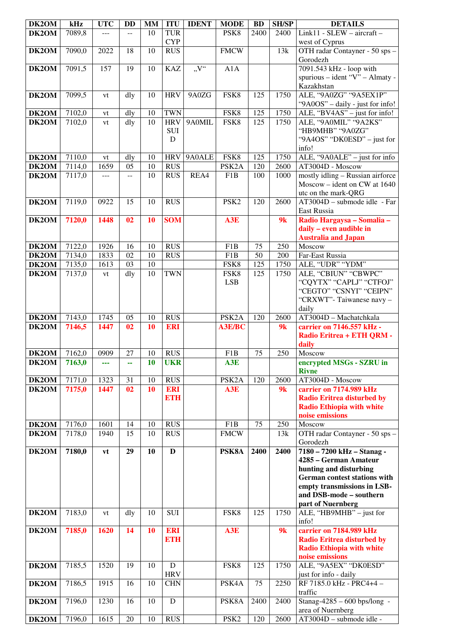| DK2OM              | kHz    | <b>UTC</b> | <b>DD</b>      | <b>MM</b> | <b>ITU</b>              | <b>IDENT</b> | <b>MODE</b>        | <b>BD</b>       | <b>SH/SP</b> | <b>DETAILS</b>                                        |
|--------------------|--------|------------|----------------|-----------|-------------------------|--------------|--------------------|-----------------|--------------|-------------------------------------------------------|
| DK2OM              | 7089,8 |            |                | 10        | <b>TUR</b>              |              | PSK8               | 2400            | 2400         | Link11 - SLEW - aircraft -                            |
|                    |        |            |                |           | <b>CYP</b>              |              |                    |                 |              | west of Cyprus                                        |
| DK2OM              | 7090,0 | 2022       | 18             | 10        | <b>RUS</b>              |              | <b>FMCW</b>        |                 | 13k          | OTH radar Contayner - 50 sps -                        |
|                    |        |            |                |           |                         |              |                    |                 |              | Gorodezh                                              |
| DK2OM              | 7091,5 | 157        | 19             | 10        | <b>KAZ</b>              | V''          | A1A                |                 |              | 7091.543 kHz - loop with                              |
|                    |        |            |                |           |                         |              |                    |                 |              | spurious - ident "V" - Almaty -                       |
| DK2OM              | 7099,5 |            | dly            | 10        | <b>HRV</b>              | 9A0ZG        | FSK8               | 125             | 1750         | Kazakhstan<br>ALE, "9A0ZG" "9A5EX1P"                  |
|                    |        | vt         |                |           |                         |              |                    |                 |              | "9A0OS" - daily - just for info!                      |
| DK2OM              | 7102,0 | vt         | dly            | 10        | <b>TWN</b>              |              | FSK8               | 125             | 1750         | ALE, " $BVAAS$ " – just for info!                     |
| DK2OM              | 7102,0 | vt         | dly            | 10        | <b>HRV</b>              | 9A0MIL       | FSK8               | 125             | 1750         | ALE, "9A0MIL" "9A2KS"                                 |
|                    |        |            |                |           | <b>SUI</b>              |              |                    |                 |              | "HB9MHB" "9A0ZG"                                      |
|                    |        |            |                |           | D                       |              |                    |                 |              | "9A4OS" "DK0ESD" – just for                           |
|                    |        |            |                |           |                         |              |                    |                 |              | info!                                                 |
| DK2OM              | 7110,0 | vt         | dly            | 10        | <b>HRV</b>              | 9A0ALE       | FSK8               | 125             | 1750         | ALE, "9A0ALE" - just for info                         |
| DK2OM              | 7114,0 | 1659       | 05             | 10        | <b>RUS</b>              |              | PSK <sub>2</sub> A | 120             | 2600         | $\overline{\text{AT}}3004\text{D}$ - Moscow           |
| DK2OM              | 7117,0 | $---$      | $\overline{a}$ | 10        | <b>RUS</b>              | REA4         | F1B                | 100             | 1000         | mostly idling - Russian airforce                      |
|                    |        |            |                |           |                         |              |                    |                 |              | Moscow - ident on CW at 1640                          |
|                    |        |            |                |           |                         |              |                    |                 |              | utc on the mark-QRG                                   |
| DK2OM              | 7119,0 | 0922       | 15             | 10        | <b>RUS</b>              |              | PSK <sub>2</sub>   | 120             | 2600         | AT3004D - submode idle - Far                          |
|                    |        |            |                |           |                         |              |                    |                 |              | East Russia                                           |
| DK2OM              | 7120,0 | 1448       | 02             | 10        | <b>SOM</b>              |              | A3E                |                 | 9k           | Radio Hargaysa - Somalia -                            |
|                    |        |            |                |           |                         |              |                    |                 |              | daily - even audible in<br><b>Australia and Japan</b> |
| DK2OM              | 7122,0 | 1926       | 16             | 10        | <b>RUS</b>              |              | F <sub>1</sub> B   | 75              | 250          | Moscow                                                |
| DK2OM              | 7134,0 | 1833       | 02             | 10        | <b>RUS</b>              |              | F <sub>1</sub> B   | 50              | 200          | Far-East Russia                                       |
| DK2OM              | 7135,0 | 1613       | 03             | 10        |                         |              | FSK8               | 125             | 1750         | ALE, "UDR" "YDM"                                      |
| DK2OM              | 7137,0 | vt         | dly            | 10        | <b>TWN</b>              |              | FSK8               | 125             | 1750         | ALE, "CBIUN" "CBWPC"                                  |
|                    |        |            |                |           |                         |              | <b>LSB</b>         |                 |              | "CQYTX" "CAPLJ" "CTFOJ"                               |
|                    |        |            |                |           |                         |              |                    |                 |              | "CEGTO" "CSNYI" "CEIPN"                               |
|                    |        |            |                |           |                         |              |                    |                 |              | "CRXWT"-Taiwanese navy -                              |
|                    |        |            |                |           |                         |              |                    |                 |              | daily                                                 |
| DK <sub>2</sub> OM | 7143,0 | 1745       | 05             | 10        | <b>RUS</b>              |              | PSK <sub>2</sub> A | 120             | 2600         | $\overline{AT3}004D$ - Machatchkala                   |
| DK2OM              | 7146,5 | 1447       | 02             | 10        | <b>ERI</b>              |              | <b>A3E/BC</b>      |                 | 9k           | carrier on 7146.557 kHz -                             |
|                    |        |            |                |           |                         |              |                    |                 |              | Radio Eritrea + ETH QRM -                             |
|                    | 7162,0 | 0909       | 27             | 10        | <b>RUS</b>              |              | F1B                | $\overline{75}$ | 250          | daily<br>Moscow                                       |
| DK2OM              |        |            |                | 10        |                         |              |                    |                 |              |                                                       |
| DK2OM              | 7163,0 | ---        | --             |           | <b>UKR</b>              |              | A3E                |                 |              | encrypted MSGs - SZRU in<br><b>Rivne</b>              |
| DK2OM              | 7171,0 | 1323       | 31             | 10        | <b>RUS</b>              |              | PSK <sub>2</sub> A | 120             | 2600         | AT3004D - Moscow                                      |
| DK2OM              | 7175,0 | 1447       | 02             | <b>10</b> | <b>ERI</b>              |              | A3E                |                 | 9k           | carrier on 7174.989 kHz                               |
|                    |        |            |                |           | <b>ETH</b>              |              |                    |                 |              | <b>Radio Eritrea disturbed by</b>                     |
|                    |        |            |                |           |                         |              |                    |                 |              | <b>Radio Ethiopia with white</b>                      |
|                    |        |            |                |           |                         |              |                    |                 |              | noise emissions                                       |
| DK2OM              | 7176,0 | 1601       | 14             | 10        | <b>RUS</b>              |              | F1B                | 75              | 250          | Moscow                                                |
| DK2OM              | 7178,0 | 1940       | 15             | 10        | <b>RUS</b>              |              | <b>FMCW</b>        |                 | 13k          | OTH radar Contayner - 50 sps -                        |
|                    |        |            |                |           |                         |              |                    |                 |              | Gorodezh                                              |
| DK2OM              | 7180,0 | vt         | 29             | 10        | D                       |              | PSK8A              | 2400            | 2400         | 7180 - 7200 kHz - Stanag -                            |
|                    |        |            |                |           |                         |              |                    |                 |              | 4285 – German Amateur<br>hunting and disturbing       |
|                    |        |            |                |           |                         |              |                    |                 |              | <b>German contest stations with</b>                   |
|                    |        |            |                |           |                         |              |                    |                 |              | empty transmissions in LSB-                           |
|                    |        |            |                |           |                         |              |                    |                 |              | and DSB-mode - southern                               |
|                    |        |            |                |           |                         |              |                    |                 |              | part of Nuernberg                                     |
| DK2OM              | 7183,0 | vt         | dly            | 10        | <b>SUI</b>              |              | FSK8               | 125             | 1750         | ALE, "HB9MHB" - just for                              |
|                    |        |            |                |           |                         |              |                    |                 |              | info!                                                 |
| DK2OM              | 7185,0 | 1620       | 14             | <b>10</b> | <b>ERI</b>              |              | A3E                |                 | 9k           | carrier on 7184.989 kHz                               |
|                    |        |            |                |           | <b>ETH</b>              |              |                    |                 |              | <b>Radio Eritrea disturbed by</b>                     |
|                    |        |            |                |           |                         |              |                    |                 |              | <b>Radio Ethiopia with white</b>                      |
|                    |        |            |                |           |                         |              |                    |                 |              | noise emissions                                       |
| DK2OM              | 7185,5 | 1520       | 19             | 10        | ${\bf D}$<br><b>HRV</b> |              | FSK8               | 125             | 1750         | ALE, "9A5EX" "DK0ESD"                                 |
| DK2OM              | 7186,5 | 1915       | 16             | 10        | <b>CHN</b>              |              | PSK4A              | 75              | 2250         | just for info - daily<br>RF 7185.0 kHz - PRC4+4 -     |
|                    |        |            |                |           |                         |              |                    |                 |              | traffic                                               |
| DK2OM              | 7196,0 | 1230       | 16             | 10        | D                       |              | PSK8A              | 2400            | 2400         | Stanag-4285 - 600 bps/long -                          |
|                    |        |            |                |           |                         |              |                    |                 |              | area of Nuernberg                                     |
| DK2OM              | 7196,0 | 1615       | 20             | 10        | <b>RUS</b>              |              | PSK <sub>2</sub>   | 120             | 2600         | AT3004D - submode idle -                              |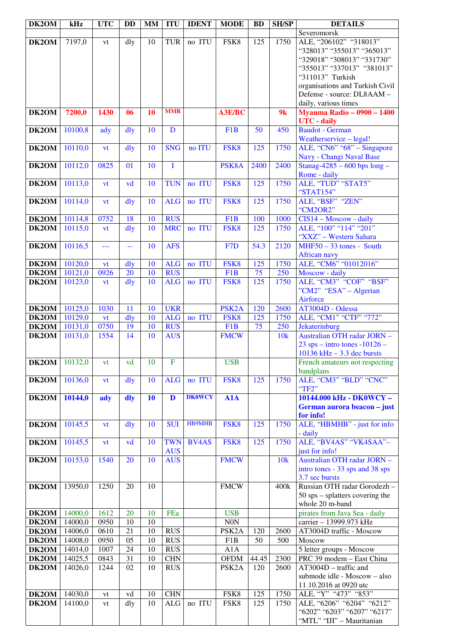| DK2OM | kHz     | <b>UTC</b> | <b>DD</b>      | <b>MM</b> | <b>ITU</b>      | <b>IDENT</b>  | <b>MODE</b>        | <b>BD</b>        | <b>SH/SP</b> | <b>DETAILS</b>                                         |
|-------|---------|------------|----------------|-----------|-----------------|---------------|--------------------|------------------|--------------|--------------------------------------------------------|
|       |         |            |                |           |                 |               |                    |                  |              | Severomorsk                                            |
| DK2OM | 7197,0  | vt         | dly            | 10        | <b>TUR</b>      | no ITU        | FSK8               | $\overline{1}25$ | 1750         | ALE, "206102" "318013"                                 |
|       |         |            |                |           |                 |               |                    |                  |              | "328013" "355013" "365013"                             |
|       |         |            |                |           |                 |               |                    |                  |              | "329018" "308013" "331730"                             |
|       |         |            |                |           |                 |               |                    |                  |              | "355013" "337013" "381013"                             |
|       |         |            |                |           |                 |               |                    |                  |              | "311013" Turkish                                       |
|       |         |            |                |           |                 |               |                    |                  |              | organisations and Turkish Civil                        |
|       |         |            |                |           |                 |               |                    |                  |              | Defense - source: DL8AAM -                             |
|       |         |            |                |           |                 |               |                    |                  |              | daily, various times                                   |
| DK2OM | 7200,0  | 1430       | 06             | <b>10</b> | <b>MMR</b>      |               | <b>A3E/BC</b>      |                  | 9k           | <b>Myanma Radio - 0900 - 1400</b>                      |
|       |         |            |                |           |                 |               |                    |                  |              | <b>UTC</b> - daily                                     |
| DK2OM | 10100,8 | ady        | dly            | 10        | $\mathbf D$     |               | F1B                | 50               | 450          | <b>Baudot</b> - German                                 |
|       |         |            |                |           | <b>SNG</b>      | no ITU        | FSK8               | 125              | 1750         | Weatherservice - legal!<br>ALE, "CN6" "68" - Singapore |
| DK2OM | 10110,0 | vt         | dly            | 10        |                 |               |                    |                  |              | Navy - Changi Naval Base                               |
| DK2OM | 10112,0 | 0825       | 01             | 10        | $\mathbf I$     |               | PSK8A              | 2400             | 2400         | Stanag-4285 - 600 bps $long -$                         |
|       |         |            |                |           |                 |               |                    |                  |              | Rome - daily                                           |
| DK2OM | 10113,0 | vt         | vd             | 10        | <b>TUN</b>      | no ITU        | FSK8               | 125              | 1750         | ALE, "TUD" "STAT5"                                     |
|       |         |            |                |           |                 |               |                    |                  |              | "STAT154"                                              |
| DK2OM | 10114,0 | <b>vt</b>  | dly            | 10        | <b>ALG</b>      | no ITU        | FSK8               | 125              | 1750         | ALE, "BSF" "ZEN"                                       |
|       |         |            |                |           |                 |               |                    |                  |              | "CM2OR2"                                               |
| DK2OM | 10114,8 | 0752       | 18             | 10        | <b>RUS</b>      |               | F <sub>1</sub> B   | 100              | 1000         | CIS14 - Moscow - daily                                 |
| DK2OM | 10115,0 | vt         | $\frac{d}{dy}$ | 10        | <b>MRC</b>      | no ITU        | FSK8               | 125              | 1750         | ALE, "100" "114" "201"                                 |
|       |         |            |                |           |                 |               |                    |                  |              | "XXZ" - Western Sahara                                 |
| DK2OM | 10116,5 | ---        | $-$            | 10        | <b>AFS</b>      |               | F <sub>7</sub> D   | 54.3             | 2120         | $MHF50 - 33$ tones - South                             |
|       |         |            |                |           |                 |               |                    |                  |              | African navy                                           |
| DK2OM | 10120,0 | vt         | $\frac{d}{dy}$ | 10        | <b>ALG</b>      | no ITU        | FSK8               | 125              | 1750         | ALE, "CM6" "01012016"                                  |
| DK2OM | 10121,0 | 0926       | 20             | 10        | <b>RUS</b>      |               | F <sub>1</sub> B   | 75               | 250          | Moscow - daily                                         |
| DK2OM | 10123,0 | vt         | dly            | 10        | <b>ALG</b>      | no ITU        | FSK8               | 125              | 1750         | ALE, "CM3" "COF" "BSF"                                 |
|       |         |            |                |           |                 |               |                    |                  |              | "CM2" "ESA" – Algerian                                 |
|       |         |            |                |           |                 |               |                    |                  |              | Airforce                                               |
| DK2OM | 10125,0 | 1030       | 11             | 10        | <b>UKR</b>      |               | PSK <sub>2</sub> A | 120              | 2600         | AT3004D - Odessa                                       |
| DK2OM | 10129,0 | vt         | dly            | 10        | <b>ALG</b>      | no ITU        | FSK8               | 125              | 1750         | ALE, "CM1" "CTF" "772"                                 |
| DK2OM | 10131,0 | 0750       | 19             | 10        | <b>RUS</b>      |               | F <sub>1</sub> B   | 75               | 250          | Jekaterinburg                                          |
| DK2OM | 10131,0 | 1554       | 14             | 10        | A <sub>US</sub> |               | <b>FMCW</b>        |                  | 10k          | Australian OTH radar JORN -                            |
|       |         |            |                |           |                 |               |                    |                  |              | $23$ sps – intro tones -10126 –                        |
|       |         |            |                |           |                 |               |                    |                  |              | $10136$ kHz $- 3.3$ dec bursts                         |
| DK2OM | 10132,0 | vt         | vd             | 10        | $\overline{F}$  |               | <b>USB</b>         |                  |              | French amateurs not respecting                         |
|       |         |            |                |           |                 |               |                    |                  |              | bandplans                                              |
| DK2OM | 10136,0 | vt         | dly            | 10        | <b>ALG</b>      | no ITU        | FSK8               | 125              | 1750         | ALE, "CM3" "BLD" "CNC"                                 |
|       |         |            |                |           |                 |               |                    |                  |              | "TF2"                                                  |
| DK2OM | 10144,0 | ady        | dly            | 10        | $\mathbf{D}$    | <b>DK0WCY</b> | A1A                |                  |              | 10144.000 kHz - DK0WCY -                               |
|       |         |            |                |           |                 |               |                    |                  |              | German aurora beacon - just                            |
| DK2OM | 10145,5 |            |                | 10        | <b>SUI</b>      | <b>HB9MHB</b> | FSK8               | 125              | 1750         | for info!<br>ALE, "HBMHB" - just for info              |
|       |         | vt         | dly            |           |                 |               |                    |                  |              | - daily                                                |
| DK2OM | 10145,5 | vt         | vd             | 10        | <b>TWN</b>      | <b>BV4AS</b>  | FSK8               | 125              | 1750         | ALE, "BV4AS" "VK4SAA"-                                 |
|       |         |            |                |           | <b>AUS</b>      |               |                    |                  |              | just for info!                                         |
| DK2OM | 10153,0 | 1540       | 20             | 10        | <b>AUS</b>      |               | <b>FMCW</b>        |                  | 10k          | Australian OTH radar JORN -                            |
|       |         |            |                |           |                 |               |                    |                  |              | intro tones - 33 sps and 38 sps                        |
|       |         |            |                |           |                 |               |                    |                  |              | 3.7 sec bursts                                         |
| DK2OM | 13950,0 | 1250       | 20             | 10        |                 |               | <b>FMCW</b>        |                  | 400k         | Russian OTH radar Gorodezh -                           |
|       |         |            |                |           |                 |               |                    |                  |              | $50$ sps – splatters covering the                      |
|       |         |            |                |           |                 |               |                    |                  |              | whole 20 m-band                                        |
| DK2OM | 14000,0 | 1612       | 20             | 10        | FEa             |               | <b>USB</b>         |                  |              | pirates from Java Sea - daily                          |
| DK2OM | 14000,0 | 0950       | 10             | 10        |                 |               | N0N                |                  |              | carrier - 13999.973 kHz                                |
| DK2OM | 14006,0 | 0610       | 21             | 10        | <b>RUS</b>      |               | PSK <sub>2</sub> A | 120              | 2600         | AT3004D traffic - Moscow                               |
| DK2OM | 14008,0 | 0950       | 05             | 10        | <b>RUS</b>      |               | F1B                | 50               | 500          | Moscow                                                 |
| DK2OM | 14014,0 | 1007       | 24             | 10        | <b>RUS</b>      |               | A1A                |                  |              | 5 letter groups - Moscow                               |
| DK2OM | 14025,5 | 0843       | 31             | 10        | <b>CHN</b>      |               | <b>OFDM</b>        | 44.45            | 2300         | PRC 39 modem - East China                              |
| DK2OM | 14026,0 | 1244       | 02             | 10        | <b>RUS</b>      |               | PSK <sub>2</sub> A | 120              | 2600         | AT3004D - traffic and                                  |
|       |         |            |                |           |                 |               |                    |                  |              | submode idle - Moscow - also                           |
|       |         |            |                |           |                 |               |                    |                  |              | 11.10.2016 at 0920 utc                                 |
| DK2OM | 14030,0 | vt         | vd             | 10        | <b>CHN</b>      |               | FSK8               | 125              | 1750         | ALE, "Y" "473" "853"                                   |
| DK2OM | 14100,0 | vt         | dly            | 10        | $\rm ALG$       | no ITU        | FSK8               | 125              | 1750         | ALE, "6206" "6204" "6212"                              |
|       |         |            |                |           |                 |               |                    |                  |              | "6202" "6203" "6207" "6217"                            |
|       |         |            |                |           |                 |               |                    |                  |              | "MTL" "IJI" - Mauritanian                              |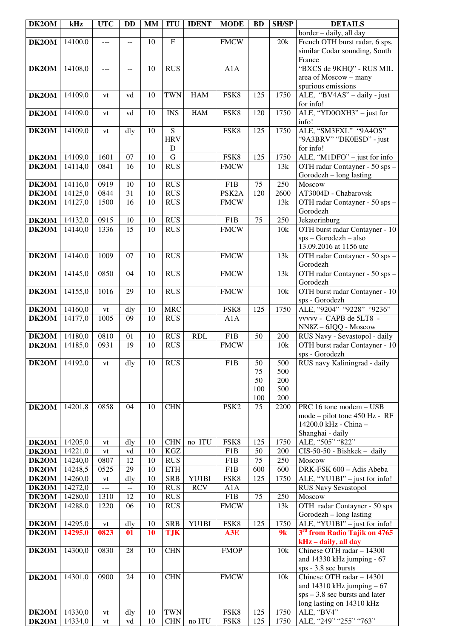| DK2OM          | kHz                | <b>UTC</b>   | <b>DD</b> | <b>MM</b> | <b>ITU</b>              | <b>IDENT</b> | <b>MODE</b>         | <b>BD</b> | <b>SH/SP</b> | <b>DETAILS</b>                                                 |
|----------------|--------------------|--------------|-----------|-----------|-------------------------|--------------|---------------------|-----------|--------------|----------------------------------------------------------------|
|                |                    |              |           |           |                         |              |                     |           |              | border - daily, all day                                        |
| DK2OM          | 14100,0            | ---          | $-$       | 10        | $\overline{F}$          |              | <b>FMCW</b>         |           | 20k          | French OTH burst radar, 6 sps,                                 |
|                |                    |              |           |           |                         |              |                     |           |              | similar Codar sounding, South                                  |
| DK2OM          | 14108,0            | ---          |           | 10        | <b>RUS</b>              |              | A1A                 |           |              | France<br>"BXCS de 9KHQ" - RUS MIL                             |
|                |                    |              | $-$       |           |                         |              |                     |           |              | area of Moscow - many                                          |
|                |                    |              |           |           |                         |              |                     |           |              | spurious emissions                                             |
| DK2OM          | 14109,0            | vt           | vd        | 10        | <b>TWN</b>              | <b>HAM</b>   | FSK8                | 125       | 1750         | ALE, "BV4AS" - daily - just                                    |
|                |                    |              |           |           |                         |              |                     |           |              | for info!                                                      |
| DK2OM          | 14109,0            | vt           | vd        | 10        | <b>INS</b>              | <b>HAM</b>   | FSK8                | 120       | 1750         | ALE, "YD0OXH3" – just for                                      |
|                |                    |              |           |           |                         |              |                     |           |              | info!                                                          |
| DK2OM          | 14109,0            | vt           | dly       | 10        | $\overline{S}$          |              | FSK8                | 125       | 1750         | ALE, "SM3FXL" "9A4OS"                                          |
|                |                    |              |           |           | <b>HRV</b>              |              |                     |           |              | "9A3BRV" "DK0ESD" - just                                       |
|                |                    |              |           |           | $\mathbf D$             |              |                     |           |              | for info!                                                      |
| DK2OM<br>DK2OM | 14109,0<br>14114,0 | 1601<br>0841 | 07<br>16  | 10<br>10  | ${\bf G}$<br><b>RUS</b> |              | FSK8<br><b>FMCW</b> | 125       | 1750<br>13k  | ALE, "M1DFO" - just for info<br>OTH radar Contayner - 50 sps - |
|                |                    |              |           |           |                         |              |                     |           |              | Gorodezh – long lasting                                        |
| DK2OM          | 14116,0            | 0919         | 10        | 10        | <b>RUS</b>              |              | F <sub>1</sub> B    | 75        | 250          | Moscow                                                         |
| DK2OM          | 14125,0            | 0844         | 31        | 10        | <b>RUS</b>              |              | PSK <sub>2</sub> A  | 120       | 2600         | AT3004D - Chabarovsk                                           |
| DK2OM          | 14127,0            | 1500         | 16        | 10        | <b>RUS</b>              |              | <b>FMCW</b>         |           | 13k          | OTH radar Contayner - 50 sps -                                 |
|                |                    |              |           |           |                         |              |                     |           |              | Gorodezh                                                       |
| DK2OM          | 14132,0            | 0915         | 10        | 10        | <b>RUS</b>              |              | F <sub>1</sub> B    | 75        | 250          | Jekaterinburg                                                  |
| DK2OM          | 14140,0            | 1336         | 15        | 10        | <b>RUS</b>              |              | <b>FMCW</b>         |           | 10k          | OTH burst radar Contayner - 10                                 |
|                |                    |              |           |           |                         |              |                     |           |              | sps - Gorodezh - also                                          |
|                | 14140,0            | 1009         |           |           | <b>RUS</b>              |              | <b>FMCW</b>         |           |              | 13.09.2016 at 1156 utc                                         |
| DK2OM          |                    |              | 07        | 10        |                         |              |                     |           | 13k          | OTH radar Contayner - 50 sps -<br>Gorodezh                     |
| DK2OM          | 14145,0            | 0850         | 04        | 10        | <b>RUS</b>              |              | <b>FMCW</b>         |           | 13k          | OTH radar Contayner - 50 sps -                                 |
|                |                    |              |           |           |                         |              |                     |           |              | Gorodezh                                                       |
| DK2OM          | 14155,0            | 1016         | 29        | 10        | <b>RUS</b>              |              | <b>FMCW</b>         |           | 10k          | OTH burst radar Contayner - 10                                 |
|                |                    |              |           |           |                         |              |                     |           |              | sps - Gorodezh                                                 |
| DK2OM          | 14160,0            | vt           | dly       | 10        | <b>MRC</b>              |              | FSK8                | 125       | 1750         | ALE, "9204" "9228" "9236"                                      |
| DK2OM          | 14177,0            | 1005         | 09        | 10        | <b>RUS</b>              |              | A1A                 |           |              | vvvvv - CAPB de 5LT8 -                                         |
|                |                    |              |           |           |                         |              |                     |           |              | NN8Z-6JQQ - Moscow                                             |
| DK2OM          | 14180,0            | 0810         | 01        | 10        | <b>RUS</b>              | <b>RDL</b>   | F1B                 | 50        | 200          | RUS Navy - Sevastopol - daily                                  |
| DK2OM          | 14185,0            | 0931         | 19        | 10        | <b>RUS</b>              |              | <b>FMCW</b>         |           | 10k          | OTH burst radar Contayner - 10<br>sps - Gorodezh               |
| DK2OM          | 14192,0            | vt           | dly       | 10        | <b>RUS</b>              |              | F1B                 | 50        | 500          | RUS navy Kaliningrad - daily                                   |
|                |                    |              |           |           |                         |              |                     | 75        | 500          |                                                                |
|                |                    |              |           |           |                         |              |                     | 50        | 200          |                                                                |
|                |                    |              |           |           |                         |              |                     | 100       | 500          |                                                                |
|                |                    |              |           |           |                         |              |                     | 100       | 200          |                                                                |
| DK2OM          | 14201,8            | 0858         | 04        | 10        | <b>CHN</b>              |              | PSK <sub>2</sub>    | 75        | 2200         | PRC 16 tone modem - USB                                        |
|                |                    |              |           |           |                         |              |                     |           |              | mode - pilot tone 450 Hz - RF<br>14200.0 kHz - China -         |
|                |                    |              |           |           |                         |              |                     |           |              | Shanghai - daily                                               |
| DK2OM          | 14205,0            | vt           | dly       | 10        | <b>CHN</b>              | no ITU       | FSK8                | 125       | 1750         | ALE, "505" "822"                                               |
| <b>DK2OM</b>   | 14221,0            | vt           | vd        | 10        | KGZ                     |              | F1B                 | 50        | 200          | $CIS-50-50$ - Bishkek - daily                                  |
| <b>DK2OM</b>   | 14240,0            | 0807         | 12        | 10        | <b>RUS</b>              |              | F1B                 | 75        | 250          | Moscow                                                         |
| DK2OM          | 14248,5            | 0525         | 29        | 10        | <b>ETH</b>              |              | F1B                 | 600       | 600          | DRK-FSK 600 - Adis Abeba                                       |
| DK2OM          | 14260,0            | vt           | dly       | 10        | <b>SRB</b>              | YU1BI        | FSK8                | 125       | 1750         | ALE, "YU1BI" - just for info!                                  |
| DK2OM          | 14272,0            | $---$        | $- -$     | 10        | <b>RUS</b>              | <b>RCV</b>   | A1A                 |           |              | <b>RUS Navy Sevastopol</b>                                     |
| DK2OM          | 14280,0            | 1310         | 12        | 10        | <b>RUS</b>              |              | F1B                 | 75        | 250          | Moscow                                                         |
| DK2OM          | 14288,0            | 1220         | 06        | 10        | <b>RUS</b>              |              | <b>FMCW</b>         |           | 13k          | OTH radar Contayner - 50 sps                                   |
| DK2OM          | 14295,0            | vt           | dly       | 10        | <b>SRB</b>              | YU1BI        | FSK8                | 125       | 1750         | Gorodezh – long lasting<br>ALE, "YU1BI" - just for info!       |
| DK2OM          | 14295,0            | 0823         | 01        | 10        | <b>TJK</b>              |              | A3E                 |           | 9k           | 3 <sup>rd</sup> from Radio Tajik on 4765                       |
|                |                    |              |           |           |                         |              |                     |           |              | kHz - daily, all day                                           |
| DK2OM          | 14300,0            | 0830         | 28        | 10        | <b>CHN</b>              |              | <b>FMOP</b>         |           | 10k          | Chinese OTH radar - 14300                                      |
|                |                    |              |           |           |                         |              |                     |           |              | and 14330 kHz jumping - 67                                     |
|                |                    |              |           |           |                         |              |                     |           |              | sps - 3.8 sec bursts                                           |
| DK2OM          | 14301,0            | 0900         | 24        | 10        | <b>CHN</b>              |              | <b>FMCW</b>         |           | 10k          | Chinese OTH radar - 14301                                      |
|                |                    |              |           |           |                         |              |                     |           |              | and $14310$ kHz jumping $-67$                                  |
|                |                    |              |           |           |                         |              |                     |           |              | $sps - 3.8$ sec bursts and later                               |
| DK2OM          | 14330,0            | vt           | dly       | 10        | <b>TWN</b>              |              | FSK8                | 125       | 1750         | long lasting on 14310 kHz<br>ALE, "BV4"                        |
| DK2OM          | 14334,0            | vt           | vd        | 10        | $\rm CHN$               | no ITU       | FSK8                | 125       | 1750         | ALE, "249" "255" "763"                                         |
|                |                    |              |           |           |                         |              |                     |           |              |                                                                |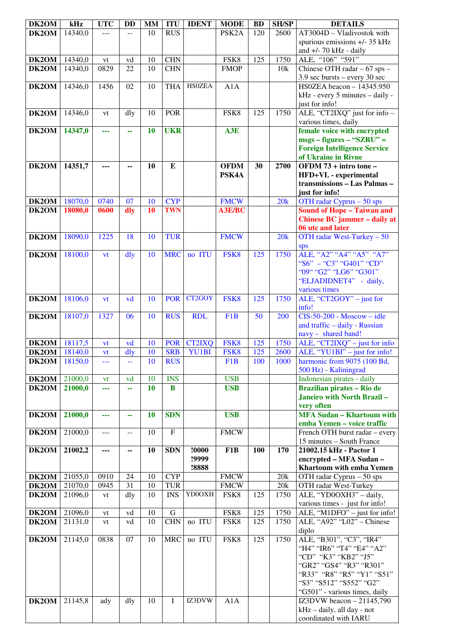| DK2OM                | kHz     | <b>UTC</b> | <b>DD</b>                | MM              | <b>ITU</b>  | <b>IDENT</b>  | <b>MODE</b>        | <b>BD</b> | <b>SH/SP</b> | <b>DETAILS</b>                                                    |
|----------------------|---------|------------|--------------------------|-----------------|-------------|---------------|--------------------|-----------|--------------|-------------------------------------------------------------------|
| DK2OM                | 14340,0 | ---        |                          | 10              | <b>RUS</b>  |               | PSK <sub>2</sub> A | 120       | 2600         | AT3004D - Vladivostok with                                        |
|                      |         |            |                          |                 |             |               |                    |           |              | spurious emissions +/- 35 kHz                                     |
|                      |         |            |                          |                 |             |               |                    |           |              | and $+/- 70$ kHz - daily                                          |
| DK2OM                | 14340,0 | vt         | vd                       | 10              | <b>CHN</b>  |               | FSK8               | 125       | 1750         | ALE, "106" "591"                                                  |
| DK2OM                | 14340,0 | 0829       | 22                       | 10              | <b>CHN</b>  |               | <b>FMOP</b>        |           | 10k          | Chinese OTH radar $-67$ sps $-$                                   |
|                      |         |            |                          |                 |             |               |                    |           |              | 3.9 sec bursts - every 30 sec                                     |
| DK2OM                | 14346,0 | 1456       | 02                       | 10              | <b>THA</b>  | <b>HS0ZEA</b> | A1A                |           |              | HS0ZEA beacon - 14345.950                                         |
|                      |         |            |                          |                 |             |               |                    |           |              | kHz - every 5 minutes - daily -                                   |
| DK2OM                | 14346,0 |            |                          |                 | POR         |               | FSK8               | 125       | 1750         | just for info!<br>ALE, "CT2IXQ" just for info -                   |
|                      |         | vt         | dly                      | 10              |             |               |                    |           |              | various times, daily                                              |
| DK2OM                | 14347,0 | ---        | 44                       | 10              | <b>UKR</b>  |               | A3E                |           |              | female voice with encrypted                                       |
|                      |         |            |                          |                 |             |               |                    |           |              | $msgs - figures - "SZRU" =$                                       |
|                      |         |            |                          |                 |             |               |                    |           |              | <b>Foreign Intelligence Service</b>                               |
|                      |         |            |                          |                 |             |               |                    |           |              | of Ukraine in Rivne                                               |
| DK2OM                | 14351,7 | ---        | --                       | 10              | ${\bf E}$   |               | <b>OFDM</b>        | 30        | 2700         | OFDM 73 + intro tone -                                            |
|                      |         |            |                          |                 |             |               | PSK4A              |           |              | HFD+VL - experimental                                             |
|                      |         |            |                          |                 |             |               |                    |           |              | transmissions - Las Palmas -                                      |
|                      |         |            |                          |                 | <b>CYP</b>  |               |                    |           |              | just for info!                                                    |
| DK2OM                | 18070,0 | 0740       | 07                       | 10<br>10        | <b>TWN</b>  |               | <b>FMCW</b>        |           | 20k          | OTH radar Cyprus $-50$ sps                                        |
| DK2OM                | 18080,0 | 0600       | dly                      |                 |             |               | <b>A3E/BC</b>      |           |              | <b>Sound of Hope - Taiwan and</b><br>Chinese BC jammer - daily at |
|                      |         |            |                          |                 |             |               |                    |           |              | 06 utc and later                                                  |
| DK2OM                | 18090,0 | 1225       | 18                       | 10              | <b>TUR</b>  |               | <b>FMCW</b>        |           | 20k          | OTH radar West-Turkey - 50                                        |
|                      |         |            |                          |                 |             |               |                    |           |              | sps                                                               |
| DK2OM                | 18100,0 | vt         | dly                      | 10              | <b>MRC</b>  | no ITU        | FSK8               | 125       | 1750         | ALE, "A2" "A4" "A5" "A7"                                          |
|                      |         |            |                          |                 |             |               |                    |           |              | "S6" - "C3" "G401" "CD"                                           |
|                      |         |            |                          |                 |             |               |                    |           |              | "09" "G2" "LG6" "G301"                                            |
|                      |         |            |                          |                 |             |               |                    |           |              | "ELJADIDNET4" - daily,                                            |
|                      |         |            |                          |                 |             |               |                    |           |              | various times                                                     |
| DK2OM                | 18106,0 | vt         | vd                       | 10              | <b>POR</b>  | CT2GOY        | FSK8               | 125       | 1750         | ALE, " $\overline{CT2GOY}$ " – just for<br>info!                  |
| DK2OM                | 18107,0 | 1327       | 06                       | 10              | <b>RUS</b>  | <b>RDL</b>    | F <sub>1</sub> B   | 50        | 200          | $CIS-50-200$ - Moscow - idle                                      |
|                      |         |            |                          |                 |             |               |                    |           |              | and traffic - daily - Russian                                     |
|                      |         |            |                          |                 |             |               |                    |           |              | navy - shared band!                                               |
| <b>DK2OM</b>         | 18117,5 | vt         | vd                       | 10              | <b>POR</b>  | <b>CT2IXQ</b> | FSK8               | 125       | 1750         | ALE, "CT2IXQ" - just for info                                     |
| DK2OM                | 18140,0 | vt         | dly                      | 10              | <b>SRB</b>  | YU1BI         | FSK8               | 125       | 2600         | ALE, "YU1BI" - just for info!                                     |
| <b>DK2OM</b> 18150,0 |         | ---        | $\overline{\phantom{a}}$ | $\overline{10}$ | <b>RUS</b>  |               | F1B                | 100       | 1000         | harmonic from 9075 (100 Bd,                                       |
|                      |         |            |                          |                 |             |               |                    |           |              | 500 Hz) - Kaliningrad                                             |
| DK2OM                | 21000,0 | vt         | vd                       | 10              | <b>INS</b>  |               | <b>USB</b>         |           |              | Indonesian pirates - daily                                        |
| DK2OM                | 21000,0 | ---        | 44                       | 10              | $\bf{B}$    |               | <b>USB</b>         |           |              | Brazilian pirates - Rio de                                        |
|                      |         |            |                          |                 |             |               |                    |           |              | Janeiro with North Brazil-                                        |
| DK2OM                | 21000,0 | ---        | 44                       | 10              | <b>SDN</b>  |               | <b>USB</b>         |           |              | very often<br><b>MFA Sudan - Khartoum with</b>                    |
|                      |         |            |                          |                 |             |               |                    |           |              | emba Yemen - voice traffic                                        |
| DK2OM                | 21000,0 | $---$      | $\overline{a}$           | 10              | $\mathbf F$ |               | <b>FMCW</b>        |           |              | French OTH burst radar - every                                    |
|                      |         |            |                          |                 |             |               |                    |           |              | 15 minutes - South France                                         |
| DK2OM                | 21002,2 | ---        | ۰.                       | 10              | <b>SDN</b>  | !0000         | F <sub>1</sub> B   | 100       | 170          | 21002.15 kHz - Pactor 1                                           |
|                      |         |            |                          |                 |             | !9999         |                    |           |              | encrypted - MFA Sudan -                                           |
|                      |         |            |                          |                 |             | !8888         |                    |           |              | Khartoum with emba Yemen                                          |
| DK2OM                | 21055,0 | 0910       | 24                       | 10              | <b>CYP</b>  |               | <b>FMCW</b>        |           | 20k          | OTH radar Cyprus $-50$ sps                                        |
| DK2OM                | 21070,0 | 0945       | 31                       | 10              | <b>TUR</b>  |               | <b>FMCW</b>        |           | $20k$        | OTH radar West-Turkey                                             |
| DK2OM                | 21096,0 | vt         | dly                      | 10              | <b>INS</b>  | YD0OXH        | FSK8               | 125       | 1750         | ALE, "YD0OXH3" - daily,                                           |
| DK2OM                | 21096,0 | vt         | vd                       | 10              | $\mathbf G$ |               | FSK8               | 125       | 1750         | various times - just for info!<br>ALE, "M1DFO" - just for info!   |
| DK2OM                | 21131,0 | vt         | vd                       | 10              | <b>CHN</b>  | no ITU        | FSK8               | 125       | 1750         | ALE, "A92" "L02" - Chinese                                        |
|                      |         |            |                          |                 |             |               |                    |           |              | diplo                                                             |
| DK2OM                | 21145,0 | 0838       | 07                       | 10              | <b>MRC</b>  | no ITU        | FSK8               | 125       | 1750         | ALE, "B301", "C3", "IR4"                                          |
|                      |         |            |                          |                 |             |               |                    |           |              | "H4" "IR6" "T4" "E4" "A2"                                         |
|                      |         |            |                          |                 |             |               |                    |           |              | "CD" "K3" "KB2" "J5"                                              |
|                      |         |            |                          |                 |             |               |                    |           |              | "GR2" "GS4" "R3" "R301"                                           |
|                      |         |            |                          |                 |             |               |                    |           |              | "R33" "R8" "R5" "Y1" "S51"                                        |
|                      |         |            |                          |                 |             |               |                    |           |              | "S3" "S512" "S552" "G2"                                           |
|                      |         |            |                          |                 |             |               |                    |           |              | "G501" - various times, daily                                     |
| DK2OM                | 21145,8 | ady        | dly                      | 10              | $\mathbf I$ | IZ3DVW        | A1A                |           |              | IZ3DVW beacon $-21145,790$<br>kHz - daily, all day - not          |
|                      |         |            |                          |                 |             |               |                    |           |              | coordinated with IARU                                             |
|                      |         |            |                          |                 |             |               |                    |           |              |                                                                   |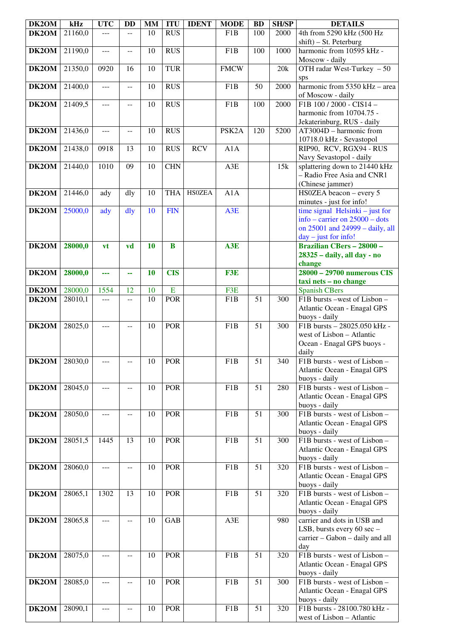| DK2OM                | kHz     | <b>UTC</b>    | <b>DD</b>      | <b>MM</b>       | <b>ITU</b>       | <b>IDENT</b>  | <b>MODE</b>        | <b>BD</b>       | <b>SH/SP</b> | <b>DETAILS</b>                                                |
|----------------------|---------|---------------|----------------|-----------------|------------------|---------------|--------------------|-----------------|--------------|---------------------------------------------------------------|
| DK2OM                | 21160,0 | ---           |                | 10              | $R\overline{US}$ |               | F <sub>1</sub> B   | 100             | 2000         | 4th from 5290 kHz (500 Hz                                     |
|                      |         |               |                |                 |                  |               |                    |                 |              | shift) - St. Peterburg                                        |
| DK2OM                | 21190,0 | ---           | --             | 10              | <b>RUS</b>       |               | F <sub>1</sub> B   | 100             | 1000         | harmonic from 10595 kHz -                                     |
|                      |         |               |                |                 |                  |               |                    |                 |              | Moscow - daily                                                |
| DK2OM                | 21350,0 | 0920          | 16             | 10              | <b>TUR</b>       |               | <b>FMCW</b>        |                 | 20k          | OTH radar West-Turkey $-50$                                   |
|                      |         |               |                |                 |                  |               |                    |                 |              | sps<br>harmonic from 5350 kHz - area                          |
| DK2OM                | 21400,0 | $\frac{1}{2}$ | $-$            | 10              | <b>RUS</b>       |               | F1B                | 50              | 2000         |                                                               |
| DK <sub>2</sub> OM   | 21409,5 | ---           | $-$            | 10              | <b>RUS</b>       |               | F <sub>1</sub> B   | 100             | 2000         | of Moscow - daily<br>F1B 100 / 2000 - CIS14 -                 |
|                      |         |               |                |                 |                  |               |                    |                 |              | harmonic from 10704.75 -                                      |
|                      |         |               |                |                 |                  |               |                    |                 |              | Jekaterinburg, RUS - daily                                    |
| DK2OM                | 21436,0 | ---           | --             | 10              | <b>RUS</b>       |               | PSK <sub>2</sub> A | 120             | 5200         | AT3004D - harmonic from                                       |
|                      |         |               |                |                 |                  |               |                    |                 |              | 10718.0 kHz - Sevastopol                                      |
| DK2OM                | 21438,0 | 0918          | 13             | 10              | <b>RUS</b>       | <b>RCV</b>    | A1A                |                 |              | RIP90, RCV, RGX94 - RUS                                       |
|                      |         |               |                |                 |                  |               |                    |                 |              | Navy Sevastopol - daily                                       |
| DK2OM                | 21440,0 | 1010          | 09             | 10              | <b>CHN</b>       |               | A3E                |                 | 15k          | splattering down to 21440 kHz                                 |
|                      |         |               |                |                 |                  |               |                    |                 |              | - Radio Free Asia and CNR1                                    |
|                      |         |               |                |                 |                  |               |                    |                 |              | (Chinese jammer)                                              |
| DK2OM                | 21446,0 | ady           | dly            | 10              | <b>THA</b>       | <b>HSOZEA</b> | A1A                |                 |              | HS0ZEA beacon - every 5                                       |
| DK2OM                | 25000,0 | ady           | dly            | 10              | <b>FIN</b>       |               | A3E                |                 |              | minutes - just for info!<br>time signal Helsinki $-$ just for |
|                      |         |               |                |                 |                  |               |                    |                 |              | info – carrier on $25000$ – dots                              |
|                      |         |               |                |                 |                  |               |                    |                 |              | on 25001 and 24999 - daily, all                               |
|                      |         |               |                |                 |                  |               |                    |                 |              | $day - just for info!$                                        |
| DK2OM                | 28000,0 | vt            | vd             | 10              | B                |               | A3E                |                 |              | <b>Brazilian CBers - 28000 -</b>                              |
|                      |         |               |                |                 |                  |               |                    |                 |              | 28325 - daily, all day - no                                   |
|                      |         |               |                |                 |                  |               |                    |                 |              | change                                                        |
| DK2OM                | 28000,0 | ---           | 44             | 10              | <b>CIS</b>       |               | F3E                |                 |              | 28000 - 29700 numerous CIS                                    |
|                      |         |               |                |                 |                  |               |                    |                 |              | taxi nets - no change                                         |
| DK2OM                | 28000,0 | 1554          | 12             | 10<br>10        | E<br><b>POR</b>  |               | F3E<br>F1B         | 51              | 300          | <b>Spanish CBers</b><br>F1B bursts -west of Lisbon -          |
| DK2OM                | 28010,1 | ---           | $\overline{a}$ |                 |                  |               |                    |                 |              | Atlantic Ocean - Enagal GPS                                   |
|                      |         |               |                |                 |                  |               |                    |                 |              | buoys - daily                                                 |
| DK2OM                | 28025,0 | $- - -$       | --             | 10              | <b>POR</b>       |               | F <sub>1</sub> B   | $\overline{51}$ | 300          | F1B bursts - 28025.050 kHz -                                  |
|                      |         |               |                |                 |                  |               |                    |                 |              | west of Lisbon - Atlantic                                     |
|                      |         |               |                |                 |                  |               |                    |                 |              | Ocean - Enagal GPS buoys -                                    |
|                      |         |               |                |                 |                  |               |                    |                 |              | daily                                                         |
| <b>DK2OM</b> 28030,0 |         | ---           |                | $\overline{10}$ | POR              |               | F1B                | $\overline{51}$ | 340          | F1B bursts - west of Lisbon -                                 |
|                      |         |               |                |                 |                  |               |                    |                 |              | Atlantic Ocean - Enagal GPS                                   |
|                      |         |               |                |                 |                  |               |                    |                 |              | buoys - daily                                                 |
| DK2OM                | 28045,0 | ---           | --             | 10              | <b>POR</b>       |               | F1B                | 51              | 280          | F1B bursts - west of Lisbon -<br>Atlantic Ocean - Enagal GPS  |
|                      |         |               |                |                 |                  |               |                    |                 |              | buoys - daily                                                 |
| DK2OM                | 28050,0 | ---           | $\overline{a}$ | 10              | <b>POR</b>       |               | F1B                | 51              | 300          | F1B bursts - west of Lisbon -                                 |
|                      |         |               |                |                 |                  |               |                    |                 |              | Atlantic Ocean - Enagal GPS                                   |
|                      |         |               |                |                 |                  |               |                    |                 |              | buoys - daily                                                 |
| DK2OM                | 28051,5 | 1445          | 13             | 10              | <b>POR</b>       |               | F1B                | 51              | 300          | F1B bursts - west of Lisbon -                                 |
|                      |         |               |                |                 |                  |               |                    |                 |              | Atlantic Ocean - Enagal GPS                                   |
|                      |         |               |                |                 |                  |               |                    |                 |              | buoys - daily                                                 |
| DK2OM                | 28060,0 | ---           | $-$            | 10              | <b>POR</b>       |               | F1B                | 51              | 320          | F1B bursts - west of Lisbon -<br>Atlantic Ocean - Enagal GPS  |
|                      |         |               |                |                 |                  |               |                    |                 |              | buoys - daily                                                 |
| DK2OM                | 28065,1 | 1302          | 13             | 10              | <b>POR</b>       |               | F1B                | 51              | 320          | F1B bursts - west of Lisbon -                                 |
|                      |         |               |                |                 |                  |               |                    |                 |              | Atlantic Ocean - Enagal GPS                                   |
|                      |         |               |                |                 |                  |               |                    |                 |              | buoys - daily                                                 |
| DK2OM                | 28065,8 | ---           | $-$            | 10              | GAB              |               | A3E                |                 | 980          | carrier and dots in USB and                                   |
|                      |         |               |                |                 |                  |               |                    |                 |              | LSB, bursts every 60 sec -                                    |
|                      |         |               |                |                 |                  |               |                    |                 |              | carrier - Gabon - daily and all                               |
|                      |         |               |                |                 |                  |               |                    |                 |              | day                                                           |
| DK2OM                | 28075,0 | ---           |                | 10              | <b>POR</b>       |               | F1B                | 51              | 320          | F1B bursts - west of Lisbon -                                 |
|                      |         |               |                |                 |                  |               |                    |                 |              | Atlantic Ocean - Enagal GPS<br>buoys - daily                  |
| DK2OM                | 28085,0 | ---           | $-$            | 10              | <b>POR</b>       |               | F1B                | 51              | 300          | F1B bursts - west of Lisbon -                                 |
|                      |         |               |                |                 |                  |               |                    |                 |              | Atlantic Ocean - Enagal GPS                                   |
|                      |         |               |                |                 |                  |               |                    |                 |              | buoys - daily                                                 |
| DK2OM                | 28090,1 | $---$         | $- -$          | 10              | <b>POR</b>       |               | F1B                | 51              | 320          | F1B bursts - 28100.780 kHz -                                  |
|                      |         |               |                |                 |                  |               |                    |                 |              | west of Lisbon - Atlantic                                     |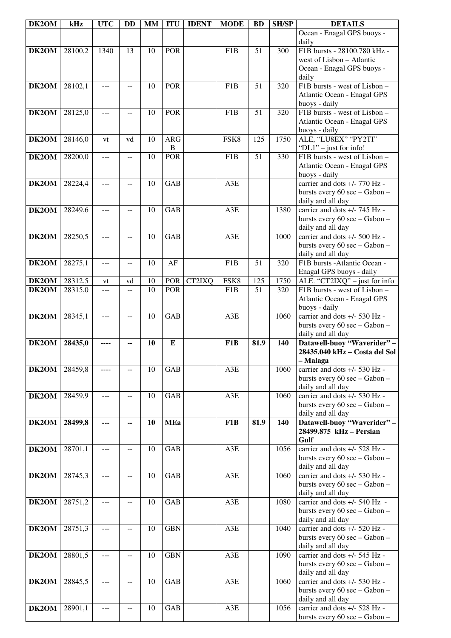| DK2OM          | kHz                | <b>UTC</b>  | <b>DD</b>            | MM       | <b>ITU</b>                 | <b>IDENT</b> | <b>MODE</b>      | <b>BD</b>              | <b>SH/SP</b>     | <b>DETAILS</b>                                                 |
|----------------|--------------------|-------------|----------------------|----------|----------------------------|--------------|------------------|------------------------|------------------|----------------------------------------------------------------|
|                |                    |             |                      |          |                            |              |                  |                        |                  | Ocean - Enagal GPS buoys -<br>daily                            |
| DK2OM          | 28100,2            | 1340        | 13                   | 10       | <b>POR</b>                 |              | F1B              | 51                     | 300              | F1B bursts - 28100.780 kHz -                                   |
|                |                    |             |                      |          |                            |              |                  |                        |                  | west of Lisbon - Atlantic<br>Ocean - Enagal GPS buoys -        |
|                |                    |             |                      |          |                            |              |                  |                        |                  | daily                                                          |
| DK2OM          | 28102,1            | $---$       | $- -$                | 10       | <b>POR</b>                 |              | F1B              | 51                     | 320              | F1B bursts - west of Lisbon -                                  |
|                |                    |             |                      |          |                            |              |                  |                        |                  | Atlantic Ocean - Enagal GPS                                    |
| DK2OM          | 28125,0            | ---         | $-$                  | 10       | <b>POR</b>                 |              | F1B              | $\overline{51}$        | $\overline{320}$ | buoys - daily<br>F1B bursts - west of Lisbon -                 |
|                |                    |             |                      |          |                            |              |                  |                        |                  | Atlantic Ocean - Enagal GPS                                    |
|                |                    |             |                      |          |                            |              |                  |                        |                  | buoys - daily                                                  |
| DK2OM          | 28146,0            | vt          | vd                   | 10       | <b>ARG</b><br>$\, {\bf B}$ |              | FSK8             | 125                    | 1750             | ALE, "LU8EX" "PY2TI"<br>"DL1" - just for info!                 |
| DK2OM          | 28200,0            | $- - -$     | $-$                  | 10       | <b>POR</b>                 |              | F1B              | $\overline{51}$        | 330              | F1B bursts - west of Lisbon -                                  |
|                |                    |             |                      |          |                            |              |                  |                        |                  | Atlantic Ocean - Enagal GPS                                    |
| DK2OM          | 28224,4            | ---         |                      | 10       | <b>GAB</b>                 |              | A3E              |                        |                  | buoys - daily<br>carrier and dots +/- 770 Hz -                 |
|                |                    |             |                      |          |                            |              |                  |                        |                  | bursts every 60 sec - Gabon -                                  |
|                |                    |             |                      |          | <b>GAB</b>                 |              |                  |                        |                  | daily and all day<br>carrier and dots $+\sqrt{-745}$ Hz -      |
| DK2OM          | 28249,6            | ---         | $-$                  | 10       |                            |              | A3E              |                        | 1380             | bursts every 60 sec - Gabon -                                  |
|                |                    |             |                      |          |                            |              |                  |                        |                  | daily and all day                                              |
| DK2OM          | 28250,5            | ---         | $-$                  | 10       | <b>GAB</b>                 |              | A3E              |                        | 1000             | carrier and dots +/- 500 Hz -                                  |
|                |                    |             |                      |          |                            |              |                  |                        |                  | bursts every 60 sec - Gabon -<br>daily and all day             |
| DK2OM          | 28275,1            | $ -$        | $-$                  | 10       | AF                         |              | F1B              | 51                     | 320              | F1B bursts -Atlantic Ocean -                                   |
|                |                    |             |                      |          |                            |              |                  |                        |                  | Enagal GPS buoys - daily                                       |
| DK2OM<br>DK2OM | 28312,5<br>28315,0 | vt<br>$---$ | vd<br>$\overline{a}$ | 10<br>10 | POR<br><b>POR</b>          | CT2IXQ       | FSK8<br>F1B      | 125<br>$\overline{51}$ | 1750<br>320      | ALE. "CT2IXQ" - just for info<br>F1B bursts - west of Lisbon - |
|                |                    |             |                      |          |                            |              |                  |                        |                  | Atlantic Ocean - Enagal GPS                                    |
|                |                    |             |                      |          |                            |              |                  |                        |                  | buoys - daily<br>carrier and dots +/- 530 Hz -                 |
| DK2OM          | 28345,1            | ---         | --                   | 10       | <b>GAB</b>                 |              | A3E              |                        | 1060             | bursts every 60 sec - Gabon -                                  |
|                |                    |             |                      |          |                            |              |                  |                        |                  | daily and all day                                              |
| DK2OM          | 28435,0            |             | --                   | 10       | E                          |              | F <sub>1</sub> B | 81.9                   | 140              | Datawell-buoy "Waverider" -<br>28435.040 kHz - Costa del Sol   |
|                |                    |             |                      |          |                            |              |                  |                        |                  | – Malaga                                                       |
| DK2OM          | 28459,8            |             |                      | 10       | GAB                        |              | A3E              |                        | 1060             | carrier and dots +/- 530 Hz -                                  |
|                |                    |             |                      |          |                            |              |                  |                        |                  | bursts every 60 sec - Gabon -<br>daily and all day             |
| DK2OM          | 28459,9            | ---         | $-$                  | 10       | GAB                        |              | A3E              |                        | 1060             | carrier and dots +/- 530 Hz -                                  |
|                |                    |             |                      |          |                            |              |                  |                        |                  | bursts every 60 sec - Gabon -                                  |
| DK2OM          | 28499,8            | ---         | --                   | 10       | <b>MEa</b>                 |              | F <sub>1</sub> B | 81.9                   | 140              | daily and all day<br>Datawell-buoy "Waverider" -               |
|                |                    |             |                      |          |                            |              |                  |                        |                  | 28499.875 kHz - Persian                                        |
|                |                    |             |                      |          | GAB                        |              |                  |                        |                  | Gulf<br>carrier and dots +/- 528 Hz -                          |
| <b>DK2OM</b>   | 28701,1            | ---         | $-$                  | 10       |                            |              | A3E              |                        | 1056             | bursts every 60 sec - Gabon -                                  |
|                |                    |             |                      |          |                            |              |                  |                        |                  | daily and all day                                              |
| <b>DK2OM</b>   | 28745,3            | ---         | $-$                  | 10       | GAB                        |              | A3E              |                        | 1060             | carrier and dots +/- 530 Hz -<br>bursts every 60 sec - Gabon - |
|                |                    |             |                      |          |                            |              |                  |                        |                  | daily and all day                                              |
| DK2OM          | 28751,2            | ---         | --                   | 10       | GAB                        |              | A3E              |                        | 1080             | carrier and dots +/- 540 Hz -                                  |
|                |                    |             |                      |          |                            |              |                  |                        |                  | bursts every 60 sec - Gabon -<br>daily and all day             |
| DK2OM          | 28751,3            | ---         |                      | 10       | <b>GBN</b>                 |              | A3E              |                        | 1040             | carrier and dots +/- 520 Hz -                                  |
|                |                    |             |                      |          |                            |              |                  |                        |                  | bursts every 60 sec - Gabon -                                  |
| DK2OM          | 28801,5            | ---         | $-$                  | 10       | <b>GBN</b>                 |              | A3E              |                        | 1090             | daily and all day<br>carrier and dots +/- 545 Hz -             |
|                |                    |             |                      |          |                            |              |                  |                        |                  | bursts every 60 sec - Gabon -                                  |
|                |                    |             |                      |          |                            |              |                  |                        |                  | daily and all day                                              |
| DK2OM          | 28845,5            | $---$       | $- -$                | 10       | GAB                        |              | A3E              |                        | 1060             | carrier and dots +/- 530 Hz -<br>bursts every 60 sec - Gabon - |
|                |                    |             |                      |          |                            |              |                  |                        |                  | daily and all day                                              |
| DK2OM          | 28901,1            | ---         | $-$                  | 10       | GAB                        |              | $A3E$            |                        | 1056             | carrier and dots +/- 528 Hz -<br>bursts every 60 sec - Gabon - |
|                |                    |             |                      |          |                            |              |                  |                        |                  |                                                                |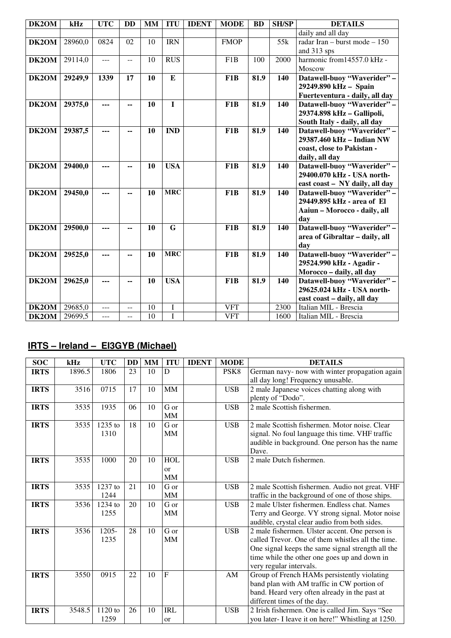| DK2OM | kHz     | <b>UTC</b> | <b>DD</b>      | <b>MM</b> | <b>ITU</b>  | <b>IDENT</b> | <b>MODE</b>      | <b>BD</b> | <b>SH/SP</b>     | <b>DETAILS</b>                 |
|-------|---------|------------|----------------|-----------|-------------|--------------|------------------|-----------|------------------|--------------------------------|
|       |         |            |                |           |             |              |                  |           |                  | daily and all day              |
| DK2OM | 28960,0 | 0824       | 02             | 10        | <b>IRN</b>  |              | <b>FMOP</b>      |           | $\overline{55k}$ | radar Iran - burst mode $-150$ |
|       |         |            |                |           |             |              |                  |           |                  | and 313 sps                    |
| DK2OM | 29114,0 | ---        | $\overline{a}$ | 10        | <b>RUS</b>  |              | F <sub>1</sub> B | 100       | 2000             | harmonic from14557.0 kHz -     |
|       |         |            |                |           |             |              |                  |           |                  | Moscow                         |
| DK2OM | 29249,9 | 1339       | 17             | 10        | E           |              | F1B              | 81.9      | 140              | Datawell-buoy "Waverider" -    |
|       |         |            |                |           |             |              |                  |           |                  | 29249.890 kHz - Spain          |
|       |         |            |                |           |             |              |                  |           |                  | Fuerteventura - daily, all day |
| DK2OM | 29375,0 | ---        | --             | 10        | $\mathbf I$ |              | F1B              | 81.9      | 140              | Datawell-buoy "Waverider" -    |
|       |         |            |                |           |             |              |                  |           |                  | 29374.898 kHz - Gallipoli,     |
|       |         |            |                |           |             |              |                  |           |                  | South Italy - daily, all day   |
| DK2OM | 29387,5 | ---        | --             | 10        | <b>IND</b>  |              | F1B              | 81.9      | 140              | Datawell-buoy "Waverider" -    |
|       |         |            |                |           |             |              |                  |           |                  | 29387.460 kHz - Indian NW      |
|       |         |            |                |           |             |              |                  |           |                  | coast, close to Pakistan -     |
|       |         |            |                |           |             |              |                  |           |                  | daily, all day                 |
| DK2OM | 29400,0 | ---        | $-$            | 10        | <b>USA</b>  |              | F1B              | 81.9      | 140              | Datawell-buoy "Waverider" -    |
|       |         |            |                |           |             |              |                  |           |                  | 29400.070 kHz - USA north-     |
|       |         |            |                |           |             |              |                  |           |                  | east coast - NY daily, all day |
| DK2OM | 29450,0 | ---        | --             | 10        | <b>MRC</b>  |              | F <sub>1</sub> B | 81.9      | 140              | Datawell-buoy "Waverider" -    |
|       |         |            |                |           |             |              |                  |           |                  | 29449.895 kHz - area of El     |
|       |         |            |                |           |             |              |                  |           |                  | Aaiun - Morocco - daily, all   |
|       |         |            |                |           |             |              |                  |           |                  | day                            |
| DK2OM | 29500,0 | ---        | --             | 10        | G           |              | F1B              | 81.9      | 140              | Datawell-buoy "Waverider" -    |
|       |         |            |                |           |             |              |                  |           |                  | area of Gibraltar - daily, all |
|       |         |            |                |           |             |              |                  |           |                  | day                            |
| DK2OM | 29525,0 | ---        | ۰.             | 10        | <b>MRC</b>  |              | F1B              | 81.9      | 140              | Datawell-buoy "Waverider" -    |
|       |         |            |                |           |             |              |                  |           |                  | 29524.990 kHz - Agadir -       |
|       |         |            |                |           |             |              |                  |           |                  | Morocco - daily, all day       |
| DK2OM | 29625,0 | ---        | --             | 10        | <b>USA</b>  |              | F1B              | 81.9      | 140              | Datawell-buoy "Waverider" -    |
|       |         |            |                |           |             |              |                  |           |                  | 29625.024 kHz - USA north-     |
|       |         |            |                |           |             |              |                  |           |                  | east coast - daily, all day    |
| DK2OM | 29685,0 | ---        | $-$            | 10        | $\bf I$     |              | <b>VFT</b>       |           | 2300             | Italian MIL - Brescia          |
| DK2OM | 29699,5 | ---        | $-$            | 10        | $\bf I$     |              | <b>VFT</b>       |           | 1600             | Italian MIL - Brescia          |

## **IRTS – Ireland – EI3GYB (Michael)**

| <b>SOC</b>  | kHz    | <b>UTC</b> | <b>DD</b> | <b>MM</b> | <b>ITU</b>     | <b>IDENT</b> | <b>MODE</b>      | <b>DETAILS</b>                                     |
|-------------|--------|------------|-----------|-----------|----------------|--------------|------------------|----------------------------------------------------|
| <b>IRTS</b> | 1896.5 | 1806       | 23        | 10        | D              |              | PSK <sub>8</sub> | German navy- now with winter propagation again     |
|             |        |            |           |           |                |              |                  | all day long! Frequency unusable.                  |
| <b>IRTS</b> | 3516   | 0715       | 17        | 10        | MM             |              | <b>USB</b>       | 2 male Japanese voices chatting along with         |
|             |        |            |           |           |                |              |                  | plenty of "Dodo".                                  |
| <b>IRTS</b> | 3535   | 1935       | 06        | 10        | G or           |              | <b>USB</b>       | 2 male Scottish fishermen.                         |
|             |        |            |           |           | MM             |              |                  |                                                    |
| <b>IRTS</b> | 3535   | 1235 to    | 18        | 10        | G or           |              | <b>USB</b>       | 2 male Scottish fishermen. Motor noise. Clear      |
|             |        | 1310       |           |           | <b>MM</b>      |              |                  | signal. No foul language this time. VHF traffic    |
|             |        |            |           |           |                |              |                  | audible in background. One person has the name     |
|             |        |            |           |           |                |              |                  | Dave.                                              |
| <b>IRTS</b> | 3535   | 1000       | 20        | 10        | <b>HOL</b>     |              | <b>USB</b>       | 2 male Dutch fishermen.                            |
|             |        |            |           |           | <sub>or</sub>  |              |                  |                                                    |
|             |        |            |           |           | MM             |              |                  |                                                    |
| <b>IRTS</b> | 3535   | 1237 to    | 21        | 10        | G or           |              | <b>USB</b>       | 2 male Scottish fishermen. Audio not great. VHF    |
|             |        | 1244       |           |           | MM             |              |                  | traffic in the background of one of those ships.   |
| <b>IRTS</b> | 3536   | 1234 to    | 20        | 10        | G or           |              | <b>USB</b>       | 2 male Ulster fishermen. Endless chat. Names       |
|             |        | 1255       |           |           | <b>MM</b>      |              |                  | Terry and George. VY strong signal. Motor noise    |
|             |        |            |           |           |                |              |                  | audible, crystal clear audio from both sides.      |
| <b>IRTS</b> | 3536   | $1205 -$   | 28        | 10        | G or           |              | <b>USB</b>       | 2 male fishermen. Ulster accent. One person is     |
|             |        | 1235       |           |           | <b>MM</b>      |              |                  | called Trevor. One of them whistles all the time.  |
|             |        |            |           |           |                |              |                  | One signal keeps the same signal strength all the  |
|             |        |            |           |           |                |              |                  | time while the other one goes up and down in       |
|             |        |            |           |           |                |              |                  | very regular intervals.                            |
| <b>IRTS</b> | 3550   | 0915       | 22        | 10        | $\overline{F}$ |              | AM               | Group of French HAMs persistently violating        |
|             |        |            |           |           |                |              |                  | band plan with AM traffic in CW portion of         |
|             |        |            |           |           |                |              |                  | band. Heard very often already in the past at      |
|             |        |            |           |           |                |              |                  | different times of the day.                        |
| <b>IRTS</b> | 3548.5 | 1120 to    | 26        | 10        | <b>IRL</b>     |              | <b>USB</b>       | 2 Irish fishermen. One is called Jim. Says "See    |
|             |        | 1259       |           |           | or             |              |                  | you later- I leave it on here!" Whistling at 1250. |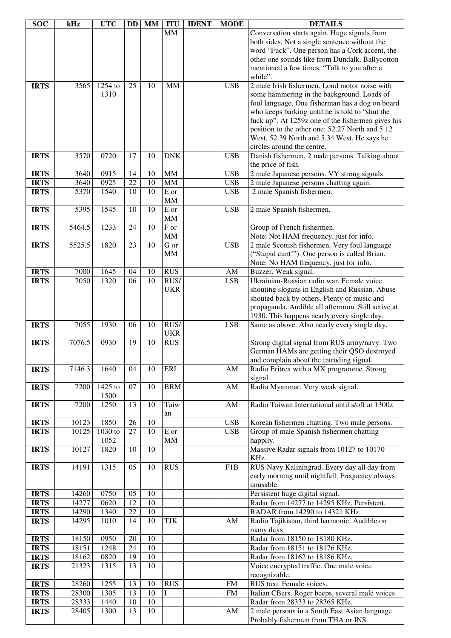| <b>SOC</b>                 | kHz            | <b>UTC</b>   | <b>DD</b> | MM              | <b>ITU</b>                    | <b>IDENT</b> | <b>MODE</b>              | <b>DETAILS</b>                                                                              |
|----------------------------|----------------|--------------|-----------|-----------------|-------------------------------|--------------|--------------------------|---------------------------------------------------------------------------------------------|
|                            |                |              |           |                 | <b>MM</b>                     |              |                          | Conversation starts again. Huge signals from                                                |
|                            |                |              |           |                 |                               |              |                          | both sides. Not a single sentence without the                                               |
|                            |                |              |           |                 |                               |              |                          | word "Fuck". One person has a Cork accent, the                                              |
|                            |                |              |           |                 |                               |              |                          | other one sounds like from Dundalk. Ballycotton                                             |
|                            |                |              |           |                 |                               |              |                          | mentioned a few times. "Talk to you after a<br>while".                                      |
| <b>IRTS</b>                | 3565           | 1254 to      | 25        | 10              | <b>MM</b>                     |              | <b>USB</b>               | 2 male Irish fishermen. Loud motor noise with                                               |
|                            |                | 1310         |           |                 |                               |              |                          | some hammering in the background. Loads of                                                  |
|                            |                |              |           |                 |                               |              |                          | foul language. One fisherman has a dog on board                                             |
|                            |                |              |           |                 |                               |              |                          | who keeps barking until he is told to "shut the                                             |
|                            |                |              |           |                 |                               |              |                          | fuck up". At 1259z one of the fishermen gives his                                           |
|                            |                |              |           |                 |                               |              |                          | position to the other one: 52.27 North and 5.12                                             |
|                            |                |              |           |                 |                               |              |                          | West. 52.39 North and 5.34 West. He says he                                                 |
|                            |                |              |           |                 |                               |              |                          | circles around the centre.                                                                  |
| <b>IRTS</b>                | 3570           | 0720         | 17        | 10              | <b>DNK</b>                    |              | <b>USB</b>               | Danish fishermen, 2 male persons. Talking about                                             |
|                            |                |              |           |                 |                               |              |                          | the price of fish.                                                                          |
| <b>IRTS</b>                | 3640           | 0915         | 14        | 10              | <b>MM</b>                     |              | <b>USB</b>               | 2 male Japanese persons. VY strong signals                                                  |
| <b>IRTS</b>                | 3640<br>5370   | 0925<br>1540 | 22<br>10  | 10<br>10        | $\text{MM}{}$<br>${\bf E}$ or |              | <b>USB</b><br><b>USB</b> | 2 male Japanese persons chatting again.<br>2 male Spanish fishermen.                        |
| <b>IRTS</b>                |                |              |           |                 | <b>MM</b>                     |              |                          |                                                                                             |
| <b>IRTS</b>                | 5395           | 1545         | 10        | 10              | E or                          |              | <b>USB</b>               | 2 male Spanish fishermen.                                                                   |
|                            |                |              |           |                 | <b>MM</b>                     |              |                          |                                                                                             |
| <b>IRTS</b>                | 5464.5         | 1233         | 24        | 10              | F or                          |              |                          | Group of French fishermen.                                                                  |
|                            |                |              |           |                 | MM                            |              |                          | Note: Not HAM frequency, just for info.                                                     |
| <b>IRTS</b>                | 5525.5         | 1820         | 23        | 10              | G or                          |              | <b>USB</b>               | 2 male Scottish fishermen. Very foul language                                               |
|                            |                |              |           |                 | MM                            |              |                          | ("Stupid cunt!"). One person is called Brian.                                               |
|                            |                |              |           |                 |                               |              |                          | Note: No HAM frequency, just for info.                                                      |
| <b>IRTS</b>                | 7000           | 1645         | 04        | 10              | <b>RUS</b>                    |              | AM                       | Buzzer. Weak signal.                                                                        |
| <b>IRTS</b>                | 7050           | 1320         | 06        | 10              | RUS/<br><b>UKR</b>            |              | <b>LSB</b>               | Ukrainian-Russian radio war. Female voice<br>shouting slogans in English and Russian. Abuse |
|                            |                |              |           |                 |                               |              |                          | shouted back by others. Plenty of music and                                                 |
|                            |                |              |           |                 |                               |              |                          | propaganda. Audible all afternoon. Still active at                                          |
|                            |                |              |           |                 |                               |              |                          | 1930. This happens nearly every single day.                                                 |
| <b>IRTS</b>                | 7055           | 1930         | 06        | 10              | RUS/                          |              | <b>LSB</b>               | Same as above. Also nearly every single day.                                                |
|                            |                |              |           |                 | <b>UKR</b>                    |              |                          |                                                                                             |
| <b>IRTS</b>                | 7076.5         | 0930         | 19        | 10              | <b>RUS</b>                    |              |                          | Strong digital signal from RUS army/navy. Two                                               |
|                            |                |              |           |                 |                               |              |                          | German HAMs are getting their QSO destroyed                                                 |
|                            |                |              |           |                 |                               |              |                          | and complain about the intruding signal.                                                    |
| <b>IRTS</b>                | 7146.3         | 1640         | 04        | 10              | ERI                           |              | AM                       | Radio Eritrea with a MX programme. Strong<br>signal.                                        |
| <b>IRTS</b>                | 7200           | 1425 to      | 07        | 10              | <b>BRM</b>                    |              | AM                       | Radio Myanmar. Very weak signal.                                                            |
|                            |                | 1500         |           |                 |                               |              |                          |                                                                                             |
| <b>IRTS</b>                | 7200           | 1250         | 13        | 10              | Taiw                          |              | AM                       | Radio Taiwan International until s/off at 1300z                                             |
|                            |                |              |           |                 | an                            |              |                          |                                                                                             |
| <b>IRTS</b>                | 10123          | 1850         | 26        | 10              |                               |              | <b>USB</b>               | Korean fishermen chatting. Two male persons.                                                |
| <b>IRTS</b>                | 10125          | 1030 to      | 27        | 10              | E or                          |              | <b>USB</b>               | Group of male Spanish fishermen chatting                                                    |
|                            |                | 1052         |           |                 | <b>MM</b>                     |              |                          | happily.                                                                                    |
| <b>IRTS</b>                | 10127          | 1820         | 10        | 10              |                               |              |                          | Massive Radar signals from 10127 to 10170                                                   |
| <b>IRTS</b>                | 14191          | 1315         | 05        | 10              | <b>RUS</b>                    |              | F1B                      | KHz.<br>RUS Navy Kaliningrad. Every day all day from                                        |
|                            |                |              |           |                 |                               |              |                          | early morning until nightfall. Frequency always                                             |
|                            |                |              |           |                 |                               |              |                          | unusable.                                                                                   |
| <b>IRTS</b>                | 14260          | 0750         | 05        | 10              |                               |              |                          | Persistent huge digital signal.                                                             |
| <b>IRTS</b>                | 14277          | 0620         | 12        | 10              |                               |              |                          | Radar from 14277 to 14295 KHz. Persistent.                                                  |
| <b>IRTS</b>                | 14290          | 1340         | 22        | 10              |                               |              |                          | RADAR from 14290 to 14321 KHz.                                                              |
| <b>IRTS</b>                | 14295          | 1010         | 14        | 10              | TJK                           |              | AM                       | Radio Tajikistan, third harmonic. Audible on                                                |
|                            |                |              |           |                 |                               |              |                          | many days                                                                                   |
| <b>IRTS</b>                | 18150          | 0950         | $20\,$    | 10              |                               |              |                          | Radar from 18150 to 18180 KHz.                                                              |
| <b>IRTS</b>                | 18151          | 1248         | 24<br>19  | 10<br>$10\,$    |                               |              |                          | Radar from 18151 to 18176 KHz.                                                              |
| <b>IRTS</b><br><b>IRTS</b> | 18162<br>21323 | 0820<br>1315 | 13        | 10              |                               |              |                          | Radar from 18162 to 18186 KHz.<br>Voice encrypted traffic. One male voice                   |
|                            |                |              |           |                 |                               |              |                          | recognizable.                                                                               |
| <b>IRTS</b>                | 28260          | 1255         | 13        | 10              | <b>RUS</b>                    |              | <b>FM</b>                | RUS taxi. Female voices.                                                                    |
| <b>IRTS</b>                | 28300          | 1305         | 13        | $\overline{10}$ | I                             |              | <b>FM</b>                | Italian CBers. Roger beeps, several male voices                                             |
| <b>IRTS</b>                | 28333          | 1440         | 10        | $\overline{10}$ |                               |              |                          | Radar from 28333 to 28365 KHz.                                                              |
| <b>IRTS</b>                | 28405          | 1300         | 13        | 10              |                               |              | AM                       | 2 male persons in a South East Asian language.                                              |
|                            |                |              |           |                 |                               |              |                          | Probably fishermen from THA or INS.                                                         |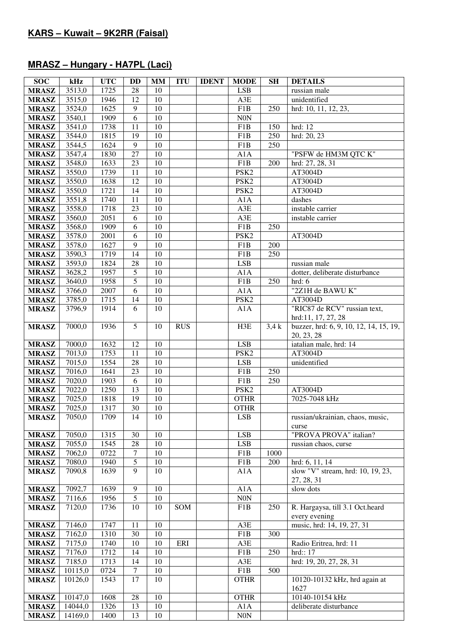## **MRASZ – Hungary - HA7PL (Laci)**

| <b>SOC</b>   | kHz                 | <b>UTC</b> | <b>DD</b>       | <b>MM</b>       | <b>ITU</b> | <b>IDENT</b> | <b>MODE</b>      | <b>SH</b> | <b>DETAILS</b>                                       |
|--------------|---------------------|------------|-----------------|-----------------|------------|--------------|------------------|-----------|------------------------------------------------------|
| <b>MRASZ</b> | 3513,0              | 1725       | 28              | 10              |            |              | <b>LSB</b>       |           | russian male                                         |
| <b>MRASZ</b> | 3515,0              | 1946       | 12              | 10              |            |              | A3E              |           | unidentified                                         |
| <b>MRASZ</b> | 3524,0              | 1625       | 9               | 10              |            |              | F1B              | 250       | hrd: 10, 11, 12, 23,                                 |
| <b>MRASZ</b> | 3540,1              | 1909       | 6               | 10              |            |              | N0N              |           |                                                      |
| <b>MRASZ</b> | 3541,0              | 1738       | 11              | 10              |            |              | F1B              | 150       | $\overline{h}$ rd: 12                                |
| <b>MRASZ</b> | 3544,0              | 1815       | 19              | 10              |            |              | F1B              | 250       | hrd: 20, 23                                          |
| <b>MRASZ</b> | 3544,5              | 1624       | 9               | 10              |            |              | F1B              | 250       |                                                      |
| <b>MRASZ</b> | 3547,4              | 1830       | 27              | 10              |            |              | A1A              |           | "PSFW de HM3M QTC K"                                 |
| <b>MRASZ</b> | 3548,0              | 1633       | 23              | 10              |            |              | F1B              | 200       | hrd: 27, 28, 31                                      |
| <b>MRASZ</b> | 3550,0              | 1739       | 11              | 10              |            |              | PSK <sub>2</sub> |           | AT3004D                                              |
| <b>MRASZ</b> | 3550,0              | 1638       | 12              | 10              |            |              | PSK <sub>2</sub> |           | AT3004D                                              |
|              | 3550,0              | 1721       | 14              | 10              |            |              | PSK <sub>2</sub> |           | AT3004D                                              |
| <b>MRASZ</b> |                     |            | 11              | 10              |            |              |                  |           |                                                      |
| <b>MRASZ</b> | 3551,8              | 1740       |                 |                 |            |              | A1A              |           | dashes                                               |
| <b>MRASZ</b> | 3558,0              | 1718       | 23              | 10              |            |              | A3E              |           | instable carrier                                     |
| <b>MRASZ</b> | 3560,0              | 2051       | 6               | 10              |            |              | A3E              |           | instable carrier                                     |
| <b>MRASZ</b> | 3568,0              | 1909       | 6               | $10\,$          |            |              | F1B              | 250       |                                                      |
| <b>MRASZ</b> | 3578,0              | 2001       | 6               | 10              |            |              | PSK <sub>2</sub> |           | AT3004D                                              |
| <b>MRASZ</b> | 3578,0              | 1627       | 9               | 10              |            |              | F1B              | 200       |                                                      |
| <b>MRASZ</b> | 3590,3              | 1719       | 14              | 10              |            |              | F1B              | 250       |                                                      |
| <b>MRASZ</b> | 3593,0              | 1824       | 28              | 10              |            |              | LSB              |           | russian male                                         |
| <b>MRASZ</b> | 3628,2              | 1957       | 5               | 10              |            |              | A1A              |           | dotter, deliberate disturbance                       |
| <b>MRASZ</b> | 3640,0              | 1958       | $\overline{5}$  | 10              |            |              | F1B              | 250       | hrd: 6                                               |
| <b>MRASZ</b> | 3766,0              | 2007       | 6               | 10              |            |              | A1A              |           | "2Z1H de BAWU K"                                     |
| <b>MRASZ</b> | 3785,0              | 1715       | 14              | $10\,$          |            |              | PSK <sub>2</sub> |           | AT3004D                                              |
| <b>MRASZ</b> | 3796,9              | 1914       | 6               | 10              |            |              | A1A              |           | "RIC87 de RCV" russian text,<br>hrd:11, 17, 27, 28   |
| <b>MRASZ</b> | 7000,0              | 1936       | $5\overline{)}$ | 10              | <b>RUS</b> |              | H3E              | 3.4k      | buzzer, hrd: 6, 9, 10, 12, 14, 15, 19,<br>20, 23, 28 |
| <b>MRASZ</b> | 7000,0              | 1632       | $\overline{12}$ | 10              |            |              | <b>LSB</b>       |           | iatalian male, hrd: 14                               |
| <b>MRASZ</b> | 7013,0              | 1753       | $\overline{11}$ | $\overline{10}$ |            |              | PSK <sub>2</sub> |           | AT3004D                                              |
| <b>MRASZ</b> | 7015,0              | 1554       | $\overline{28}$ | 10              |            |              | LSB              |           | unidentified                                         |
| <b>MRASZ</b> | 7016,0              | 1641       | $\overline{23}$ | $\overline{10}$ |            |              | F1B              | 250       |                                                      |
| <b>MRASZ</b> | 7020,0              | 1903       | 6               | $\overline{10}$ |            |              | F1B              | 250       |                                                      |
| <b>MRASZ</b> | 7022,0              | 1250       | $\overline{13}$ | $\overline{10}$ |            |              | PSK <sub>2</sub> |           | AT3004D                                              |
| <b>MRASZ</b> | 7025,0              | 1818       | $\overline{19}$ | $\overline{10}$ |            |              | <b>OTHR</b>      |           | 7025-7048 kHz                                        |
| <b>MRASZ</b> | 7025,0              | 1317       | $\overline{30}$ | 10              |            |              | <b>OTHR</b>      |           |                                                      |
| <b>MRASZ</b> | 7050,0              | 1709       | 14              | 10              |            |              | <b>LSB</b>       |           | russian/ukrainian, chaos, music,<br>curse            |
| <b>MRASZ</b> | 7050,0              | 1315       | 30              | 10              |            |              | <b>LSB</b>       |           | "PROVA PROVA" italian?                               |
| <b>MRASZ</b> | 7055,0              | 1545       | 28              | 10              |            |              | LSB              |           | russian chaos, curse                                 |
| <b>MRASZ</b> | 7062,0              | 0722       | $\overline{7}$  | 10              |            |              | F1B              | 1000      |                                                      |
| <b>MRASZ</b> | 7080,0              | 1940       | $\overline{5}$  | 10              |            |              | F1B              | 200       | hrd: 6, 11, 14                                       |
| <b>MRASZ</b> | 7090,8              | 1639       | 9               | 10              |            |              | A1A              |           | slow "V" stream, hrd: 10, 19, 23,<br>27, 28, 31      |
| <b>MRASZ</b> | 7092,7              | 1639       | 9               | 10              |            |              | A1A              |           | slow dots                                            |
| <b>MRASZ</b> | 7116,6              | 1956       | 5               | 10              |            |              | $\rm{NON}$       |           |                                                      |
| <b>MRASZ</b> | 7120,0              | 1736       | 10              | 10              | SOM        |              | F1B              | 250       | R. Hargaysa, till 3.1 Oct.heard                      |
|              |                     |            |                 |                 |            |              |                  |           | every evening                                        |
| <b>MRASZ</b> | $\overline{7}146,0$ | 1747       | 11              | 10              |            |              | A3E              |           | music, hrd: 14, 19, 27, 31                           |
|              |                     | 1310       | 30              | 10              |            |              | F1B              | 300       |                                                      |
| <b>MRASZ</b> | 7162,0<br>7175,0    | 1740       | $10\,$          | 10              | ERI        |              | A3E              |           |                                                      |
| <b>MRASZ</b> |                     | 1712       | 14              | 10              |            |              | F1B              | 250       | Radio Eritrea, hrd: 11<br>hrd::17                    |
| <b>MRASZ</b> | 7176,0              |            | 14              |                 |            |              |                  |           |                                                      |
| <b>MRASZ</b> | 7185,0              | 1713       | $\overline{7}$  | 10              |            |              | A3E              |           | hrd: 19, 20, 27, 28, 31                              |
| <b>MRASZ</b> | 10115,0             | 0724       |                 | 10              |            |              | F1B              | 500       |                                                      |
| <b>MRASZ</b> | 10126,0             | 1543       | 17              | 10              |            |              | <b>OTHR</b>      |           | 10120-10132 kHz, hrd again at                        |
|              |                     |            |                 |                 |            |              |                  |           | 1627                                                 |
| <b>MRASZ</b> | 10147,0             | 1608       | $28\,$          | $10\,$          |            |              | <b>OTHR</b>      |           | 10140-10154 kHz                                      |
| <b>MRASZ</b> | 14044,0             | 1326       | 13              | 10              |            |              | A1A              |           | deliberate disturbance                               |
| <b>MRASZ</b> | 14169,0             | 1400       | 13              | 10              |            |              | $\rm{N0N}$       |           |                                                      |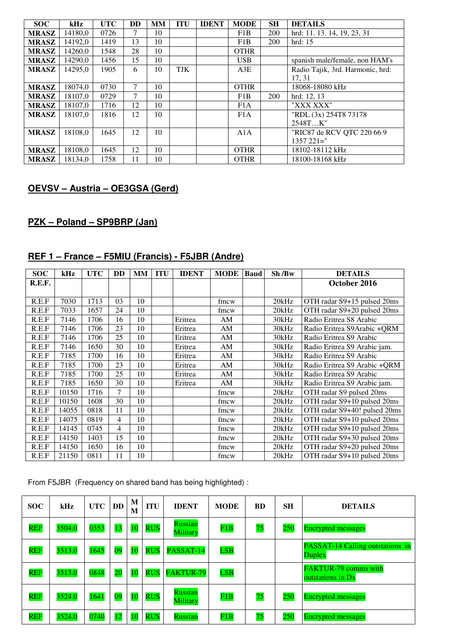| <b>SOC</b>   | kHz     | <b>UTC</b> | DD     | MМ | <b>ITU</b> | <b>IDENT</b> | <b>MODE</b> | <b>SH</b> | <b>DETAILS</b>                   |
|--------------|---------|------------|--------|----|------------|--------------|-------------|-----------|----------------------------------|
| <b>MRASZ</b> | 14180,0 | 0726       | 7      | 10 |            |              | F1B         | 200       | hrd: 11. 13. 14, 19, 23, 31      |
| <b>MRASZ</b> | 14192,0 | 1419       | 13     | 10 |            |              | F1B         | 200       | hrd: 15                          |
| <b>MRASZ</b> | 14260,0 | 1548       | 28     | 10 |            |              | <b>OTHR</b> |           |                                  |
| <b>MRASZ</b> | 14290,0 | 1456       | 15     | 10 |            |              | <b>USB</b>  |           | spanish male/female, non HAM's   |
| <b>MRASZ</b> | 14295,0 | 1905       | 6      | 10 | <b>TJK</b> |              | A3E         |           | Radio Tajik, 3rd. Harmonic, hrd: |
|              |         |            |        |    |            |              |             |           | 17, 31                           |
| <b>MRASZ</b> | 18074,0 | 0730       | $\tau$ | 10 |            |              | <b>OTHR</b> |           | 18068-18080 kHz                  |
| <b>MRASZ</b> | 18107,0 | 0729       | $\tau$ | 10 |            |              | F1B         | 200       | hrd: 12, 13                      |
| <b>MRASZ</b> | 18107,0 | 1716       | 12     | 10 |            |              | F1A         |           | "XXX XXX"                        |
| <b>MRASZ</b> | 18107,0 | 1816       | 12     | 10 |            |              | F1A         |           | "RDL (3x) 254T8 73178            |
|              |         |            |        |    |            |              |             |           | 2548TK"                          |
| <b>MRASZ</b> | 18108,0 | 1645       | 12     | 10 |            |              | A1A         |           | "RIC87 de RCV QTC 220 66 9       |
|              |         |            |        |    |            |              |             |           | $1357221 =$ "                    |
| <b>MRASZ</b> | 18108,0 | 1645       | 12     | 10 |            |              | <b>OTHR</b> |           | 18102-18112 kHz                  |
| <b>MRASZ</b> | 18134.0 | 1758       | 11     | 10 |            |              | <b>OTHR</b> |           | 18100-18168 kHz                  |

## **OEVSV – Austria – OE3GSA (Gerd)**

## **PZK – Poland – SP9BRP (Jan)**

## **REF 1 – France – F5MIU (Francis) - F5JBR (Andre)**

| <b>SOC</b> | kHz   | <b>UTC</b> | <b>DD</b> | <b>MM</b> | <b>ITU</b> | <b>IDENT</b> | <b>MODE</b> | <b>Baud</b> | Sh/Bw | <b>DETAILS</b>               |
|------------|-------|------------|-----------|-----------|------------|--------------|-------------|-------------|-------|------------------------------|
| R.E.F.     |       |            |           |           |            |              |             |             |       | October 2016                 |
|            |       |            |           |           |            |              |             |             |       |                              |
| R.E.F      | 7030  | 1713       | 03        | 10        |            |              | fmcw        |             | 20kHz | OTH radar S9+15 pulsed 20ms  |
| R.E.F      | 7033  | 1657       | 24        | 10        |            |              | fmcw        |             | 20kHz | OTH radar S9+20 pulsed 20ms  |
| R.E.F      | 7146  | 1706       | 16        | 10        |            | Eritrea      | AM          |             | 30kHz | Radio Eritrea S8 Arabic      |
| R.E.F      | 7146  | 1706       | 23        | 10        |            | Eritrea      | AM          |             | 30kHz | Radio Eritrea S9Arabic + QRM |
| R.E.F      | 7146  | 1706       | 25        | 10        |            | Eritrea      | AM          |             | 30kHz | Radio Eritrea S9 Arabic      |
| R.E.F      | 7146  | 1650       | 30        | 10        |            | Eritrea      | AM          |             | 30kHz | Radio Eritrea S9 Arabic jam. |
| R.E.F      | 7185  | 1700       | 16        | 10        |            | Eritrea      | AM          |             | 30kHz | Radio Eritrea S9 Arabic      |
| R.E.F      | 7185  | 1700       | 23        | 10        |            | Eritrea      | AM          |             | 30kHz | Radio Eritrea S9 Arabic +QRM |
| R.E.F      | 7185  | 1700       | 25        | 10        |            | Eritrea      | AM          |             | 30kHz | Radio Eritrea S9 Arabic      |
| R.E.F      | 7185  | 1650       | 30        | 10        |            | Eritrea      | AM          |             | 30kHz | Radio Eritrea S9 Arabic jam. |
| R.E.F      | 10150 | 1716       | 7         | 10        |            |              | fmcw        |             | 20kHz | OTH radar S9 pulsed 20ms     |
| R.E.F      | 10150 | 1608       | 30        | 10        |            |              | fmcw        |             | 20kHz | OTH radar S9+10 pulsed 20ms  |
| R.E.F      | 14055 | 0818       | 11        | 10        |            |              | fmcw        |             | 20kHz | OTH radar S9+40! pulsed 20ms |
| R.E.F      | 14075 | 0819       | 4         | 10        |            |              | fmcw        |             | 20kHz | OTH radar S9+10 pulsed 20ms  |
| R.E.F      | 14145 | 0745       | 4         | 10        |            |              | fmcw        |             | 20kHz | OTH radar S9+10 pulsed 20ms  |
| R.E.F      | 14150 | 1403       | 15        | 10        |            |              | fmcw        |             | 20kHz | OTH radar S9+30 pulsed 20ms  |
| R.E.F      | 14150 | 1650       | 16        | 10        |            |              | fmcw        |             | 20kHz | OTH radar S9+20 pulsed 20ms  |
| R.E.F      | 21150 | 0811       | 11        | 10        |            |              | fmcw        |             | 20kHz | OTH radar S9+10 pulsed 20ms  |

From F5JBR (Frequency on shared band has being highlighted) :

| <b>SOC</b> | kHz    | <b>UTC</b> | <b>DD</b> | M<br>M | ITU        | <b>IDENT</b>               | <b>MODE</b> | <b>BD</b> | <b>SH</b> | <b>DETAILS</b>                                    |
|------------|--------|------------|-----------|--------|------------|----------------------------|-------------|-----------|-----------|---------------------------------------------------|
| <b>REF</b> | 3504.0 | 0353       | 13        | 10     | <b>RUS</b> | <b>Russian</b><br>Military | F1B         | 75        | 250       | <b>Encrypted messages</b>                         |
| <b>REF</b> | 3513.0 | 1645       | 09        | 10     | <b>RUS</b> | PASSAT-14                  | <b>LSB</b>  |           |           | <b>PASSAT-14 Calling outstations in</b><br>Duplex |
| <b>REF</b> | 3513.0 | 0848       | 20        | 10     | <b>RUS</b> | <b>FAKTUR-79</b>           | <b>LSB</b>  |           |           | <b>FAKTUR-79 comms with</b><br>outstations in Dx  |
| <b>REF</b> | 3524.0 | 1641       | 09        | 10     | <b>RUS</b> | Russian<br>Military        | F1B         | 75        | 250       | <b>Encrypted messages</b>                         |
| <b>REF</b> | 3524.0 | 0740       | 12        |        | <b>RUS</b> | Russian                    | F1B         | 75        | 250       | <b>Encrypted messages</b>                         |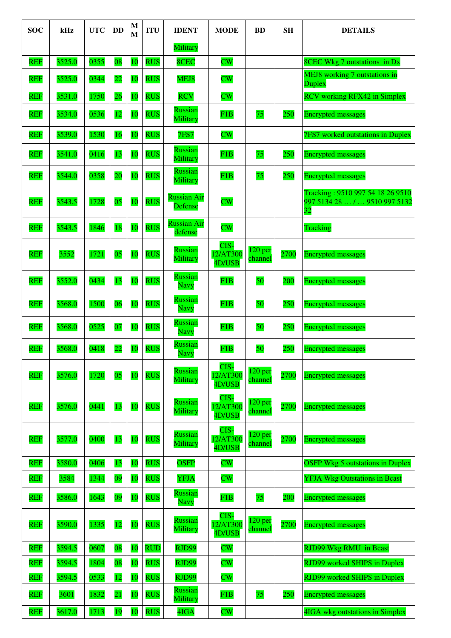| <b>SOC</b> | kHz    | <b>UTC</b> | <b>DD</b>       | M<br>$\mathbf{M}$ | <b>ITU</b> | <b>IDENT</b>                         | <b>MODE</b>                | <b>BD</b>                     | <b>SH</b> | <b>DETAILS</b>                                                                       |
|------------|--------|------------|-----------------|-------------------|------------|--------------------------------------|----------------------------|-------------------------------|-----------|--------------------------------------------------------------------------------------|
|            |        |            |                 |                   |            | Military                             |                            |                               |           |                                                                                      |
| <b>REF</b> | 3525.0 | 0355       | 08              | <b>10</b>         | <b>RUS</b> | 8CEC                                 | $\overline{\text{CW}}$     |                               |           | <b>8CEC Wkg 7 outstations in Dx</b>                                                  |
| <b>REF</b> | 3525.0 | 0344       | 22              | 10                | <b>RUS</b> | MEJ8                                 | $\overline{\text{CW}}$     |                               |           | <b>MEJ8</b> working 7 outstations in<br>Duplex                                       |
| <b>REF</b> | 3531.0 | 1750       | 26              | 10                | <b>RUS</b> | <b>RCV</b>                           | $\overline{\text{CW}}$     |                               |           | <b>RCV</b> working RFX42 in Simplex                                                  |
| <b>REF</b> | 3534.0 | 0536       | <b>12</b>       | 10                | <b>RUS</b> | <b>Russian</b><br>Military           | F1B                        | 75                            | 250       | <b>Encrypted messages</b>                                                            |
| <b>REF</b> | 3539.0 | 1530       | 16              | <b>10</b>         | <b>RUS</b> | <b>7FS7</b>                          | $\overline{\text{CW}}$     |                               |           | <b>7FS7</b> worked outstations in Duplex                                             |
| <b>REF</b> | 3541.0 | 0416       | 13              | 10                | <b>RUS</b> | <b>Russian</b><br>Military           | F1B                        | 75                            | 250       | <b>Encrypted messages</b>                                                            |
| <b>REF</b> | 3544.0 | 0358       | $\overline{20}$ | 10                | <b>RUS</b> | <b>Russian</b><br>Military           | F1B                        | 75                            | 250       | <b>Encrypted messages</b>                                                            |
| <b>REF</b> | 3543.5 | 1728       | 0 <sub>5</sub>  | 10                | <b>RUS</b> | <b>Russian Air</b><br><b>Defense</b> | $\overline{\text{CW}}$     |                               |           | Tracking: 9510 997 54 18 26 9510<br>997 5134 28  /  9510 997 5132<br>$\overline{32}$ |
| <b>REF</b> | 3543.5 | 1846       | 18              | <b>10</b>         | <b>RUS</b> | <b>Russian Air</b><br>defense        | $\overline{\text{CW}}$     |                               |           | Tracking                                                                             |
| <b>REF</b> | 3552   | 1721       | 0 <sub>5</sub>  | 10                | <b>RUS</b> | Russian<br>Military                  | CIS-<br>12/AT300<br>4D/USB | 120 <sub>per</sub><br>channel | 2700      | <b>Encrypted messages</b>                                                            |
| <b>REF</b> | 3552.0 | 0434       | 13              | 10                | <b>RUS</b> | <b>Russian</b><br>Navy               | F1B                        | 50                            | 200       | <b>Encrypted messages</b>                                                            |
| <b>REF</b> | 3568.0 | 1500       | 06              | 10                | <b>RUS</b> | <b>Russian</b><br><b>Navy</b>        | F1B                        | 50                            | 250       | <b>Encrypted messages</b>                                                            |
| <b>REF</b> | 3568.0 | 0525       | 07              | 10                | <b>RUS</b> | <b>Russian</b><br>Navy               | F1B                        | 50                            | 250       | <b>Encrypted messages</b>                                                            |
| <b>REF</b> | 3568.0 | 0418       | $\overline{22}$ | 10                | <b>RUS</b> | <b>Russian</b><br>Navy               | F1B                        | 50                            | 250       | <b>Encrypted messages</b>                                                            |
| <b>REF</b> | 3576.0 | 1720       | 05              | 10                | <b>RUS</b> | <b>Russian</b><br>Military           | CIS-<br>12/AT300<br>4D/USB | 120 <sub>per</sub><br>channel | 2700      | <b>Encrypted messages</b>                                                            |
| <b>REF</b> | 3576.0 | 0441       | 13              | 10                | <b>RUS</b> | <b>Russian</b><br>Military           | CIS-<br>12/AT300<br>4D/USB | $120$ per<br>channel          | 2700      | <b>Encrypted messages</b>                                                            |
| <b>REF</b> | 3577.0 | 0400       | 13              | 10                | <b>RUS</b> | <b>Russian</b><br>Military           | CIS-<br>12/AT300<br>4D/USB | 120 <sub>per</sub><br>channel | 2700      | <b>Encrypted messages</b>                                                            |
| <b>REF</b> | 3580.0 | 0406       | 13              | 10                | <b>RUS</b> | <b>OSFP</b>                          | $\overline{\text{CW}}$     |                               |           | <b>OSFP Wkg 5 outstations in Duplex</b>                                              |
| <b>REF</b> | 3584   | 1344       | 09              | 10                | <b>RUS</b> | <b>YFJA</b>                          | $\overline{\text{CW}}$     |                               |           | <b>YFJA Wkg Outstations in Bcast</b>                                                 |
| <b>REF</b> | 3586.0 | 1643       | 09              | 10                | <b>RUS</b> | Russian<br><b>Navy</b>               | F1B                        | 75                            | 200       | <b>Encrypted messages</b>                                                            |
| <b>REF</b> | 3590.0 | 1335       | 12              | 10                | <b>RUS</b> | <b>Russian</b><br>Military           | CIS-<br>12/AT300<br>4D/USB | 120 <sub>per</sub><br>channel | 2700      | <b>Encrypted messages</b>                                                            |
| <b>REF</b> | 3594.5 | 0607       | 08              | <b>10</b>         | <b>RUD</b> | RJD99                                | $\overline{\text{CW}}$     |                               |           | <b>RJD99 Wkg RMU</b> in Bcast                                                        |
| <b>REF</b> | 3594.5 | 1804       | 08              | 10                | <b>RUS</b> | RJD99                                | $\overline{\text{CW}}$     |                               |           | <b>RJD99</b> worked SHIPS in Duplex                                                  |
| <b>REF</b> | 3594.5 | 0533       | 12              | <b>10</b>         | <b>RUS</b> | RJD99                                | $\overline{\text{CW}}$     |                               |           | <b>RJD99</b> worked SHIPS in Duplex                                                  |
| <b>REF</b> | 3601   | 1832       | $\overline{21}$ | 10                | <b>RUS</b> | <b>Russian</b><br>Military           | F1B                        | 75                            | 250       | <b>Encrypted messages</b>                                                            |
| <b>REF</b> | 3617.0 | 1713       | 19              | 10                | <b>RUS</b> | 4IGA                                 | $\overline{\text{CW}}$     |                               |           | 4IGA wkg outstations in Simplex                                                      |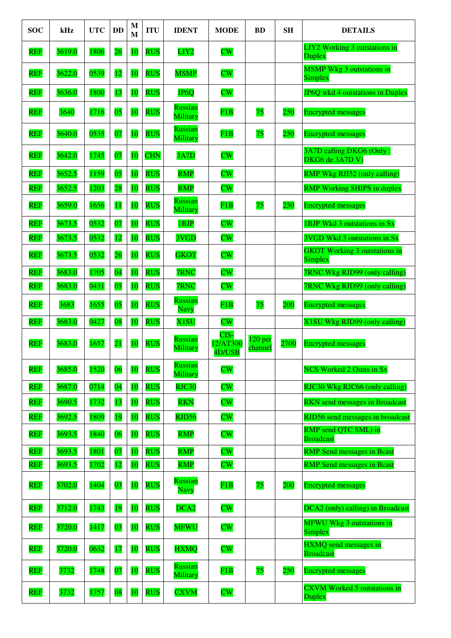| <b>SOC</b> | kHz    | <b>UTC</b> | <b>DD</b>       | M<br>$\mathbf{M}$ | <b>ITU</b> | <b>IDENT</b>               | <b>MODE</b>                | <b>BD</b>                     | <b>SH</b> | <b>DETAILS</b>                                  |
|------------|--------|------------|-----------------|-------------------|------------|----------------------------|----------------------------|-------------------------------|-----------|-------------------------------------------------|
| <b>REF</b> | 3619.0 | 1806       | 26              | 10                | <b>RUS</b> | LIY <sub>2</sub>           | $\overline{\text{CW}}$     |                               |           | LIY2 Working 3 outstations in<br>Duplex         |
| <b>REF</b> | 3622.0 | 0539       | 12              | 10                | <b>RUS</b> | <b>MSMP</b>                | $\overline{\text{CW}}$     |                               |           | <b>MSMP</b> Wkg 3 outstations in<br>Simplex     |
| <b>REF</b> | 3636.0 | 1800       | 13              | 10                | <b>RUS</b> | <b>JP6Q</b>                | $\overline{\text{CW}}$     |                               |           | JP6Q wkd 4 outstations in Duplex                |
| <b>REF</b> | 3640   | 1716       | 05              | 10                | <b>RUS</b> | <b>Russian</b><br>Military | F1B                        | 75                            | 250       | <b>Encrypted messages</b>                       |
| <b>REF</b> | 3640.0 | 0535       | 07              | 10                | <b>RUS</b> | <b>Russian</b><br>Military | F1B                        | 75                            | 250       | <b>Encrypted messages</b>                       |
| <b>REF</b> | 3642.0 | 1745       | 07              | 10                | <b>CHN</b> | 3A7D                       | $\overline{\text{CW}}$     |                               |           | 3A7D calling DKG6 (Only:<br>DKG6 de 3A7D V)     |
| <b>REF</b> | 3652.5 | 1159       | 05              | 10                | <b>RUS</b> | <b>RMP</b>                 | $\overline{\text{CW}}$     |                               |           | RMP Wkg RJI52 (only calling)                    |
| <b>REF</b> | 3652.5 | 1203       | 28              | 10                | <b>RUS</b> | <b>RMP</b>                 | $\overline{\text{CW}}$     |                               |           | <b>RMP Working SHIPS in duplex</b>              |
| <b>REF</b> | 3659.0 | 1656       | 11              | 10                | <b>RUS</b> | <b>Russian</b><br>Military | F1B                        | 75                            | 250       | <b>Encrypted messages</b>                       |
| <b>REF</b> | 3673.5 | 0532       | 07              | 10                | <b>RUS</b> | 1BJP                       | $\overline{\text{CW}}$     |                               |           | 1BJP Wkd 3 outstations in Sx                    |
| <b>REF</b> | 3673.5 | 0532       | 12              | 10                | <b>RUS</b> | 3VGD                       | $\overline{\text{CW}}$     |                               |           | 3VGD Wkd 3 outstations in Sx                    |
| <b>REF</b> | 3673.5 | 0532       | 26              | 10                | <b>RUS</b> | <b>GKOT</b>                | $\overline{\text{CW}}$     |                               |           | <b>GKOT Working 3 outstations in</b><br>Simplex |
| <b>REF</b> | 3683.0 | 1705       | $\overline{04}$ | 10                | <b>RUS</b> | 7RNC                       | $\overline{\text{CW}}$     |                               |           | 7RNC Wkg RJD99 (only calling)                   |
| <b>REF</b> | 3683.0 | 0431       | 05              | 10                | <b>RUS</b> | 7RNC                       | $\overline{\text{CW}}$     |                               |           | 7RNC Wkg RJD99 (only calling)                   |
| <b>REF</b> | 3683   | 1655       | 05              | 10                | <b>RUS</b> | <b>Russian</b><br>Navy     | F1B                        | 75                            | 200       | <b>Encrypted messages</b>                       |
| <b>REF</b> | 3683.0 | 0427       | 08              | 10                | <b>RUS</b> | X <sub>1</sub> SU          | $\overline{\text{CW}}$     |                               |           | X1SU Wkg RJD99 (only calling)                   |
| <b>REF</b> | 3683.0 | 1657       | $\overline{21}$ | 10                | <b>RUS</b> | <b>Russian</b><br>Military | CIS-<br>12/AT300<br>4D/USB | 120 <sub>per</sub><br>channel | 2700      | <b>Encrypted messages</b>                       |
| <b>REF</b> | 3685.0 | 1520       | 06              | 10                | <b>RUS</b> | Russian<br>Military        | $\overline{\text{CW}}$     |                               |           | <b>NCS Worked 2 Ostns in Sx</b>                 |
| <b>REF</b> | 3687.0 | 0714       | $\overline{04}$ | 10                | <b>RUS</b> | RJC30                      | $\overline{\text{CW}}$     |                               |           | RJC30 Wkg RJC66 (only calling)                  |
| <b>REF</b> | 3690.5 | 1732       | 13              | 10                | <b>RUS</b> | <b>RKN</b>                 | $\overline{\text{CW}}$     |                               |           | <b>RKN</b> send messages in Broadcast           |
| <b>REF</b> | 3692.5 | 1809       | 19              | 10                | <b>RUS</b> | RJD56                      | $\overline{\text{CW}}$     |                               |           | RJD56 send messages in broadcast                |
| <b>REF</b> | 3693.5 | 1840       | 06              | 10                | <b>RUS</b> | <b>RMP</b>                 | $\overline{\text{CW}}$     |                               |           | RMP send QTC SML) in<br><b>Broadcast</b>        |
| <b>REF</b> | 3693.5 | 1801       | 07              | 10                | <b>RUS</b> | <b>RMP</b>                 | $\overline{\text{CW}}$     |                               |           | <b>RMP</b> Send messages in Bcast               |
| <b>REF</b> | 3693.5 | 1702       | 12              | 10                | <b>RUS</b> | <b>RMP</b>                 | $\overline{\text{CW}}$     |                               |           | <b>RMP</b> Send messages in Bcast               |
| <b>REF</b> | 3702.0 | 1404       | 03              | 10                | <b>RUS</b> | Russian<br><b>Navy</b>     | F1B                        | 75                            | 200       | <b>Encrypted messages</b>                       |
| <b>REF</b> | 3712.0 | 1743       | 19              | 10                | <b>RUS</b> | DCA <sub>2</sub>           | $\overline{\text{CW}}$     |                               |           | DCA2 (only) calling) in Broadcast               |
| <b>REF</b> | 3720.0 | 1417       | 03              | 10                | <b>RUS</b> | <b>MFWU</b>                | $\overline{\text{CW}}$     |                               |           | <b>MFWU Wkg 3 outstations in</b><br>Simplex     |
| <b>REF</b> | 3720.0 | 0632       | 17              | 10                | <b>RUS</b> | <b>HXMQ</b>                | $\overline{\text{CW}}$     |                               |           | HXMQ send messages in<br><b>Broadcast</b>       |
| <b>REF</b> | 3732   | 1748       | 07              | 10                | <b>RUS</b> | Russian<br>Military        | F1B                        | 75                            | 250       | <b>Encrypted messages</b>                       |
| <b>REF</b> | 3732   | 1757       | 08              | 10                | <b>RUS</b> | <b>CXVM</b>                | $\overline{\text{CW}}$     |                               |           | <b>CXVM Worked 5 outstations in</b><br>Duplex   |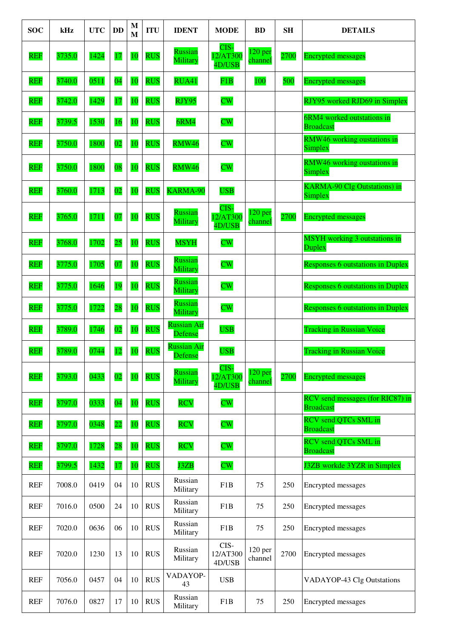| <b>SOC</b> | kHz    | <b>UTC</b> | <b>DD</b>       | M<br>M    | <b>ITU</b> | <b>IDENT</b>                         | <b>MODE</b>                | <b>BD</b>                     | <b>SH</b> | <b>DETAILS</b>                                       |
|------------|--------|------------|-----------------|-----------|------------|--------------------------------------|----------------------------|-------------------------------|-----------|------------------------------------------------------|
| <b>REF</b> | 3735.0 | 1424       | 17              | 10        | <b>RUS</b> | Russian<br>Military                  | CIS-<br>12/AT300<br>4D/USB | 120 <sub>per</sub><br>channel | 2700      | <b>Encrypted messages</b>                            |
| <b>REF</b> | 3740.0 | 0511       | $\overline{04}$ | 10        | <b>RUS</b> | RUA41                                | F1B                        | 100                           | 500       | <b>Encrypted messages</b>                            |
| <b>REF</b> | 3742.0 | 1429       | 17              | 10        | <b>RUS</b> | RJY95                                | $\overline{\text{CW}}$     |                               |           | RJY95 worked RJD69 in Simplex                        |
| <b>REF</b> | 3739.5 | 1530       | 16              | 10        | <b>RUS</b> | 6RM4                                 | $\overline{\text{CW}}$     |                               |           | 6RM4 worked outstations in<br><b>Broadcast</b>       |
| <b>REF</b> | 3750.0 | 1800       | 02              | 10        | <b>RUS</b> | <b>RMW46</b>                         | $\overline{\text{CW}}$     |                               |           | <b>RMW46</b> working oustations in<br>Simplex        |
| <b>REF</b> | 3750.0 | 1800       | 08              | 10        | <b>RUS</b> | RMW46                                | $\overline{\text{CW}}$     |                               |           | <b>RMW46</b> working oustations in<br>Simplex        |
| <b>REF</b> | 3760.0 | 1713       | $\overline{02}$ | 10        | <b>RUS</b> | KARMA-90                             | <b>USB</b>                 |                               |           | <b>KARMA-90 Clg Outstations) in</b><br>Simplex       |
| <b>REF</b> | 3765.0 | 1711       | 07              | 10        | <b>RUS</b> | Russian<br>Military                  | CIS-<br>12/AT300<br>4D/USB | 120 <sub>per</sub><br>channel | 2700      | <b>Encrypted messages</b>                            |
| <b>REF</b> | 3768.0 | 1702       | 25              | 10        | <b>RUS</b> | <b>MSYH</b>                          | $\overline{\text{CW}}$     |                               |           | <b>MSYH</b> working 3 outstations in<br>Duplex       |
| <b>REF</b> | 3775.0 | 1705       | 07              | 10        | <b>RUS</b> | Russian<br>Military                  | $\overline{\text{CW}}$     |                               |           | <b>Responses 6 outstations in Duplex</b>             |
| <b>REF</b> | 3775.0 | 1646       | 19              | 10        | <b>RUS</b> | <b>Russian</b><br>Military           | $\overline{\text{CW}}$     |                               |           | <b>Responses 6 outstations in Duplex</b>             |
| <b>REF</b> | 3775.0 | 1722       | 28              | 10        | <b>RUS</b> | Russian<br>Military                  | $\overline{\text{CW}}$     |                               |           | <b>Responses 6 outstations in Duplex</b>             |
| <b>REF</b> | 3789.0 | 1746       | 02              | 10        | <b>RUS</b> | <b>Russian Air</b><br><b>Defense</b> | <b>USB</b>                 |                               |           | <b>Tracking in Russian Voice</b>                     |
| <b>REF</b> | 3789.0 | 0744       | <b>12</b>       | 10        | <b>RUS</b> | <b>Russian Air</b><br>Defense        | <b>USB</b>                 |                               |           | <b>Tracking in Russian Voice</b>                     |
| <b>REF</b> | 3793.0 | 0433       | 02              | <b>10</b> | <b>RUS</b> | Russian<br>Military                  | CIS-<br>12/AT300<br>4D/USB | 120 <sub>per</sub><br>channel | 2700      | <b>Encrypted messages</b>                            |
| <b>REF</b> | 3797.0 | 0333       | $\overline{04}$ | 10        | <b>RUS</b> | <b>RCV</b>                           | $\overline{\text{CW}}$     |                               |           | RCV send messages (for RIC87) in<br><b>Broadcast</b> |
| <b>REF</b> | 3797.0 | 0348       | $\overline{22}$ | 10        | <b>RUS</b> | <b>RCV</b>                           | $\overline{\text{CW}}$     |                               |           | RCV send QTCs SML in<br><b>Broadcast</b>             |
| <b>REF</b> | 3797.0 | 1728       | $\overline{28}$ | 10        | <b>RUS</b> | <b>RCV</b>                           | $\overline{\text{CW}}$     |                               |           | <b>RCV</b> send QTCs SML in<br><b>Broadcast</b>      |
| <b>REF</b> | 3799.5 | 1432       | 17              | 10        | <b>RUS</b> | J3ZB                                 | $\overline{\text{CW}}$     |                               |           | J3ZB workde 3YZR in Simplex                          |
| <b>REF</b> | 7008.0 | 0419       | 04              | 10        | <b>RUS</b> | Russian<br>Military                  | F1B                        | 75                            | 250       | Encrypted messages                                   |
| REF        | 7016.0 | 0500       | 24              | 10        | <b>RUS</b> | Russian<br>Military                  | F1B                        | 75                            | 250       | Encrypted messages                                   |
| <b>REF</b> | 7020.0 | 0636       | 06              | 10        | <b>RUS</b> | Russian<br>Military                  | F1B                        | 75                            | 250       | Encrypted messages                                   |
| <b>REF</b> | 7020.0 | 1230       | 13              | 10        | <b>RUS</b> | Russian<br>Military                  | CIS-<br>12/AT300<br>4D/USB | 120 per<br>channel            | 2700      | Encrypted messages                                   |
| <b>REF</b> | 7056.0 | 0457       | 04              | 10        | <b>RUS</b> | VADAYOP-<br>43                       | <b>USB</b>                 |                               |           | VADAYOP-43 Clg Outstations                           |
| REF        | 7076.0 | 0827       | 17              | 10        | <b>RUS</b> | Russian<br>Military                  | F1B                        | 75                            | 250       | Encrypted messages                                   |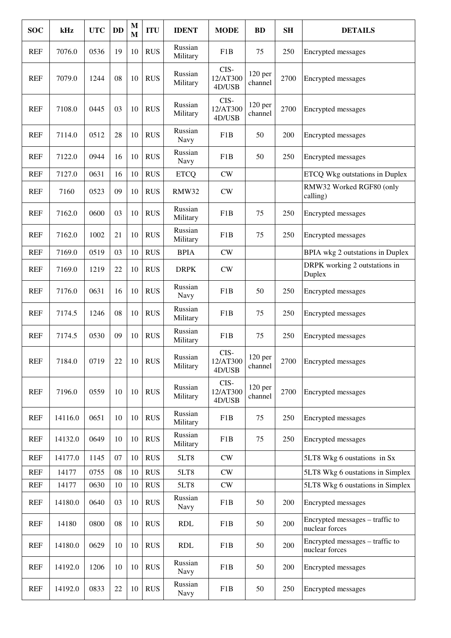| <b>SOC</b> | kHz     | <b>UTC</b> | <b>DD</b> | $\mathbf{M}$<br>$\mathbf{M}$ | <b>ITU</b> | <b>IDENT</b>        | <b>MODE</b>                | <b>BD</b>                      | <b>SH</b> | <b>DETAILS</b>                                    |
|------------|---------|------------|-----------|------------------------------|------------|---------------------|----------------------------|--------------------------------|-----------|---------------------------------------------------|
| REF        | 7076.0  | 0536       | 19        | 10                           | <b>RUS</b> | Russian<br>Military | F1B                        | 75                             | 250       | Encrypted messages                                |
| <b>REF</b> | 7079.0  | 1244       | 08        | 10                           | <b>RUS</b> | Russian<br>Military | CIS-<br>12/AT300<br>4D/USB | 120 <sub>per</sub><br>channel  | 2700      | Encrypted messages                                |
| <b>REF</b> | 7108.0  | 0445       | 03        | 10                           | <b>RUS</b> | Russian<br>Military | CIS-<br>12/AT300<br>4D/USB | 120 per<br>channel             | 2700      | Encrypted messages                                |
| <b>REF</b> | 7114.0  | 0512       | 28        | 10                           | <b>RUS</b> | Russian<br>Navy     | F1B                        | 50                             | 200       | Encrypted messages                                |
| <b>REF</b> | 7122.0  | 0944       | 16        | 10                           | <b>RUS</b> | Russian<br>Navy     | F1B                        | 50                             | 250       | Encrypted messages                                |
| <b>REF</b> | 7127.0  | 0631       | 16        | 10                           | <b>RUS</b> | <b>ETCO</b>         | CW                         |                                |           | <b>ETCQ Wkg outstations in Duplex</b>             |
| <b>REF</b> | 7160    | 0523       | 09        | 10                           | <b>RUS</b> | <b>RMW32</b>        | CW                         |                                |           | RMW32 Worked RGF80 (only<br>calling)              |
| <b>REF</b> | 7162.0  | 0600       | 03        | 10                           | <b>RUS</b> | Russian<br>Military | F1B                        | 75                             | 250       | Encrypted messages                                |
| <b>REF</b> | 7162.0  | 1002       | 21        | 10                           | <b>RUS</b> | Russian<br>Military | F1B                        | 75                             | 250       | Encrypted messages                                |
| <b>REF</b> | 7169.0  | 0519       | 03        | 10                           | <b>RUS</b> | <b>BPIA</b>         | CW                         |                                |           | BPIA wkg 2 outstations in Duplex                  |
| <b>REF</b> | 7169.0  | 1219       | 22        | 10                           | <b>RUS</b> | <b>DRPK</b>         | CW                         |                                |           | DRPK working 2 outstations in<br>Duplex           |
| <b>REF</b> | 7176.0  | 0631       | 16        | 10                           | <b>RUS</b> | Russian<br>Navy     | F1B                        | 50                             | 250       | Encrypted messages                                |
| <b>REF</b> | 7174.5  | 1246       | 08        | 10                           | <b>RUS</b> | Russian<br>Military | F1B                        | 75                             | 250       | Encrypted messages                                |
| <b>REF</b> | 7174.5  | 0530       | 09        | 10                           | <b>RUS</b> | Russian<br>Military | F1B                        | 75                             | 250       | Encrypted messages                                |
| <b>REF</b> | 7184.0  | 0719       | 22        | 10                           | <b>RUS</b> | Russian<br>Military | CIS-<br>12/AT300<br>4D/USB | $120\,\mathrm{per}$<br>channel | 2700      | Encrypted messages                                |
| <b>REF</b> | 7196.0  | 0559       | 10        | 10                           | <b>RUS</b> | Russian<br>Military | CIS-<br>12/AT300<br>4D/USB | $120$ per<br>channel           | 2700      | Encrypted messages                                |
| <b>REF</b> | 14116.0 | 0651       | 10        | 10                           | <b>RUS</b> | Russian<br>Military | F1B                        | 75                             | 250       | Encrypted messages                                |
| <b>REF</b> | 14132.0 | 0649       | 10        | 10                           | <b>RUS</b> | Russian<br>Military | F1B                        | 75                             | 250       | Encrypted messages                                |
| <b>REF</b> | 14177.0 | 1145       | 07        | 10                           | <b>RUS</b> | 5LT8                | CW                         |                                |           | 5LT8 Wkg 6 oustations in Sx                       |
| <b>REF</b> | 14177   | 0755       | 08        | 10                           | <b>RUS</b> | 5LT8                | CW                         |                                |           | 5LT8 Wkg 6 oustations in Simplex                  |
| <b>REF</b> | 14177   | 0630       | 10        | 10                           | <b>RUS</b> | 5LT8                | CW                         |                                |           | 5LT8 Wkg 6 oustations in Simplex                  |
| <b>REF</b> | 14180.0 | 0640       | 03        | 10                           | <b>RUS</b> | Russian<br>Navy     | F1B                        | 50                             | 200       | Encrypted messages                                |
| <b>REF</b> | 14180   | 0800       | 08        | 10                           | <b>RUS</b> | <b>RDL</b>          | F1B                        | 50                             | 200       | Encrypted messages – traffic to<br>nuclear forces |
| REF        | 14180.0 | 0629       | 10        | 10                           | <b>RUS</b> | <b>RDL</b>          | F1B                        | 50                             | 200       | Encrypted messages – traffic to<br>nuclear forces |
| <b>REF</b> | 14192.0 | 1206       | 10        | 10                           | <b>RUS</b> | Russian<br>Navy     | F1B                        | 50                             | 200       | Encrypted messages                                |
| <b>REF</b> | 14192.0 | 0833       | 22        | 10                           | <b>RUS</b> | Russian<br>Navy     | F1B                        | 50                             | 250       | Encrypted messages                                |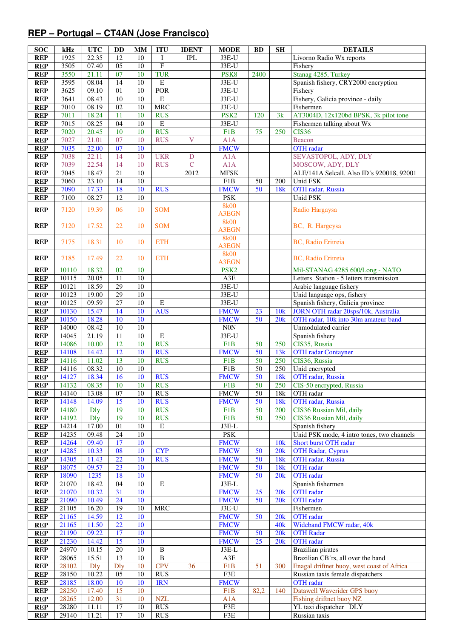## **REP – Portugal – CT4AN (Jose Francisco)**

| <b>SOC</b>               | kHz            | <b>UTC</b>           | DD                    | MM                    | <b>ITU</b>               | <b>IDENT</b>            | <b>MODE</b>            | <b>BD</b>             | <b>SH</b>       | <b>DETAILS</b>                                                           |
|--------------------------|----------------|----------------------|-----------------------|-----------------------|--------------------------|-------------------------|------------------------|-----------------------|-----------------|--------------------------------------------------------------------------|
| <b>REP</b>               | 1925           | 22.35                | 12                    | 10                    | $\bf{I}$                 | <b>IPL</b>              | J3E-U                  |                       |                 | Livorno Radio Wx reports                                                 |
| <b>REP</b>               | 3505           | 07.40                | $\overline{05}$       | 10                    | $\mathbf{F}$             |                         | $J3E-U$                |                       |                 | Fishery                                                                  |
| <b>REP</b>               | 3550           | 21.11                | 07                    | 10                    | <b>TUR</b>               |                         | PSK8                   | 2400                  |                 | Stanag 4285, Turkey                                                      |
| <b>REP</b>               | 3595           | 08.04                | $\overline{14}$       | $\overline{10}$       | $\overline{E}$           |                         | $J3E-U$                |                       |                 | Spanish fishery, CRY2000 encryption                                      |
| <b>REP</b>               | 3625           | 09.10                | 01                    | 10                    | <b>POR</b>               |                         | J3E-U<br>$J3E-U$       |                       |                 | Fishery                                                                  |
| <b>REP</b><br><b>REP</b> | 3641<br>7010   | 08.43<br>08.19       | 10<br>02              | 10<br>10              | ${\bf E}$<br><b>MRC</b>  |                         | J3E-U                  |                       |                 | Fishery, Galicia province - daily<br>Fishermen                           |
| <b>REP</b>               | 7011           | 18.24                | 11                    | 10                    | <b>RUS</b>               |                         | PSK <sub>2</sub>       | 120                   | 3k              | AT3004D, 12x120bd BPSK, 3k pilot tone                                    |
| <b>REP</b>               | 7015           | 08.25                | 04                    | 10                    | ${\bf E}$                |                         | J3E-U                  |                       |                 | Fishermen talking about Wx                                               |
| <b>REP</b>               | 7020           | 20.45                | 10                    | $\overline{10}$       | <b>RUS</b>               |                         | F1B                    | 75                    | 250             | <b>CIS36</b>                                                             |
| <b>REP</b>               | 7027           | 21.01                | 07                    | 10                    | <b>RUS</b>               | $\overline{\mathbf{V}}$ | A1A                    |                       |                 | Beacon                                                                   |
| <b>REP</b>               | 7035           | 22.00                | 07                    | 10                    |                          |                         | <b>FMCW</b>            |                       |                 | OTH radar                                                                |
| <b>REP</b>               | 7038           | 22.11                | 14                    | 10                    | <b>UKR</b>               | D                       | A1A                    |                       |                 | SEVASTOPOL, ADY, DLY                                                     |
| <b>REP</b>               | 7039           | 22.54                | 14                    | 10                    | <b>RUS</b>               | $\mathbf C$             | A1A                    |                       |                 | MOSCOW, ADY, DLY                                                         |
| <b>REP</b>               | 7045           | 18.47                | $\overline{21}$       | 10                    |                          | 2012                    | <b>MFSK</b>            |                       |                 | ALE/141A Selcall. Also ID's 920018, 92001                                |
| <b>REP</b>               | 7060           | 23.10                | $\overline{14}$       | $\overline{10}$       |                          |                         | F1B                    | 50                    | 200             | Unid FSK                                                                 |
| <b>REP</b>               | 7090           | 17.33                | 18                    | 10                    | <b>RUS</b>               |                         | <b>FMCW</b>            | 50                    | 18k             | OTH radar, Russia                                                        |
| <b>REP</b>               | 7100           | 08.27                | 12                    | 10                    |                          |                         | <b>PSK</b>             |                       |                 | Unid PSK                                                                 |
| <b>REP</b>               | 7120           | 19.39                | 06                    | 10                    | <b>SOM</b>               |                         | <b>8k00</b>            |                       |                 | Radio Hargaysa                                                           |
|                          |                |                      |                       |                       |                          |                         | A3EGN<br><b>8k00</b>   |                       |                 |                                                                          |
| <b>REP</b>               | 7120           | 17.52                | 22                    | 10                    | <b>SOM</b>               |                         | <b>A3EGN</b>           |                       |                 | BC, R. Hargeysa                                                          |
|                          |                |                      |                       |                       |                          |                         | <b>8k00</b>            |                       |                 |                                                                          |
| <b>REP</b>               | 7175           | 18.31                | 10                    | 10                    | <b>ETH</b>               |                         | <b>A3EGN</b>           |                       |                 | BC, Radio Eritreia                                                       |
| <b>REP</b>               | 7185           | 17.49                | 22                    | 10                    | <b>ETH</b>               |                         | <b>8k00</b>            |                       |                 | <b>BC, Radio Eritreia</b>                                                |
|                          |                |                      |                       |                       |                          |                         | <b>A3EGN</b>           |                       |                 |                                                                          |
| <b>REP</b>               | 10110          | 18.32                | 02                    | 10                    |                          |                         | PSK <sub>2</sub>       |                       |                 | Mil-STANAG 4285 600/Long - NATO                                          |
| <b>REP</b>               | 10115          | 20.05                | 11                    | 10                    |                          |                         | A3E                    |                       |                 | Letters Station - 5 letters transmission                                 |
| <b>REP</b>               | 10121          | 18.59                | $\overline{29}$       | 10                    |                          |                         | $J3E-U$                |                       |                 | Arabic language fishery                                                  |
| <b>REP</b>               | 10123<br>10125 | 19.00<br>09.59       | $\overline{29}$<br>27 | $\overline{10}$<br>10 | $\mathbf E$              |                         | $J3E-U$<br>J3E-U       |                       |                 | Unid language ops, fishery                                               |
| <b>REP</b><br><b>REP</b> | 10130          | 15.47                | 14                    | 10                    | <b>AUS</b>               |                         | <b>FMCW</b>            | 23                    | 10k             | Spanish fishery, Galicia province<br>JORN OTH radar 20sps/10k, Australia |
| <b>REP</b>               | 10150          | 18.28                | 10                    | 10                    |                          |                         | <b>FMCW</b>            | 50                    | 20k             | OTH radar, 10k into 30m amateur band                                     |
| <b>REP</b>               | 14000          | 08.42                | 10                    | 10                    |                          |                         | $\rm{NON}$             |                       |                 | Unmodulated carrier                                                      |
| <b>REP</b>               | 14045          | 21.19                | 11                    | $\overline{10}$       | ${\bf E}$                |                         | J3E-U                  |                       |                 | Spanish fishery                                                          |
| <b>REP</b>               | 14086          | 10.00                | 12                    | 10                    | <b>RUS</b>               |                         | F <sub>1</sub> B       | 50                    | 250             | CIS35, Russia                                                            |
| <b>REP</b>               | 14108          | 14.42                | 12                    | 10                    | <b>RUS</b>               |                         | <b>FMCW</b>            | 50                    | 13k             | <b>OTH</b> radar Contayner                                               |
| <b>REP</b>               | 14116          | 11.02                | 13                    | 10                    | <b>RUS</b>               |                         | F1B                    | $\overline{50}$       | 250             | CIS36, Russia                                                            |
| <b>REP</b>               | 14116          | 08.32                | $\overline{10}$       | $\overline{10}$       |                          |                         | F1B                    | $\overline{50}$       | 250             | Unid encrypted                                                           |
| <b>REP</b>               | 14127          | 18.34                | 16                    | 10                    | <b>RUS</b>               |                         | <b>FMCW</b>            | 50                    | 18k             | OTH radar, Russia                                                        |
| <b>REP</b>               | 14132          | 08.35                | 10                    | 10                    | <b>RUS</b>               |                         | F1B                    | 50                    | 250             | CIS-50 encrypted, Russia                                                 |
| <b>REP</b>               | 14140          | 13.08                | 07                    | 10                    | <b>RUS</b>               |                         | <b>FMCW</b>            | $\overline{50}$       | 18k             | OTH radar                                                                |
| <b>REP</b>               | 14148<br>14180 | 14.09<br><b>D</b> ly | 15<br>19              | 10<br>10              | <b>RUS</b><br><b>RUS</b> |                         | <b>FMCW</b><br>F1B     | 50<br>$\overline{50}$ | 18k<br>200      | OTH radar, Russia<br>CIS36 Russian Mil, daily                            |
| <b>REP</b><br><b>REP</b> | 14192          | <b>D</b> ly          | 19                    | 10                    | <b>RUS</b>               |                         | F1B                    | 50                    | 250             | CIS36 Russian Mil, daily                                                 |
| <b>REP</b>               | 14214          | 17.00                | 01                    | 10                    | $\mathbf E$              |                         | J3E-L                  |                       |                 | Spanish fishery                                                          |
| <b>REP</b>               | 14235          | 09.48                | 24                    | 10                    |                          |                         | PSK                    |                       |                 | Unid PSK mode, 4 intro tones, two channels                               |
| <b>REP</b>               | 14264          | 09.40                | 17                    | 10                    |                          |                         | <b>FMCW</b>            |                       | 10k             | Short burst OTH radar                                                    |
| <b>REP</b>               | 14285          | 10.33                | 08                    | 10                    | <b>CYP</b>               |                         | <b>FMCW</b>            | 50                    | 20k             | <b>OTH Radar, Cyprus</b>                                                 |
| <b>REP</b>               | 14305          | 11.43                | 22                    | 10                    | <b>RUS</b>               |                         | <b>FMCW</b>            | 50                    | 18 <sub>k</sub> | OTH radar, Russia                                                        |
| <b>REP</b>               | 18075          | 09.57                | 23                    | 10                    |                          |                         | <b>FMCW</b>            | 50                    | 18k             | <b>OTH</b> radar                                                         |
| <b>REP</b>               | 18090          | 1235                 | 18                    | 10                    |                          |                         | <b>FMCW</b>            | 50                    | 20k             | <b>OTH</b> radar                                                         |
| <b>REP</b>               | 21070          | 18.42                | 04                    | 10                    | $\bf E$                  |                         | J3E-L                  |                       |                 | Spanish fishermen                                                        |
| <b>REP</b>               | 21070          | 10.32                | 31                    | 10                    |                          |                         | <b>FMCW</b>            | 25<br>50              | 20k             | <b>OTH</b> radar                                                         |
| <b>REP</b><br><b>REP</b> | 21090<br>21105 | 10.49<br>16.20       | 24<br>19              | 10<br>10              | <b>MRC</b>               |                         | <b>FMCW</b><br>$J3E-U$ |                       | 20k             | <b>OTH</b> radar<br>Fishermen                                            |
| <b>REP</b>               | 21165          | 14.59                | 12                    | 10                    |                          |                         | <b>FMCW</b>            | 50                    | 20k             | <b>OTH</b> radar                                                         |
| <b>REP</b>               | 21165          | 11.50                | 22                    | 10                    |                          |                         | <b>FMCW</b>            |                       | 40k             | Wideband FMCW radar, 40k                                                 |
| <b>REP</b>               | 21190          | 09.22                | 17                    | 10                    |                          |                         | <b>FMCW</b>            | 50                    | 20k             | <b>OTH Radar</b>                                                         |
| <b>REP</b>               | 21230          | 14.42                | 15                    | 10                    |                          |                         | <b>FMCW</b>            | 25                    | 20k             | <b>OTH</b> radar                                                         |
| <b>REP</b>               | 24970          | 10.15                | $20\,$                | 10                    | B                        |                         | $J3E-L$                |                       |                 | <b>Brazilian</b> pirates                                                 |
| <b>REP</b>               | 28065          | 15.51                | 13                    | 10                    | $\, {\bf B}$             |                         | $\rm A3E$              |                       |                 | Brazilian CB'rs, all over the band                                       |
| <b>REP</b>               | 28102          | $\mathbf{D}$ ly      | <b>D</b> ly           | 10                    | <b>CPV</b>               | 36                      | F1B                    | 51                    | 300             | Enagal driftnet buoy, west coast of Africa                               |
| <b>REP</b>               | 28150          | 10.22                | 05                    | 10                    | <b>RUS</b>               |                         | F3E                    |                       |                 | Russian taxis female dispatchers                                         |
| <b>REP</b>               | 28185          | 18.00                | 10                    | 10                    | <b>IRN</b>               |                         | <b>FMCW</b>            |                       |                 | <b>OTH</b> radar                                                         |
| <b>REP</b>               | 28250          | 17.40                | 15                    | 10                    |                          |                         | F1B                    | 82,2                  | 140             | Datawell Waverider GPS buoy                                              |
| <b>REP</b><br><b>REP</b> | 28265<br>28280 | 12.00                | 31<br>17              | 10<br>10              | <b>NZL</b><br><b>RUS</b> |                         | A1A<br>F3E             |                       |                 | Fishing driftnet buoy NZ<br>YL taxi dispatcher DLY                       |
| <b>REP</b>               | 29140          | 11.11<br>11.21       | 17                    | 10                    | <b>RUS</b>               |                         | F3E                    |                       |                 | Russian taxis                                                            |
|                          |                |                      |                       |                       |                          |                         |                        |                       |                 |                                                                          |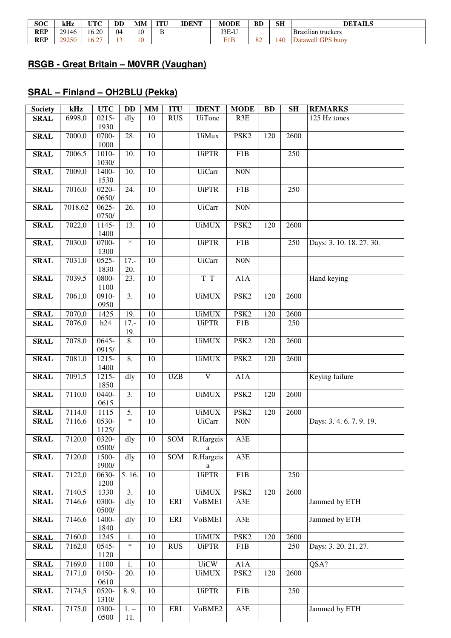| <b>SOC</b> | kHz   | UTC                          | <b>DD</b> | MM | <b>TITT T</b> | <b>IDENT</b> | <b>MODE</b> | <b>BD</b> | <b>SH</b> | <b>DETAILS</b>                 |
|------------|-------|------------------------------|-----------|----|---------------|--------------|-------------|-----------|-----------|--------------------------------|
| <b>REP</b> | 29146 | 6.20                         | 04        | 10 |               |              | J3E-U       |           |           | $\cdots$<br>Brazilian truckers |
| <b>REP</b> | 29250 | $\sim$ $\sim$ $\sim$<br>16.2 |           | 10 |               |              | F1B         | o o<br>3∠ | 140       | Datawell GPS buoy              |

#### **RSGB - Great Britain – M0VRR (Vaughan)**

## **SRAL – Finland – OH2BLU (Pekka)**

| <b>Society</b> | kHz     | $\bf{UTC}$        | <b>DD</b>         | $\mathbf{MM}$   | <b>ITU</b> | <b>IDENT</b>   | <b>MODE</b>      | <b>BD</b> | <b>SH</b> | <b>REMARKS</b>           |
|----------------|---------|-------------------|-------------------|-----------------|------------|----------------|------------------|-----------|-----------|--------------------------|
| <b>SRAL</b>    | 6998,0  | $0215 -$<br>1930  | dly               | 10              | <b>RUS</b> | <b>UiTone</b>  | R3E              |           |           | 125 Hz tones             |
| <b>SRAL</b>    | 7000,0  | 0700-<br>1000     | 28.               | $\overline{10}$ |            | <b>UiMux</b>   | PSK <sub>2</sub> | 120       | 2600      |                          |
| <b>SRAL</b>    | 7006,5  | 1010-<br>1030/    | 10.               | 10              |            | <b>UiPTR</b>   | F1B              |           | 250       |                          |
| <b>SRAL</b>    | 7009,0  | 1400-<br>1530     | 10.               | 10              |            | <b>UiCarr</b>  | N0N              |           |           |                          |
| <b>SRAL</b>    | 7016,0  | 0220-<br>0650/    | 24.               | 10              |            | <b>UiPTR</b>   | F <sub>1</sub> B |           | 250       |                          |
| <b>SRAL</b>    | 7018,62 | $0625 -$<br>0750/ | 26.               | $\overline{10}$ |            | <b>UiCarr</b>  | N0N              |           |           |                          |
| <b>SRAL</b>    | 7022,0  | 1145-<br>1400     | 13.               | $\overline{10}$ |            | <b>UiMUX</b>   | PSK <sub>2</sub> | 120       | 2600      |                          |
| <b>SRAL</b>    | 7030,0  | 0700-<br>1300     | $\ast$            | 10              |            | <b>UiPTR</b>   | F1B              |           | 250       | Days: 3. 10. 18. 27. 30. |
| <b>SRAL</b>    | 7031,0  | $0525 -$<br>1830  | $17. -$<br>20.    | 10              |            | <b>UiCarr</b>  | N0N              |           |           |                          |
| <b>SRAL</b>    | 7039,5  | 0800-<br>1100     | 23.               | 10              |            | T T            | A1A              |           |           | Hand keying              |
| <b>SRAL</b>    | 7061,0  | 0910-<br>0950     | 3.                | 10              |            | <b>UiMUX</b>   | PSK <sub>2</sub> | 120       | 2600      |                          |
| <b>SRAL</b>    | 7070,0  | 1425              | 19.               | 10              |            | <b>UiMUX</b>   | PSK <sub>2</sub> | 120       | 2600      |                          |
| <b>SRAL</b>    | 7076,0  | h24               | $17. -$<br>19.    | 10              |            | <b>UiPTR</b>   | F1B              |           | 250       |                          |
| <b>SRAL</b>    | 7078,0  | $0645 -$<br>0915/ | 8.                | $\overline{10}$ |            | <b>UiMUX</b>   | PSK <sub>2</sub> | 120       | 2600      |                          |
| <b>SRAL</b>    | 7081,0  | 1215-<br>1400     | 8.                | 10              |            | <b>UiMUX</b>   | PSK <sub>2</sub> | 120       | 2600      |                          |
| <b>SRAL</b>    | 7091,5  | 1215-<br>1850     | dly               | 10              | <b>UZB</b> | $\mathbf V$    | A1A              |           |           | Keying failure           |
| <b>SRAL</b>    | 7110,0  | 0440-<br>0615     | $\overline{3}$ .  | $\overline{10}$ |            | <b>UiMUX</b>   | PSK <sub>2</sub> | 120       | 2600      |                          |
| <b>SRAL</b>    | 7114,0  | 1115              | 5.                | 10              |            | <b>UiMUX</b>   | PSK <sub>2</sub> | 120       | 2600      |                          |
| <b>SRAL</b>    | 7116,6  | 0530-<br>1125/    | $\ast$            | 10              |            | <b>UiCarr</b>  | N0N              |           |           | Days: 3.4.6.7.9.19.      |
| <b>SRAL</b>    | 7120,0  | 0320-<br>0500/    | $\overline{d}$ ly | 10              | SOM        | R.Hargeis<br>a | $A3E$            |           |           |                          |
| <b>SRAL</b>    | 7120,0  | 1500-<br>1900/    | $d$ ly            | $\overline{10}$ | SOM        | R.Hargeis<br>a | A3E              |           |           |                          |
| <b>SRAL</b>    | 7122,0  | $0630-$<br>1200   | 5.16.             | 10              |            | <b>UiPTR</b>   | F1B              |           | 250       |                          |
| <b>SRAL</b>    | 7140,5  | 1330              | 3.                | 10              |            | <b>UiMUX</b>   | PSK <sub>2</sub> | 120       | 2600      |                          |
| <b>SRAL</b>    | 7146,6  | 0300-<br>0500/    | dly               | 10              | ERI        | VoBME1         | A3E              |           |           | Jammed by ETH            |
| <b>SRAL</b>    | 7146,6  | 1400-<br>1840     | $\overline{dy}$   | 10              | ERI        | VoBME1         | $A3E$            |           |           | Jammed by ETH            |
| <b>SRAL</b>    | 7160,0  | 1245              | 1.                | 10              |            | <b>UiMUX</b>   | PSK <sub>2</sub> | 120       | 2600      |                          |
| <b>SRAL</b>    | 7162,0  | 0545-<br>1120     | $\ast$            | 10              | <b>RUS</b> | <b>UiPTR</b>   | F1B              |           | 250       | Days: 3. 20. 21. 27.     |
| <b>SRAL</b>    | 7169,0  | 1100              | 1.                | 10              |            | <b>UiCW</b>    | A1A              |           |           | QSA?                     |
| <b>SRAL</b>    | 7171,0  | 0450-<br>0610     | 20.               | 10              |            | <b>UiMUX</b>   | PSK <sub>2</sub> | 120       | 2600      |                          |
| <b>SRAL</b>    | 7174,5  | 0520-<br>1310/    | 8.9.              | 10              |            | <b>UiPTR</b>   | F1B              |           | 250       |                          |
| <b>SRAL</b>    | 7175,0  | 0300-<br>0500     | $1. -$<br>11.     | $10\,$          | ERI        | VoBME2         | A3E              |           |           | Jammed by ETH            |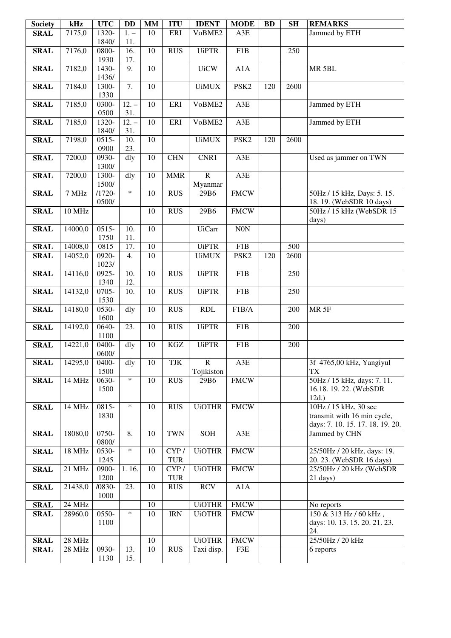| <b>Society</b>             | kHz              | $\bf{UTC}$       | <b>DD</b>                | MM              | <b>ITU</b>       | <b>IDENT</b>                 | <b>MODE</b>             | <b>BD</b> | <b>SH</b> | <b>REMARKS</b>                                       |
|----------------------------|------------------|------------------|--------------------------|-----------------|------------------|------------------------------|-------------------------|-----------|-----------|------------------------------------------------------|
| <b>SRAL</b>                | 7175,0           | 1320-            | $1. -$                   | 10              | ERI              | VoBME2                       | A3E                     |           |           | Jammed by ETH                                        |
|                            |                  | 1840/            | 11.                      | 10              | <b>RUS</b>       |                              | F1B                     |           |           |                                                      |
| <b>SRAL</b>                | 7176,0           | 0800-<br>1930    | 16.<br>17.               |                 |                  | <b>UiPTR</b>                 |                         |           | 250       |                                                      |
| <b>SRAL</b>                | 7182,0           | 1430-            | 9.                       | $\overline{10}$ |                  | <b>UiCW</b>                  | A1A                     |           |           | MR <sub>5BL</sub>                                    |
| <b>SRAL</b>                | 7184,0           | 1436/<br>1300-   | $\overline{7}$ .         | $\overline{10}$ |                  | <b>UiMUX</b>                 | PSK <sub>2</sub>        | 120       | 2600      |                                                      |
|                            |                  | 1330             |                          |                 |                  |                              |                         |           |           |                                                      |
| <b>SRAL</b>                | 7185,0           | 0300-            | $12. -$                  | 10              | ERI              | VoBME2                       | A3E                     |           |           | Jammed by ETH                                        |
|                            |                  | 0500             | 31.                      |                 |                  |                              |                         |           |           |                                                      |
| <b>SRAL</b>                | 7185,0           | 1320-            | $12. -$                  | 10              | <b>ERI</b>       | VoBME2                       | A3E                     |           |           | Jammed by ETH                                        |
|                            |                  | 1840/            | 31.                      |                 |                  |                              |                         |           |           |                                                      |
| <b>SRAL</b>                | 7198,0           | $0515 -$<br>0900 | $\overline{10}$ .<br>23. | $\overline{10}$ |                  | <b>UiMUX</b>                 | PSK <sub>2</sub>        | 120       | 2600      |                                                      |
| <b>SRAL</b>                | 7200,0           | 0930-            | dly                      | 10              | CHN              | CNR1                         | A3E                     |           |           | Used as jammer on TWN                                |
|                            |                  | 1300/            |                          |                 |                  |                              |                         |           |           |                                                      |
| <b>SRAL</b>                | 7200,0           | 1300-            | dly                      | 10              | <b>MMR</b>       | $\mathbf R$                  | A3E                     |           |           |                                                      |
|                            |                  | 1500/            |                          |                 |                  | Myanmar                      |                         |           |           |                                                      |
| <b>SRAL</b>                | 7 MHz            | $/1720-$         | $\ast$                   | 10              | <b>RUS</b>       | 29B6                         | <b>FMCW</b>             |           |           | 50Hz / 15 kHz, Days: 5. 15.                          |
| <b>SRAL</b>                | 10 MHz           | 0500/            |                          | 10              | <b>RUS</b>       | 29B6                         | <b>FMCW</b>             |           |           | 18.19. (WebSDR 10 days)<br>50Hz / 15 kHz (WebSDR 15  |
|                            |                  |                  |                          |                 |                  |                              |                         |           |           | days)                                                |
| <b>SRAL</b>                | 14000,0          | $0515 -$         | 10.                      | 10              |                  | <b>UiCarr</b>                | $\rm{NON}$              |           |           |                                                      |
|                            | 14008,0          | 1750             | 11.<br>17.               | $\overline{10}$ |                  |                              |                         |           | 500       |                                                      |
| <b>SRAL</b><br><b>SRAL</b> | 14052,0          | 0815<br>0920-    | 4.                       | $\overline{10}$ |                  | <b>UiPTR</b><br><b>UiMUX</b> | F1B<br>PSK <sub>2</sub> | 120       | 2600      |                                                      |
|                            |                  | 1023/            |                          |                 |                  |                              |                         |           |           |                                                      |
| <b>SRAL</b>                | 14116,0          | 0925-            | 10.                      | 10              | <b>RUS</b>       | <b>UiPTR</b>                 | F1B                     |           | 250       |                                                      |
| <b>SRAL</b>                | 14132,0          | 1340<br>0705-    | 12.<br>10.               | 10              | <b>RUS</b>       | <b>UiPTR</b>                 | F1B                     |           | 250       |                                                      |
|                            |                  | 1530             |                          |                 |                  |                              |                         |           |           |                                                      |
| <b>SRAL</b>                | 14180,0          | 0530-            | dly                      | 10              | <b>RUS</b>       | RDL                          | F1B/A                   |           | 200       | MR <sub>5F</sub>                                     |
|                            |                  | 1600             |                          |                 |                  |                              |                         |           |           |                                                      |
| <b>SRAL</b>                | 14192,0          | 0640-<br>1100    | $\overline{23}$ .        | $\overline{10}$ | $\overline{RUS}$ | <b>UiPTR</b>                 | F1B                     |           | 200       |                                                      |
| <b>SRAL</b>                | 14221,0          | 0400-            | dly                      | 10              | $\rm KGZ$        | <b>UiPTR</b>                 | F1B                     |           | 200       |                                                      |
|                            |                  | 0600/            |                          |                 |                  |                              |                         |           |           |                                                      |
| <b>SRAL</b>                | 14295,0          | 0400-            | dly                      | 10              | TJK              | $\mathbf R$                  | A3E                     |           |           | 3f 4765,00 kHz, Yangiyul                             |
|                            |                  | 1500             |                          |                 |                  | Tojikiston                   |                         |           |           | <b>TX</b>                                            |
| <b>SRAL</b>                | 14 MHz           | 0630-            | $\ast$                   | 10              | <b>RUS</b>       | 29B6                         | <b>FMCW</b>             |           |           | 50Hz / 15 kHz, days: 7.11.<br>16.18. 19. 22. (WebSDR |
|                            |                  | 1500             |                          |                 |                  |                              |                         |           |           | 12d.                                                 |
| <b>SRAL</b>                | 14 MHz           | 0815-            | $\ast$                   | 10              | <b>RUS</b>       | <b>UiOTHR</b>                | <b>FMCW</b>             |           |           | 10Hz / 15 kHz, 30 sec                                |
|                            |                  | 1830             |                          |                 |                  |                              |                         |           |           | transmit with 16 min cycle,                          |
|                            |                  |                  |                          |                 |                  |                              |                         |           |           | days: 7. 10. 15. 17. 18. 19. 20.                     |
| <b>SRAL</b>                | 18080,0          | 0750-<br>0800/   | 8.                       | 10              | <b>TWN</b>       | <b>SOH</b>                   | A3E                     |           |           | Jammed by CHN                                        |
| <b>SRAL</b>                | 18 MHz           | 0530-            | $\ast$                   | 10              | CYP/             | <b>UiOTHR</b>                | <b>FMCW</b>             |           |           | 25/50Hz / 20 kHz, days: 19.                          |
|                            |                  | 1245             |                          |                 | <b>TUR</b>       |                              |                         |           |           | 20. 23. (WebSDR 16 days)                             |
| <b>SRAL</b>                | 21 MHz           | 0900-            | 1.16.                    | 10              | CYP/             | <b>UiOTHR</b>                | <b>FMCW</b>             |           |           | 25/50Hz / 20 kHz (WebSDR                             |
|                            |                  | 1200             |                          |                 | <b>TUR</b>       |                              |                         |           |           | 21 days)                                             |
| <b>SRAL</b>                | 21438,0          | $/0830-$<br>1000 | 23.                      | 10              | <b>RUS</b>       | <b>RCV</b>                   | A1A                     |           |           |                                                      |
| <b>SRAL</b>                | 24 MHz           |                  |                          | 10              |                  | <b>UiOTHR</b>                | <b>FMCW</b>             |           |           | No reports                                           |
| <b>SRAL</b>                | 28960,0          | 0550-            | $\ast$                   | 10              | <b>IRN</b>       | <b>UiOTHR</b>                | <b>FMCW</b>             |           |           | 150 & 313 Hz / 60 kHz,                               |
|                            |                  | 1100             |                          |                 |                  |                              |                         |           |           | days: 10. 13. 15. 20. 21. 23.                        |
|                            |                  |                  |                          |                 |                  |                              |                         |           |           | 24.                                                  |
| <b>SRAL</b><br><b>SRAL</b> | 28 MHz<br>28 MHz | 0930-            | 13.                      | 10<br>10        | <b>RUS</b>       | <b>UiOTHR</b><br>Taxi disp.  | <b>FMCW</b><br>F3E      |           |           | 25/50Hz / 20 kHz<br>6 reports                        |
|                            |                  | 1130             | 15.                      |                 |                  |                              |                         |           |           |                                                      |
|                            |                  |                  |                          |                 |                  |                              |                         |           |           |                                                      |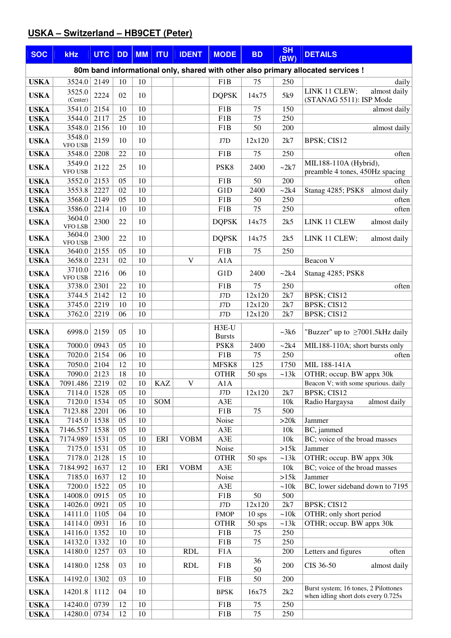## **USKA – Switzerland – HB9CET (Peter)**

| <b>SOC</b>                 | <b>kHz</b>               | <b>UTC</b>   | <b>DD</b> | <b>MM</b> | <b>ITU</b> | <b>IDENT</b> | <b>MODE</b>             | <b>BD</b>  | <b>SH</b><br>(BW) | <b>DETAILS</b>                                                                   |
|----------------------------|--------------------------|--------------|-----------|-----------|------------|--------------|-------------------------|------------|-------------------|----------------------------------------------------------------------------------|
|                            |                          |              |           |           |            |              |                         |            |                   | 80m band informational only, shared with other also primary allocated services ! |
| <b>USKA</b>                | 3524.0                   | 2149         | 10        | 10        |            |              | F1B                     | 75         | 250               | daily                                                                            |
| <b>USKA</b>                | 3525.0<br>(Center)       | 2224         | 02        | 10        |            |              | <b>DQPSK</b>            | 14x75      | 5k9               | LINK 11 CLEW;<br>almost daily<br>(STANAG 5511): ISP Mode                         |
| <b>USKA</b>                | 3541.0                   | 2154         | 10        | 10        |            |              | F <sub>1</sub> B        | 75         | 150               | almost daily                                                                     |
| <b>USKA</b>                | 3544.0                   | 2117         | 25        | 10        |            |              | F1B                     | 75         | 250               |                                                                                  |
| <b>USKA</b>                | 3548.0                   | 2156         | 10        | 10        |            |              | F1B                     | 50         | 200               | almost daily                                                                     |
| <b>USKA</b>                | 3548.0<br><b>VFO USB</b> | 2159         | 10        | 10        |            |              | J7D                     | 12x120     | 2k7               | BPSK; CIS12                                                                      |
| <b>USKA</b>                | 3548.0                   | 2208         | 22        | 10        |            |              | F <sub>1</sub> B        | 75         | 250               | often                                                                            |
| <b>USKA</b>                | 3549.0<br>VFO USB        | 2122         | 25        | 10        |            |              | PSK8                    | 2400       | ~2k7              | MIL188-110A (Hybrid),<br>preamble 4 tones, 450Hz spacing                         |
| <b>USKA</b>                | 3552.0                   | 2153         | 05        | 10        |            |              | F <sub>1</sub> B        | 50         | 200               | often                                                                            |
| <b>USKA</b>                | 3553.8                   | 2227         | 02        | 10        |            |              | G1D                     | 2400       | ~2k4              | almost daily<br>Stanag 4285; PSK8                                                |
| <b>USKA</b><br><b>USKA</b> | 3568.0<br>3586.0         | 2149<br>2214 | 05<br>10  | 10<br>10  |            |              | F <sub>1</sub> B<br>F1B | 50<br>75   | 250<br>250        | often<br>often                                                                   |
|                            | 3604.0                   |              |           |           |            |              |                         |            |                   |                                                                                  |
| <b>USKA</b>                | <b>VFO LSB</b><br>3604.0 | 2300         | 22        | 10        |            |              | <b>DQPSK</b>            | 14x75      | 2k5               | LINK 11 CLEW<br>almost daily                                                     |
| <b>USKA</b>                | VFO USB                  | 2300         | 22        | 10        |            |              | <b>DQPSK</b>            | 14x75      | 2k5               | LINK 11 CLEW;<br>almost daily                                                    |
| <b>USKA</b>                | 3640.0                   | 2155         | 05        | 10        |            |              | F <sub>1</sub> B        | 75         | 250               |                                                                                  |
| <b>USKA</b>                | 3658.0<br>3710.0         | 2231         | 02        | 10        |            | V            | A1A                     |            |                   | Beacon V                                                                         |
| <b>USKA</b><br><b>USKA</b> | <b>VFO USB</b><br>3738.0 | 2216<br>2301 | 06<br>22  | 10<br>10  |            |              | G1D<br>F1B              | 2400<br>75 | ~2k4<br>250       | Stanag 4285; PSK8<br>often                                                       |
| <b>USKA</b>                | 3744.5                   | 2142         | 12        | 10        |            |              | J7D                     | 12x120     | 2k7               | BPSK; CIS12                                                                      |
| <b>USKA</b>                | 3745.0                   | 2219         | 10        | 10        |            |              | J7D                     | 12x120     | 2k7               | BPSK; CIS12                                                                      |
| <b>USKA</b>                | 3762.0                   | 2219         | 06        | 10        |            |              | J7D                     | 12x120     | 2k7               | BPSK; CIS12                                                                      |
| <b>USKA</b>                | 6998.0                   | 2159         | 05        | 10        |            |              | H3E-U<br><b>Bursts</b>  |            | ~23k6             | "Buzzer" up to $\geq$ 7001.5kHz daily                                            |
| <b>USKA</b>                | 7000.0                   | 0943         | 05        | 10        |            |              | PSK8                    | 2400       | ~2k4              | MIL188-110A; short bursts only                                                   |
| <b>USKA</b>                | 7020.0                   | 2154         | 06        | 10        |            |              | F1B                     | 75         | 250               | often                                                                            |
| <b>USKA</b>                | 7050.0                   | 2104         | 12        | 10        |            |              | MFSK8                   | 125        | 1750              | MIL 188-141A                                                                     |
| <b>USKA</b>                | 7090.0                   | 2123         | 18        | 10        |            |              | <b>OTHR</b>             | 50 sps     | ~13k              | OTHR; occup. BW appx 30k                                                         |
| <b>USKA</b>                | 7091.486<br>7114.0       | 2219<br>1528 | 02<br>05  | 10<br>10  | <b>KAZ</b> | V            | A1A<br>J7D              | 12x120     | 2k7               | Beacon V; with some spurious. daily<br>BPSK; CIS12                               |
| <b>USKA</b><br><b>USKA</b> | 7120.0                   | 1534         | 05        | 10        | SOM        |              | A3E                     |            | 10k               | Radio Hargaysa<br>almost daily                                                   |
| <b>USKA</b>                | 7123.88                  | 2201         | 06        | 10        |            |              | F1B                     | 75         | 500               |                                                                                  |
| <b>USKA</b>                | 7145.0                   | 1538         | 05        | 10        |            |              | Noise                   |            | >20k              | Jammer                                                                           |
| <b>USKA</b>                | 7146.557                 | 1538         | 05        | 10        |            |              | A3E                     |            | 10k               | BC, jammed                                                                       |
| <b>USKA</b>                | 7174.989                 | 1531         | 05        | 10        | ERI        | <b>VOBM</b>  | A3E                     |            | 10k               | BC; voice of the broad masses                                                    |
| <b>USKA</b>                | 7175.0                   | 1531         | 05        | 10        |            |              | Noise                   |            | >15k              | Jammer                                                                           |
| <b>USKA</b><br><b>USKA</b> | 7178.0<br>7184.992       | 2128<br>1637 | 15<br>12  | 10<br>10  | ERI        | <b>VOBM</b>  | <b>OTHR</b><br>A3E      | $50$ sps   | ~13k<br>10k       | OTHR; occup. BW appx 30k<br>BC; voice of the broad masses                        |
| <b>USKA</b>                | 7185.0                   | 1637         | 12        | 10        |            |              | Noise                   |            | >15k              | Jammer                                                                           |
| <b>USKA</b>                | 7200.0                   | 1522         | 05        | 10        |            |              | A3E                     |            | ~10k              | BC, lower sideband down to 7195                                                  |
| <b>USKA</b>                | 14008.0                  | 0915         | 05        | 10        |            |              | F1B                     | 50         | 500               |                                                                                  |
| <b>USKA</b>                | 14026.0                  | 0921         | 05        | 10        |            |              | $\rm J7D$               | 12x120     | $2k7$             | BPSK; CIS12                                                                      |
| <b>USKA</b>                | 14111.0                  | 1105         | 04        | 10        |            |              | <b>FMOP</b>             | $10$ sps   | ~10k              | OTHR; only short period                                                          |
| <b>USKA</b>                | 14114.0                  | 0931         | 16<br>10  | 10<br>10  |            |              | <b>OTHR</b>             | 50 sps     | ~13k              | OTHR; occup. BW appx 30k                                                         |
| <b>USKA</b><br><b>USKA</b> | 14116.0<br>14132.0       | 1352<br>1332 | 10        | 10        |            |              | F1B<br>F1B              | 75<br>75   | 250<br>250        |                                                                                  |
| <b>USKA</b>                | 14180.0                  | 1257         | 03        | 10        |            | <b>RDL</b>   | F1A                     |            | 200               | Letters and figures<br>often                                                     |
| <b>USKA</b>                | 14180.0                  | 1258         | 03        | 10        |            | <b>RDL</b>   | F <sub>1</sub> B        | 36<br>50   | 200               | CIS 36-50<br>almost daily                                                        |
| <b>USKA</b>                | 14192.0                  | 1302         | 03        | 10        |            |              | F1B                     | 50         | 200               |                                                                                  |
| <b>USKA</b>                | 14201.8                  | 1112         | 04        | 10        |            |              | <b>BPSK</b>             | 16x75      | 2k2               | Burst system; 16 tones, 2 Pilottones<br>when idling short dots every 0.725s      |
| <b>USKA</b>                | 14240.0                  | 0739         | 12        | 10        |            |              | F1B                     | 75         | 250               |                                                                                  |
| <b>USKA</b>                | 14280.0                  | 0734         | 12        | 10        |            |              | F1B                     | 75         | 250               |                                                                                  |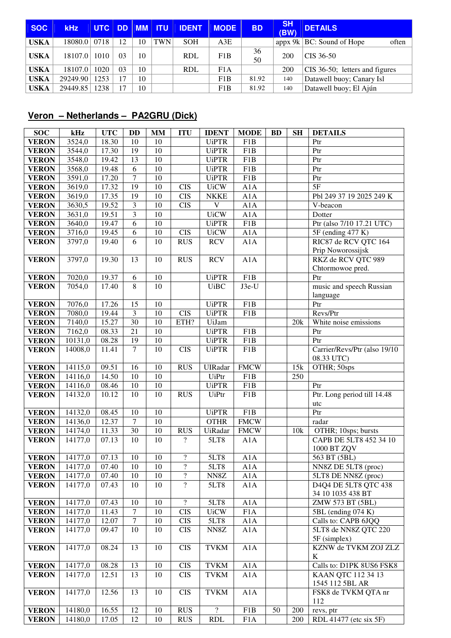| <b>SOC</b>  | <b>kHz</b> | <b>UTC</b> | DD. | $\blacksquare$ MM | ll ITU.    | <b>IDENT</b> | <b>MODE</b> | <b>BD</b> | <b>SH</b><br>(BW) | <b>DETAILS</b>                 |
|-------------|------------|------------|-----|-------------------|------------|--------------|-------------|-----------|-------------------|--------------------------------|
| <b>USKA</b> | 18080.0    | 0718       | 12  | 10                | <b>TWN</b> | <b>SOH</b>   | A3E         |           | appx $9k$         | BC: Sound of Hope<br>often     |
| <b>USKA</b> | 18107.0    | 1010       | 03  | 10                |            | <b>RDL</b>   | F1B         | 36<br>50  | 200               | CIS 36-50                      |
| <b>USKA</b> | 18107.0    | 1020       | 03  | 10                |            | <b>RDL</b>   | F1A         |           | 200               | CIS 36-50; letters and figures |
| <b>USKA</b> | 29249.90   | 1253       |     | 10                |            |              | F1B         | 81.92     | 140               | Datawell buoy; Canary Isl      |
| <b>USKA</b> | 29449.85   | 1238       |     | 10                |            |              | F1B         | 81.92     | 140               | Datawell buoy; El Ajún         |

## **Veron – Netherlands – PA2GRU (Dick)**

| <b>SOC</b>                   | kHz     | <b>UTC</b> | <b>DD</b>      | <b>MM</b>       | <b>ITU</b>                             | <b>IDENT</b>             | <b>MODE</b>      | <b>BD</b>       | <b>SH</b> | <b>DETAILS</b>                              |
|------------------------------|---------|------------|----------------|-----------------|----------------------------------------|--------------------------|------------------|-----------------|-----------|---------------------------------------------|
| <b>VERON</b>                 | 3524,0  | 18.30      | 10             | 10              |                                        | <b>UiPTR</b>             | F1B              |                 |           | Ptr                                         |
| <b>VERON</b>                 | 3544,0  | 17.30      | 19             | 10              |                                        | <b>UiPTR</b>             | F1B              |                 |           | Ptr                                         |
| <b>VERON</b>                 | 3548,0  | 19.42      | 13             | 10              |                                        | <b>UiPTR</b>             | F1B              |                 |           | Ptr                                         |
| <b>VERON</b>                 | 3568,0  | 19.48      | 6              | 10              |                                        | <b>UiPTR</b>             | F1B              |                 |           | Ptr                                         |
| <b>VERON</b>                 | 3591,0  | 17.20      | 7              | 10              |                                        | <b>UiPTR</b>             | F1B              |                 |           | Ptr                                         |
| <b>VERON</b>                 | 3619,0  | 17.32      | 19             | 10              | <b>CIS</b>                             | <b>UiCW</b>              | A1A              |                 |           | 5F                                          |
| <b>VERON</b>                 | 3619,0  | 17.35      | 19             | 10              | <b>CIS</b>                             | <b>NKKE</b>              | A1A              |                 |           | Pbl 249 37 19 2025 249 K                    |
| <b>VERON</b>                 | 3630,5  | 19.52      | 3              | 10              | <b>CIS</b>                             | $\mathbf V$              | A1A              |                 |           | V-beacon                                    |
| <b>VERON</b>                 | 3631,0  | 19.51      | 3              | 10              |                                        | <b>UiCW</b>              | A1A              |                 |           | Dotter                                      |
| <b>VERON</b>                 | 3640,0  | 19.47      | 6              | 10              |                                        | <b>UiPTR</b>             | F1B              |                 |           | Ptr (also 7/10 17.21 UTC)                   |
| <b>VERON</b>                 | 3716,0  | 19.45      | 6              | 10              | <b>CIS</b>                             | <b>UiCW</b>              | A1A              |                 |           | 5F (ending 477 K)                           |
| <b>VERON</b>                 | 3797,0  | 19.40      | 6              | 10              | <b>RUS</b>                             | <b>RCV</b>               | A1A              |                 |           | RIC87 de RCV QTC 164                        |
|                              |         |            |                |                 |                                        |                          |                  |                 |           | Prip Noworossijsk                           |
| <b>VERON</b>                 | 3797,0  | 19.30      | 13             | 10              | <b>RUS</b>                             | <b>RCV</b>               | A1A              |                 |           | RKZ de RCV QTC 989                          |
|                              |         |            |                |                 |                                        |                          |                  |                 |           | Chtormowoe pred.                            |
| <b>VERON</b>                 | 7020,0  | 19.37      | 6              | 10              |                                        | <b>UiPTR</b>             | F1B              |                 |           | Ptr                                         |
| <b>VERON</b>                 | 7054,0  | 17.40      | $\overline{8}$ | $\overline{10}$ |                                        | <b>UiBC</b>              | $J3e-U$          |                 |           | music and speech Russian                    |
|                              | 7076,0  | 17.26      | 15             | 10              |                                        | <b>UiPTR</b>             | F <sub>1</sub> B |                 |           | language<br>Ptr                             |
| <b>VERON</b><br><b>VERON</b> | 7080,0  | 19.44      | $\overline{3}$ | 10              | <b>CIS</b>                             | <b>UiPTR</b>             | F <sub>1</sub> B |                 |           | Revs/Ptr                                    |
| <b>VERON</b>                 | 7140,0  | 15.27      | 30             | 10              | ETH?                                   | UiJam                    |                  |                 | 20k       | White noise emissions                       |
| <b>VERON</b>                 | 7162,0  | 08.33      | 21             | 10              |                                        | <b>UiPTR</b>             | F <sub>1</sub> B |                 |           | Ptr                                         |
| <b>VERON</b>                 | 10131,0 | 08.28      | 19             | 10              |                                        | <b>UiPTR</b>             | F <sub>1</sub> B |                 |           | Ptr                                         |
| <b>VERON</b>                 | 14008,0 | 11.41      | $\tau$         | 10              | <b>CIS</b>                             | <b>UiPTR</b>             | F <sub>1</sub> B |                 |           | Carrier/Revs/Ptr (also 19/10                |
|                              |         |            |                |                 |                                        |                          |                  |                 |           | 08.33 UTC)                                  |
| <b>VERON</b>                 | 14115,0 | 09.51      | 16             | 10              | <b>RUS</b>                             | <b>UIRadar</b>           | <b>FMCW</b>      |                 | 15k       | OTHR; 50sps                                 |
| <b>VERON</b>                 | 14116,0 | 14.50      | 10             | 10              |                                        | <b>UiPtr</b>             | F1B              |                 | 250       |                                             |
| <b>VERON</b>                 | 14116,0 | 08.46      | 10             | 10              |                                        | <b>UiPTR</b>             | F1B              |                 |           | Ptr                                         |
| <b>VERON</b>                 | 14132,0 | 10.12      | 10             | 10              | <b>RUS</b>                             | <b>UiPtr</b>             | F <sub>1</sub> B |                 |           | Ptr. Long period till 14.48                 |
|                              |         |            |                |                 |                                        |                          |                  |                 |           | utc                                         |
| <b>VERON</b>                 | 14132,0 | 08.45      | 10             | 10              |                                        | <b>UiPTR</b>             | F1B              |                 |           | Ptr                                         |
| <b>VERON</b>                 | 14136,0 | 12.37      | $\overline{7}$ | 10              |                                        | <b>OTHR</b>              | <b>FMCW</b>      |                 |           | radar                                       |
| <b>VERON</b>                 | 14174,0 | 11.33      | 30             | 10              | <b>RUS</b>                             | UiRadar                  | <b>FMCW</b>      |                 | 10k       | OTHR; 10sps; bursts                         |
| <b>VERON</b>                 | 14177,0 | 07.13      | 10             | 10              | $\overline{?}$                         | 5LT8                     | A1A              |                 |           | CAPB DE 5LT8 452 34 10                      |
|                              |         |            |                |                 |                                        |                          |                  |                 |           | 1000 BT ZQV                                 |
| <b>VERON</b>                 | 14177,0 | 07.13      | 10             | 10              | $\overline{\mathcal{L}}$               | 5LT8                     | A1A              |                 |           | 563 BT (5BL)                                |
| <b>VERON</b>                 | 14177,0 | 07.40      | $10\,$         | $10\,$          | $\ddot{?}$<br>$\overline{\mathcal{L}}$ | $5LT8$                   | A1A              |                 |           | NN8Z DE 5LT8 (proc)                         |
| <b>VERON</b>                 | 14177,0 | 07.40      | 10<br>10       | 10<br>10        | $\overline{?}$                         | NN8Z                     | A1A              |                 |           | 5LT8 DE NN8Z (proc)<br>D4Q4 DE 5LT8 QTC 438 |
| <b>VERON</b>                 | 14177,0 | 07.43      |                |                 |                                        | 5LT8                     | A1A              |                 |           | 34 10 1035 438 BT                           |
| <b>VERON</b>                 | 14177,0 | 07.43      | 10             | 10              | $\overline{?}$                         | 5LT8                     | A1A              |                 |           | ZMW 573 BT (5BL)                            |
| <b>VERON</b>                 | 14177,0 | 11.43      | $\overline{7}$ | 10              | <b>CIS</b>                             | <b>UiCW</b>              | F1A              |                 |           | 5BL (ending 074 K)                          |
| <b>VERON</b>                 | 14177,0 | 12.07      | $\overline{7}$ | 10              | <b>CIS</b>                             | 5LT8                     | A1A              |                 |           | Calls to: CAPB 6JQQ                         |
| <b>VERON</b>                 | 14177,0 | 09.47      | 10             | 10              | <b>CIS</b>                             | NN8Z                     | A1A              |                 |           | 5LT8 de NN8Z QTC 220                        |
|                              |         |            |                |                 |                                        |                          |                  |                 |           | 5F (simplex)                                |
| <b>VERON</b>                 | 14177,0 | 08.24      | 13             | 10              | <b>CIS</b>                             | <b>TVKM</b>              | A1A              |                 |           | KZNW de TVKM ZOJ ZLZ                        |
|                              |         |            |                |                 |                                        |                          |                  |                 |           | K                                           |
| <b>VERON</b>                 | 14177,0 | 08.28      | 13             | 10              | <b>CIS</b>                             | <b>TVKM</b>              | A1A              |                 |           | Calls to: D1PK 8US6 FSK8                    |
| <b>VERON</b>                 | 14177,0 | 12.51      | 13             | 10              | <b>CIS</b>                             | <b>TVKM</b>              | A1A              |                 |           | KAAN QTC 112 34 13                          |
|                              |         |            |                |                 |                                        |                          |                  |                 |           | 1545 112 5BL AR                             |
| <b>VERON</b>                 | 14177,0 | 12.56      | 13             | 10              | <b>CIS</b>                             | <b>TVKM</b>              | A1A              |                 |           | FSK8 de TVKM QTA nr                         |
|                              | 14180,0 | 16.55      | 12             | 10              | <b>RUS</b>                             | $\overline{\mathcal{L}}$ | F1B              | $\overline{50}$ | 200       | 112                                         |
| <b>VERON</b><br><b>VERON</b> | 14180,0 | 17.05      | 12             | 10              | <b>RUS</b>                             | <b>RDL</b>               | F <sub>1</sub> A |                 | 200       | revs, ptr<br>RDL 41477 (etc six 5F)         |
|                              |         |            |                |                 |                                        |                          |                  |                 |           |                                             |